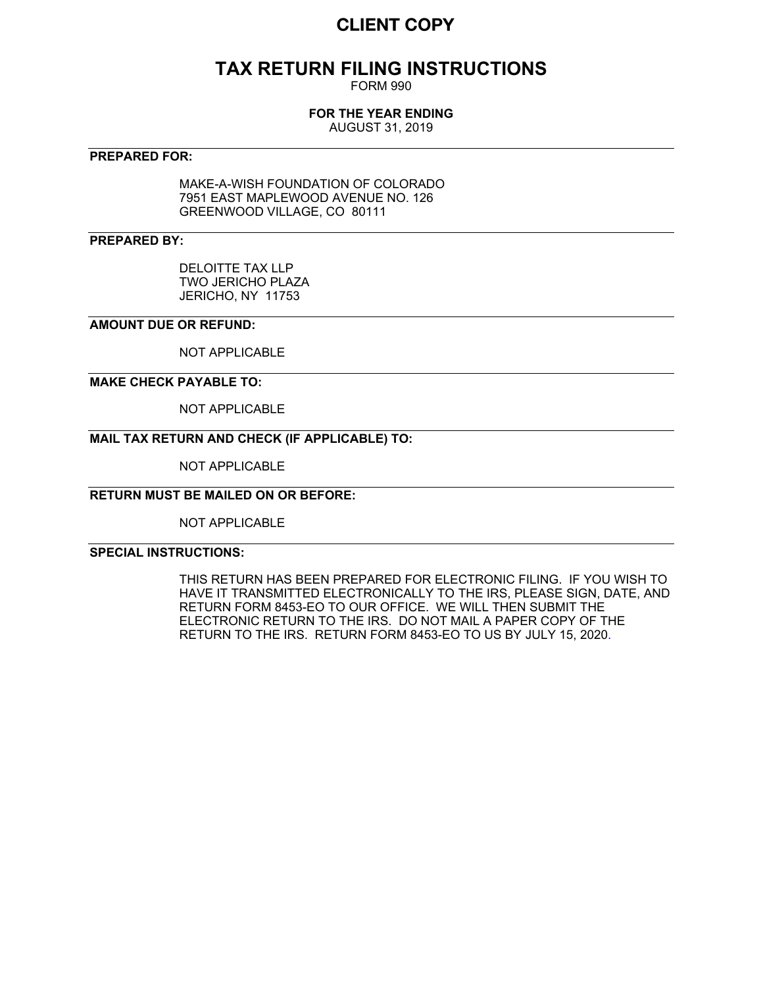# **CLIENT COPY**

# **TAX RETURN FILING INSTRUCTIONS**

FORM 990

## **FOR THE YEAR ENDING**

AUGUST 31, 2019

## **PREPARED FOR:**

MAKE-A-WISH FOUNDATION OF COLORADO 7951 EAST MAPLEWOOD AVENUE NO. 126 GREENWOOD VILLAGE, CO 80111

## **PREPARED BY:**

DELOITTE TAX LLP TWO JERICHO PLAZA JERICHO, NY 11753

## **AMOUNT DUE OR REFUND:**

NOT APPLICABLE

## **MAKE CHECK PAYABLE TO:**

NOT APPLICABLE

## **MAIL TAX RETURN AND CHECK (IF APPLICABLE) TO:**

NOT APPLICABLE

## **RETURN MUST BE MAILED ON OR BEFORE:**

NOT APPLICABLE

## **SPECIAL INSTRUCTIONS:**

THIS RETURN HAS BEEN PREPARED FOR ELECTRONIC FILING. IF YOU WISH TO HAVE IT TRANSMITTED ELECTRONICALLY TO THE IRS, PLEASE SIGN, DATE, AND RETURN FORM 8453-EO TO OUR OFFICE. WE WILL THEN SUBMIT THE ELECTRONIC RETURN TO THE IRS. DO NOT MAIL A PAPER COPY OF THE RETURN TO THE IRS. RETURN FORM 8453-EO TO US BY JULY 15, 2020.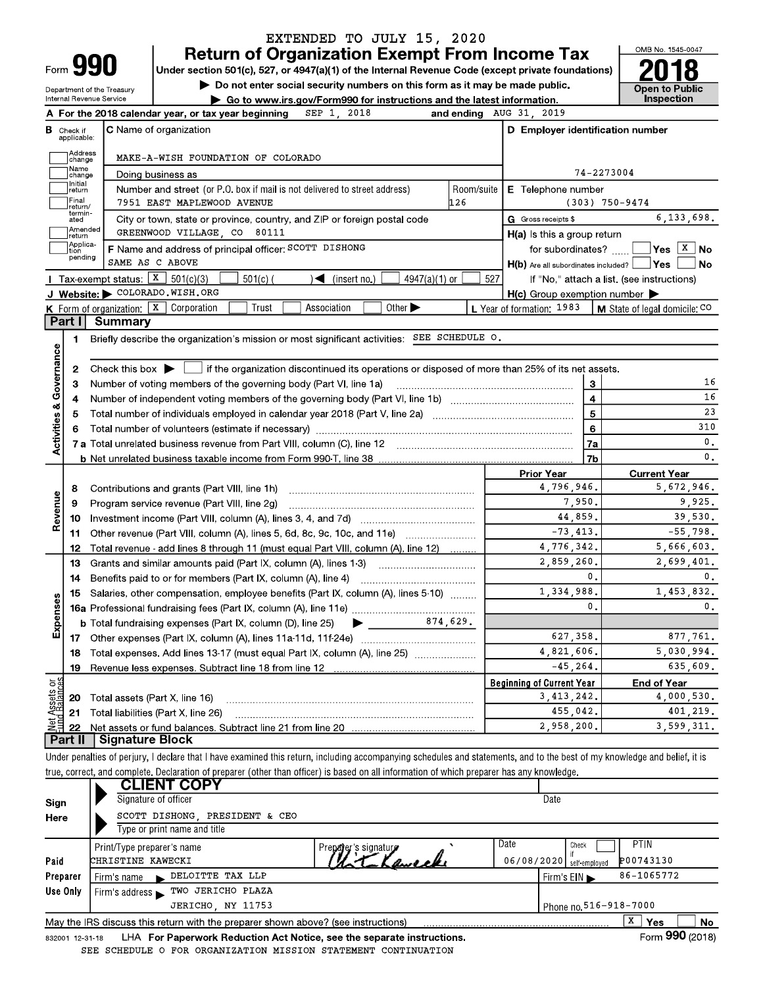# EXTENDED TO JULY 15, 2020

**Return of Organization Exempt From Income Tax** Under section 501(c), 527, or 4947(a)(1) of the Internal Revenue Code (except private foundations)

Do not enter social security numbers on this form as it may be made public.

Department of the Treasury Internal Revenue Service  $\overline{\phantom{a}}$  $F_{\text{out}}$  the 0040 extended uses

Go to www.irs.gov/Form990 for instructions and the latest information. ugar baginning  $CPD$  1  $2018$  $\overline{3110}$  21



 $2010$ 

|                                    |                         | For the 2018 calendar year, or tax year beginning<br>OLF 1.<br>7070                                                                                       | and ending               | AUG JI, ZUIJ                                        |                                            |  |  |  |  |
|------------------------------------|-------------------------|-----------------------------------------------------------------------------------------------------------------------------------------------------------|--------------------------|-----------------------------------------------------|--------------------------------------------|--|--|--|--|
| в                                  | Check if<br>applicable: | <b>C</b> Name of organization                                                                                                                             |                          | D Employer identification number                    |                                            |  |  |  |  |
|                                    | Address<br>change       | MAKE-A-WISH FOUNDATION OF COLORADO                                                                                                                        |                          |                                                     |                                            |  |  |  |  |
|                                    | Name<br>change          | Doing business as                                                                                                                                         | 74-2273004               |                                                     |                                            |  |  |  |  |
|                                    | Initial<br>return       | Number and street (or P.O. box if mail is not delivered to street address)                                                                                | E Telephone number       |                                                     |                                            |  |  |  |  |
|                                    | Final<br>return/        | 7951 EAST MAPLEWOOD AVENUE                                                                                                                                | Room/suite<br><b>126</b> |                                                     | $(303)$ 750-9474                           |  |  |  |  |
|                                    | termin<br>ated          | City or town, state or province, country, and ZIP or foreign postal code                                                                                  |                          | G Gross receipts \$                                 | 6, 133, 698.                               |  |  |  |  |
|                                    | Amended<br>return       | GREENWOOD VILLAGE, CO 80111                                                                                                                               |                          | $H(a)$ is this a group return                       |                                            |  |  |  |  |
|                                    | Applica-<br>tion        | F Name and address of principal officer: SCOTT DISHONG                                                                                                    |                          | for subordinates?                                   | $ Yes X $ No                               |  |  |  |  |
|                                    | pending                 | SAME AS C ABOVE                                                                                                                                           |                          | H(b) Are all subordinates included? Ves             | <b>No</b>                                  |  |  |  |  |
|                                    |                         | Tax exempt status: $X$ 501(c)(3)<br>$501(c)$ (<br>$\sqrt{\left( \text{insert no.} \right)}$<br>$4947(a)(1)$ or                                            | 527                      |                                                     | If "No," attach a list. (see instructions) |  |  |  |  |
|                                    |                         | J Website: COLORADO.WISH.ORG                                                                                                                              |                          | $H(c)$ Group exemption number $\blacktriangleright$ |                                            |  |  |  |  |
|                                    |                         | <b>K</b> Form of organization: $\boxed{\mathbf{x}}$ Corporation<br>Association<br>Other $\blacktriangleright$<br>Trust                                    |                          | L Year of formation: 1983                           | <b>M</b> State of legal domicile: $CO$     |  |  |  |  |
|                                    | Part I                  | <b>Summary</b>                                                                                                                                            |                          |                                                     |                                            |  |  |  |  |
|                                    | 1.                      | Briefly describe the organization's mission or most significant activities: SEE SCHEDULE O.                                                               |                          |                                                     |                                            |  |  |  |  |
|                                    |                         |                                                                                                                                                           |                          |                                                     |                                            |  |  |  |  |
|                                    | $\mathbf{2}$            | Check this box $\blacktriangleright$ $\Box$ if the organization discontinued its operations or disposed of more than 25% of its net assets.               |                          |                                                     |                                            |  |  |  |  |
|                                    | 3                       | Number of voting members of the governing body (Part VI, line 1a)                                                                                         |                          | 3                                                   | 16                                         |  |  |  |  |
|                                    | 4                       |                                                                                                                                                           | $\overline{\mathbf{4}}$  | 16                                                  |                                            |  |  |  |  |
|                                    | 5                       |                                                                                                                                                           | 5                        | 23                                                  |                                            |  |  |  |  |
|                                    | 6                       |                                                                                                                                                           |                          | $\bf{6}$                                            | 310                                        |  |  |  |  |
| <b>Activities &amp; Governance</b> |                         |                                                                                                                                                           |                          | 7a                                                  | $\mathbf{0}$ .                             |  |  |  |  |
|                                    |                         |                                                                                                                                                           |                          | 7 <sub>b</sub>                                      | $\mathbf{0}$ .                             |  |  |  |  |
|                                    |                         |                                                                                                                                                           |                          | <b>Prior Year</b>                                   | <b>Current Year</b>                        |  |  |  |  |
|                                    | 8                       | Contributions and grants (Part VIII, line 1h)                                                                                                             |                          | 4,796,946.                                          | 5,672,946.                                 |  |  |  |  |
|                                    | 9                       | Program service revenue (Part VIII, line 2g)                                                                                                              |                          | 7,950.                                              | 9,925.                                     |  |  |  |  |
| Revenue                            | 10                      |                                                                                                                                                           |                          | 44.859.                                             | 39.530.                                    |  |  |  |  |
|                                    | 11                      | Other revenue (Part VIII, column (A), lines 5, 6d, 8c, 9c, 10c, and 11e)                                                                                  |                          | $-73, 413.$                                         | $-55.798.$                                 |  |  |  |  |
|                                    | 12                      | Total revenue add lines 8 through 11 (must equal Part VIII, column (A), line 12)                                                                          | .                        | 4.776.342.                                          | 5.666.603.                                 |  |  |  |  |
|                                    | 13                      | Grants and similar amounts paid (Part IX, column (A), lines 1-3) [100] [100] [100] [100] Grants and similar amounts paid (Part IX, column (A), lines 1-3) |                          | 2,859,260.                                          | 2,699,401.                                 |  |  |  |  |
|                                    | 14                      | Benefits paid to or for members (Part IX, column (A), line 4)                                                                                             |                          | 0.                                                  | $\mathbf{0}$ .                             |  |  |  |  |
|                                    | 15                      | Salaries, other compensation, employee benefits (Part IX, column (A), lines 5-10)                                                                         |                          | 1,334,988.                                          | 1,453,832.                                 |  |  |  |  |
|                                    |                         |                                                                                                                                                           |                          | $\mathbf 0$ .                                       | $\mathbf{0}$ .                             |  |  |  |  |
| Expenses                           |                         | $\frac{874,629.}{ }$<br><b>b</b> Total fundraising expenses (Part IX, column (D), line 25)<br>▶                                                           |                          |                                                     |                                            |  |  |  |  |
|                                    |                         |                                                                                                                                                           |                          | 627.358.                                            | 877.761.                                   |  |  |  |  |
|                                    | 18                      | Total expenses. Add lines 13-17 (must equal Part IX, column (A), line 25) [                                                                               |                          | 4,821,606.                                          | 5,030,994.                                 |  |  |  |  |
|                                    | 19                      |                                                                                                                                                           |                          | $-45, 264.$                                         | 635.609.                                   |  |  |  |  |
| ងនី                                |                         |                                                                                                                                                           |                          | <b>Beginning of Current Year</b>                    | <b>End of Year</b>                         |  |  |  |  |
| Assets<br>Paalmo                   | 20                      | Total assets (Part X, line 16)                                                                                                                            |                          | 3, 413, 242.                                        | 4,000,530.                                 |  |  |  |  |
|                                    | 21                      | Total liabilities (Part X, line 26)                                                                                                                       |                          | 455,042.                                            | 401,219.                                   |  |  |  |  |
| ಕ                                  | 22                      |                                                                                                                                                           |                          | 2.958.200.                                          | 3.599.311.                                 |  |  |  |  |
|                                    | Part II                 | Signature Block                                                                                                                                           |                          |                                                     |                                            |  |  |  |  |
|                                    |                         |                                                                                                                                                           |                          |                                                     |                                            |  |  |  |  |

Under penalties of perjury, I declare that I have examined this return, including accompanying schedules and statements, and to the best of my knowledge and belief, it is true, correct, and complete. Declaration of preparer (other than officer) is based on all information of which preparer has any knowledge.

|              | <b>CLIENT COPY</b><br>Signature of officer                                                                   | Date                                                             |  |  |  |  |  |  |  |  |  |
|--------------|--------------------------------------------------------------------------------------------------------------|------------------------------------------------------------------|--|--|--|--|--|--|--|--|--|
| Sign<br>Here | SCOTT DISHONG PRESIDENT & CEO<br>Type or print name and title                                                |                                                                  |  |  |  |  |  |  |  |  |  |
| Paid         | Print/Type preparer s name<br>Preparer's signature<br>CHRISTINE KAWECKI                                      | Date<br>PTIN<br>Check<br>P00743130<br>06/08/2020   self-employed |  |  |  |  |  |  |  |  |  |
| Preparer     | DELOITTE TAX LLP<br>Firm s name<br>$\blacksquare$                                                            | 86-1065772<br>Firm $s$ EIN $\blacktriangleright$                 |  |  |  |  |  |  |  |  |  |
| Use Only     | TWO JERICHO PLAZA<br>Firm s address $\blacktriangleright$                                                    |                                                                  |  |  |  |  |  |  |  |  |  |
|              | JERICHO, NY 11753                                                                                            | Phone no. 516-918-7000                                           |  |  |  |  |  |  |  |  |  |
|              | May the IRS discuss this return with the preparer shown above? (see instructions)                            | <b>No</b><br><b>Yes</b><br>Δ.                                    |  |  |  |  |  |  |  |  |  |
|              | Form 990 (2018)<br>LHA For Paperwork Reduction Act Notice, see the separate instructions.<br>832001 12 31 18 |                                                                  |  |  |  |  |  |  |  |  |  |

832001 12-31-18 SEE SCHEDULE O FOR ORGANIZATION MISSION STATEMENT CONTINUATION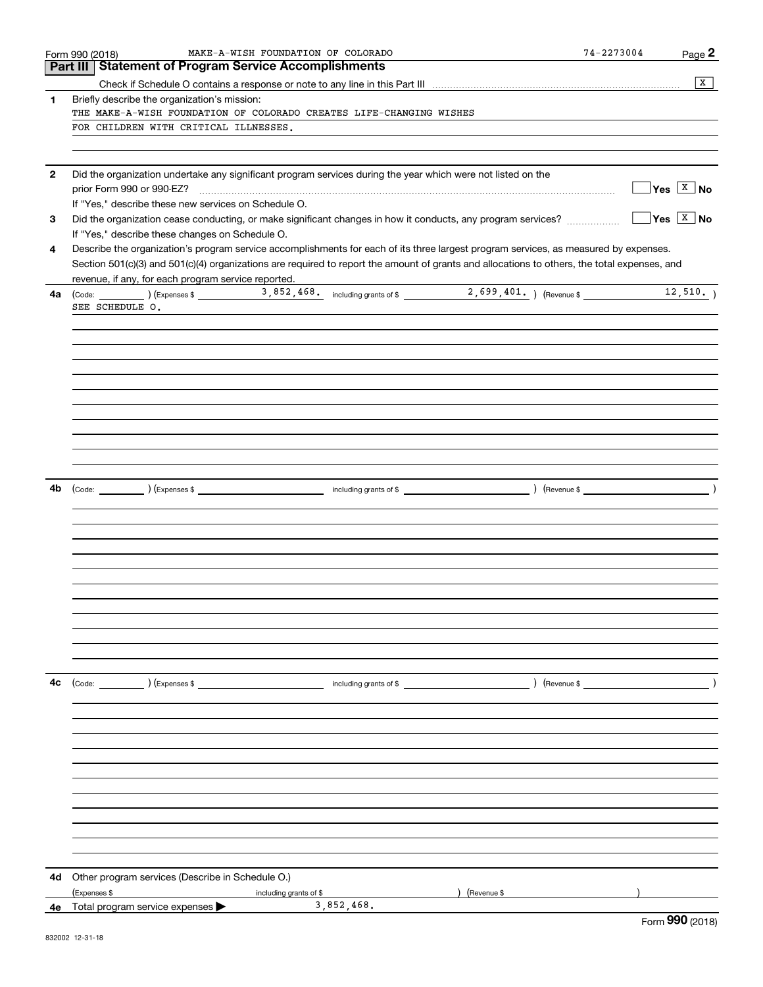|              | MAKE-A-WISH FOUNDATION OF COLORADO<br>Form 990 (2018)                                                                                        | 74-2273004<br>Page 2                         |
|--------------|----------------------------------------------------------------------------------------------------------------------------------------------|----------------------------------------------|
|              | <b>Part III   Statement of Program Service Accomplishments</b>                                                                               |                                              |
|              |                                                                                                                                              | $\mathbf{x}$                                 |
| 1.           | Briefly describe the organization's mission:                                                                                                 |                                              |
|              | THE MAKE-A-WISH FOUNDATION OF COLORADO CREATES LIFE-CHANGING WISHES                                                                          |                                              |
|              | FOR CHILDREN WITH CRITICAL ILLNESSES.                                                                                                        |                                              |
|              |                                                                                                                                              |                                              |
|              |                                                                                                                                              |                                              |
| $\mathbf{2}$ | Did the organization undertake any significant program services during the year which were not listed on the                                 |                                              |
|              |                                                                                                                                              | $\sqrt{\mathsf{Yes} \times \mathsf{No}}$     |
|              | If "Yes," describe these new services on Schedule O.                                                                                         |                                              |
| 3            |                                                                                                                                              | $\sqrt{\mathsf{Yes}}$ $\sqrt{\mathsf{X}}$ No |
|              | If "Yes," describe these changes on Schedule O.                                                                                              |                                              |
| 4            | Describe the organization's program service accomplishments for each of its three largest program services, as measured by expenses.         |                                              |
|              | Section 501(c)(3) and 501(c)(4) organizations are required to report the amount of grants and allocations to others, the total expenses, and |                                              |
|              | revenue, if any, for each program service reported.                                                                                          |                                              |
| 4а           |                                                                                                                                              |                                              |
|              | SEE SCHEDULE O.                                                                                                                              |                                              |
|              |                                                                                                                                              |                                              |
|              |                                                                                                                                              |                                              |
|              |                                                                                                                                              |                                              |
|              |                                                                                                                                              |                                              |
|              |                                                                                                                                              |                                              |
|              |                                                                                                                                              |                                              |
|              |                                                                                                                                              |                                              |
|              |                                                                                                                                              |                                              |
|              |                                                                                                                                              |                                              |
|              |                                                                                                                                              |                                              |
|              |                                                                                                                                              |                                              |
|              |                                                                                                                                              |                                              |
| 4b           |                                                                                                                                              |                                              |
|              |                                                                                                                                              |                                              |
|              |                                                                                                                                              |                                              |
|              |                                                                                                                                              |                                              |
|              |                                                                                                                                              |                                              |
|              |                                                                                                                                              |                                              |
|              |                                                                                                                                              |                                              |
|              |                                                                                                                                              |                                              |
|              |                                                                                                                                              |                                              |
|              |                                                                                                                                              |                                              |
|              |                                                                                                                                              |                                              |
|              |                                                                                                                                              |                                              |
|              |                                                                                                                                              |                                              |
|              |                                                                                                                                              |                                              |
| 4c           | (Code: ) (Expenses \$<br>$\begin{array}{ccc} \hline \end{array}$ including grants of \$                                                      | $\rightarrow$                                |
|              |                                                                                                                                              |                                              |
|              |                                                                                                                                              |                                              |
|              |                                                                                                                                              |                                              |
|              |                                                                                                                                              |                                              |
|              |                                                                                                                                              |                                              |
|              |                                                                                                                                              |                                              |
|              |                                                                                                                                              |                                              |
|              |                                                                                                                                              |                                              |
|              |                                                                                                                                              |                                              |
|              |                                                                                                                                              |                                              |
|              |                                                                                                                                              |                                              |
|              |                                                                                                                                              |                                              |
|              |                                                                                                                                              |                                              |
| 4d           | Other program services (Describe in Schedule O.)                                                                                             |                                              |
|              | (Expenses \$<br>(Revenue \$<br>including grants of \$                                                                                        |                                              |
|              | 3,852,468.<br><b>4e</b> Total program service expenses $\blacktriangleright$                                                                 | $\Omega$                                     |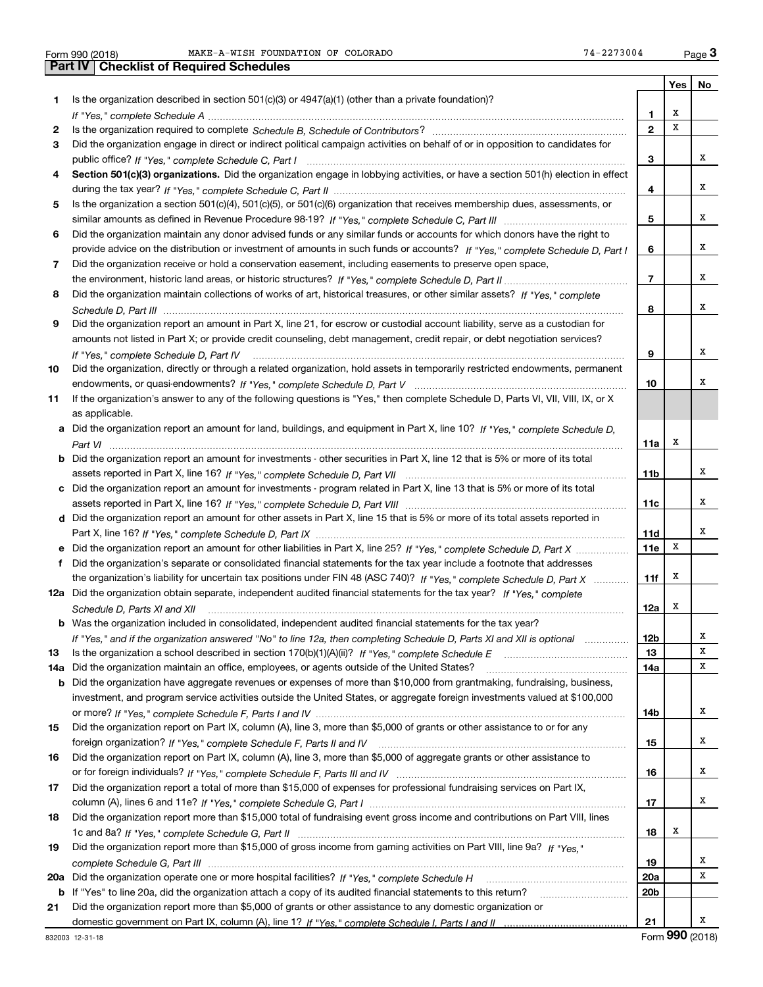|     |                                                                                                                                  |                 | Yes | No |
|-----|----------------------------------------------------------------------------------------------------------------------------------|-----------------|-----|----|
| 1.  | Is the organization described in section $501(c)(3)$ or $4947(a)(1)$ (other than a private foundation)?                          |                 |     |    |
|     |                                                                                                                                  | 1.              | X   |    |
| 2   |                                                                                                                                  | $\overline{2}$  | x   |    |
| 3   | Did the organization engage in direct or indirect political campaign activities on behalf of or in opposition to candidates for  |                 |     |    |
|     |                                                                                                                                  | 3               |     | х  |
| 4   | Section 501(c)(3) organizations. Did the organization engage in lobbying activities, or have a section 501(h) election in effect |                 |     |    |
|     |                                                                                                                                  | 4               |     | х  |
| 5   | Is the organization a section 501(c)(4), 501(c)(5), or 501(c)(6) organization that receives membership dues, assessments, or     |                 |     |    |
|     |                                                                                                                                  | 5               |     | х  |
| 6   | Did the organization maintain any donor advised funds or any similar funds or accounts for which donors have the right to        |                 |     |    |
|     | provide advice on the distribution or investment of amounts in such funds or accounts? If "Yes," complete Schedule D, Part I     | 6               |     | х  |
| 7   | Did the organization receive or hold a conservation easement, including easements to preserve open space,                        |                 |     |    |
|     |                                                                                                                                  | $\overline{7}$  |     | х  |
| 8   | Did the organization maintain collections of works of art, historical treasures, or other similar assets? If "Yes," complete     |                 |     |    |
|     |                                                                                                                                  | 8               |     | х  |
| 9   | Did the organization report an amount in Part X, line 21, for escrow or custodial account liability, serve as a custodian for    |                 |     |    |
|     | amounts not listed in Part X; or provide credit counseling, debt management, credit repair, or debt negotiation services?        |                 |     |    |
|     | If "Yes," complete Schedule D, Part IV                                                                                           | 9               |     | х  |
| 10  | Did the organization, directly or through a related organization, hold assets in temporarily restricted endowments, permanent    |                 |     |    |
|     |                                                                                                                                  | 10              |     | х  |
| 11  | If the organization's answer to any of the following questions is "Yes," then complete Schedule D, Parts VI, VII, VIII, IX, or X |                 |     |    |
|     | as applicable.                                                                                                                   |                 |     |    |
|     | a Did the organization report an amount for land, buildings, and equipment in Part X, line 10? If "Yes," complete Schedule D,    |                 |     |    |
|     |                                                                                                                                  | 11a             | х   |    |
| b   | Did the organization report an amount for investments - other securities in Part X, line 12 that is 5% or more of its total      |                 |     | х  |
|     |                                                                                                                                  | 11 <sub>b</sub> |     |    |
| c   | Did the organization report an amount for investments - program related in Part X, line 13 that is 5% or more of its total       | 11c             |     | х  |
|     | d Did the organization report an amount for other assets in Part X, line 15 that is 5% or more of its total assets reported in   |                 |     |    |
|     |                                                                                                                                  | 11d             |     | х  |
|     | Did the organization report an amount for other liabilities in Part X, line 25? If "Yes," complete Schedule D, Part X            | 11e             | X   |    |
| f   | Did the organization's separate or consolidated financial statements for the tax year include a footnote that addresses          |                 |     |    |
|     | the organization's liability for uncertain tax positions under FIN 48 (ASC 740)? If "Yes," complete Schedule D, Part X           | 11f             | Х   |    |
|     | 12a Did the organization obtain separate, independent audited financial statements for the tax year? If "Yes," complete          |                 |     |    |
|     | Schedule D, Parts XI and XII                                                                                                     | 12a             | х   |    |
|     | <b>b</b> Was the organization included in consolidated, independent audited financial statements for the tax year?               |                 |     |    |
|     | If "Yes," and if the organization answered "No" to line 12a, then completing Schedule D, Parts XI and XII is optional matcoment  | 12b             |     | A  |
| 13  |                                                                                                                                  | 13              |     | х  |
| 14a | Did the organization maintain an office, employees, or agents outside of the United States?                                      | 14a             |     | х  |
| b   | Did the organization have aggregate revenues or expenses of more than \$10,000 from grantmaking, fundraising, business,          |                 |     |    |
|     | investment, and program service activities outside the United States, or aggregate foreign investments valued at \$100,000       |                 |     |    |
|     |                                                                                                                                  | 14b             |     | х  |
| 15  | Did the organization report on Part IX, column (A), line 3, more than \$5,000 of grants or other assistance to or for any        |                 |     |    |
|     |                                                                                                                                  | 15              |     | х  |
| 16  | Did the organization report on Part IX, column (A), line 3, more than \$5,000 of aggregate grants or other assistance to         |                 |     | х  |
|     |                                                                                                                                  | 16              |     |    |
| 17  | Did the organization report a total of more than \$15,000 of expenses for professional fundraising services on Part IX,          | 17              |     | х  |
| 18  | Did the organization report more than \$15,000 total of fundraising event gross income and contributions on Part VIII, lines     |                 |     |    |
|     |                                                                                                                                  | 18              | х   |    |
| 19  | Did the organization report more than \$15,000 of gross income from gaming activities on Part VIII, line 9a? If "Yes."           |                 |     |    |
|     |                                                                                                                                  | 19              |     | x  |
| 20a |                                                                                                                                  | <b>20a</b>      |     | х  |
| b   | If "Yes" to line 20a, did the organization attach a copy of its audited financial statements to this return?                     | 20 <sub>b</sub> |     |    |
| 21  | Did the organization report more than \$5,000 of grants or other assistance to any domestic organization or                      |                 |     |    |
|     |                                                                                                                                  | 21              |     | х  |
|     |                                                                                                                                  |                 |     |    |

Form (2018) **990**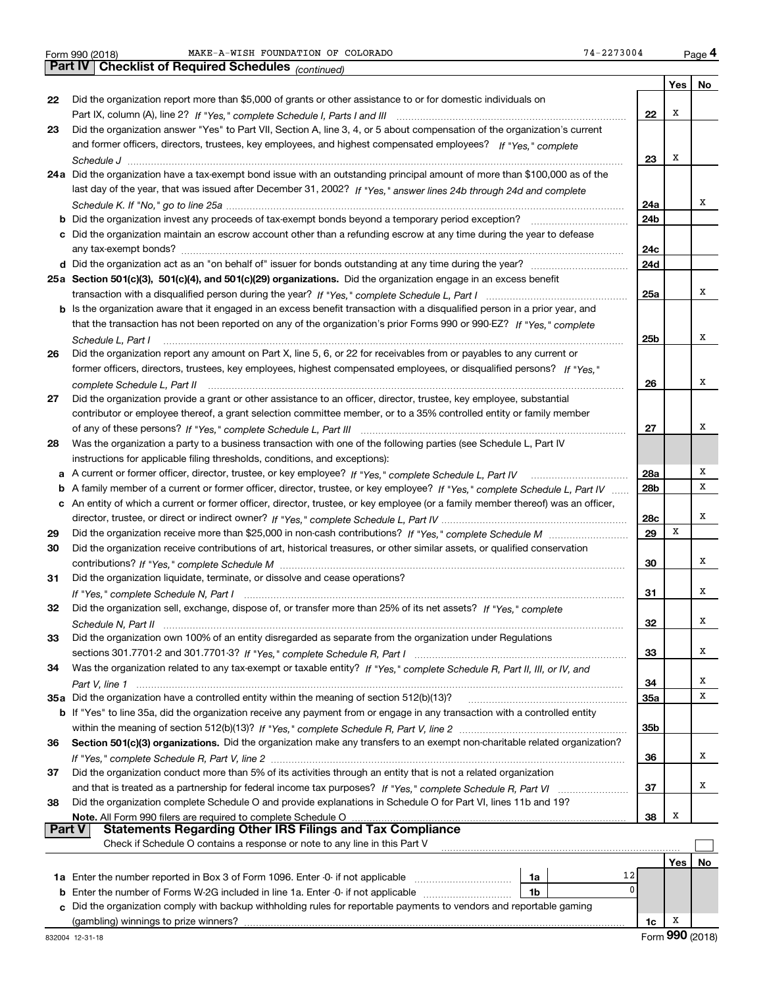*(continued)*

|        |                                                                                                                                   |                 | Yes | No |
|--------|-----------------------------------------------------------------------------------------------------------------------------------|-----------------|-----|----|
| 22     | Did the organization report more than \$5,000 of grants or other assistance to or for domestic individuals on                     |                 |     |    |
|        |                                                                                                                                   | 22              | х   |    |
| 23     | Did the organization answer "Yes" to Part VII, Section A, line 3, 4, or 5 about compensation of the organization's current        |                 |     |    |
|        | and former officers, directors, trustees, key employees, and highest compensated employees? If "Yes," complete                    |                 |     |    |
|        |                                                                                                                                   | 23              | х   |    |
|        | 24a Did the organization have a tax-exempt bond issue with an outstanding principal amount of more than \$100,000 as of the       |                 |     |    |
|        | last day of the year, that was issued after December 31, 2002? If "Yes," answer lines 24b through 24d and complete                |                 |     | х  |
|        |                                                                                                                                   | 24a<br>24b      |     |    |
|        | c Did the organization maintain an escrow account other than a refunding escrow at any time during the year to defease            |                 |     |    |
|        |                                                                                                                                   | 24c             |     |    |
|        |                                                                                                                                   | 24d             |     |    |
|        | 25a Section 501(c)(3), 501(c)(4), and 501(c)(29) organizations. Did the organization engage in an excess benefit                  |                 |     |    |
|        |                                                                                                                                   | 25a             |     | х  |
|        | b Is the organization aware that it engaged in an excess benefit transaction with a disqualified person in a prior year, and      |                 |     |    |
|        | that the transaction has not been reported on any of the organization's prior Forms 990 or 990-EZ? If "Yes," complete             |                 |     |    |
|        | Schedule L, Part I                                                                                                                | 25 <sub>b</sub> |     | х  |
| 26     | Did the organization report any amount on Part X, line 5, 6, or 22 for receivables from or payables to any current or             |                 |     |    |
|        | former officers, directors, trustees, key employees, highest compensated employees, or disqualified persons? If "Yes "            |                 |     |    |
|        |                                                                                                                                   | 26              |     | х  |
| 27     | Did the organization provide a grant or other assistance to an officer, director, trustee, key employee, substantial              |                 |     |    |
|        | contributor or employee thereof, a grant selection committee member, or to a 35% controlled entity or family member               |                 |     |    |
|        |                                                                                                                                   | 27              |     | х  |
| 28     | Was the organization a party to a business transaction with one of the following parties (see Schedule L, Part IV                 |                 |     |    |
|        | instructions for applicable filing thresholds, conditions, and exceptions):                                                       |                 |     |    |
|        | a A current or former officer, director, trustee, or key employee? If "Yes," complete Schedule L, Part IV                         | 28a             |     | х  |
| b      | A family member of a current or former officer, director, trustee, or key employee? If "Yes," complete Schedule L, Part IV        | 28b             |     | x  |
| с      | An entity of which a current or former officer, director, trustee, or key employee (or a family member thereof) was an officer,   |                 |     | х  |
| 29     |                                                                                                                                   | 28c<br>29       | х   |    |
| 30     | Did the organization receive contributions of art, historical treasures, or other similar assets, or qualified conservation       |                 |     |    |
|        |                                                                                                                                   | 30              |     | x  |
| 31     | Did the organization liquidate, terminate, or dissolve and cease operations?                                                      |                 |     |    |
|        |                                                                                                                                   | 31              |     | х  |
| 32     | Did the organization sell, exchange, dispose of, or transfer more than 25% of its net assets? If "Yes," complete                  |                 |     |    |
|        |                                                                                                                                   | 32              |     | х  |
| 33     | Did the organization own 100% of an entity disregarded as separate from the organization under Regulations                        |                 |     |    |
|        |                                                                                                                                   | 33              |     | x  |
| 34     | Was the organization related to any tax-exempt or taxable entity? If "Yes," complete Schedule R, Part II, III, or IV, and         |                 |     |    |
|        |                                                                                                                                   | 34              |     | х  |
|        | 35a Did the organization have a controlled entity within the meaning of section 512(b)(13)?                                       | 35a             |     | х  |
|        | b If "Yes" to line 35a, did the organization receive any payment from or engage in any transaction with a controlled entity       |                 |     |    |
|        |                                                                                                                                   | 35b             |     |    |
| 36     | Section 501(c)(3) organizations. Did the organization make any transfers to an exempt non-charitable related organization?        |                 |     |    |
|        |                                                                                                                                   | 36              |     | х  |
| 37     | Did the organization conduct more than 5% of its activities through an entity that is not a related organization                  |                 |     |    |
|        |                                                                                                                                   | 37              |     | х  |
| 38     | Did the organization complete Schedule O and provide explanations in Schedule O for Part VI, lines 11b and 19?                    |                 | х   |    |
| Part V | Note. All Form 990 filers are required to complete Schedule O<br><b>Statements Regarding Other IRS Filings and Tax Compliance</b> | 38              |     |    |
|        | Check if Schedule O contains a response or note to any line in this Part V                                                        |                 |     |    |
|        |                                                                                                                                   |                 | Yes | No |
|        | 12<br>1a                                                                                                                          |                 |     |    |
| b      | 0<br>Enter the number of Forms W-2G included in line 1a. Enter -0- if not applicable<br>1b                                        |                 |     |    |
| c      | Did the organization comply with backup withholding rules for reportable payments to vendors and reportable gaming                |                 |     |    |
|        | (gambling) winnings to prize winners?                                                                                             | 1c              | x   |    |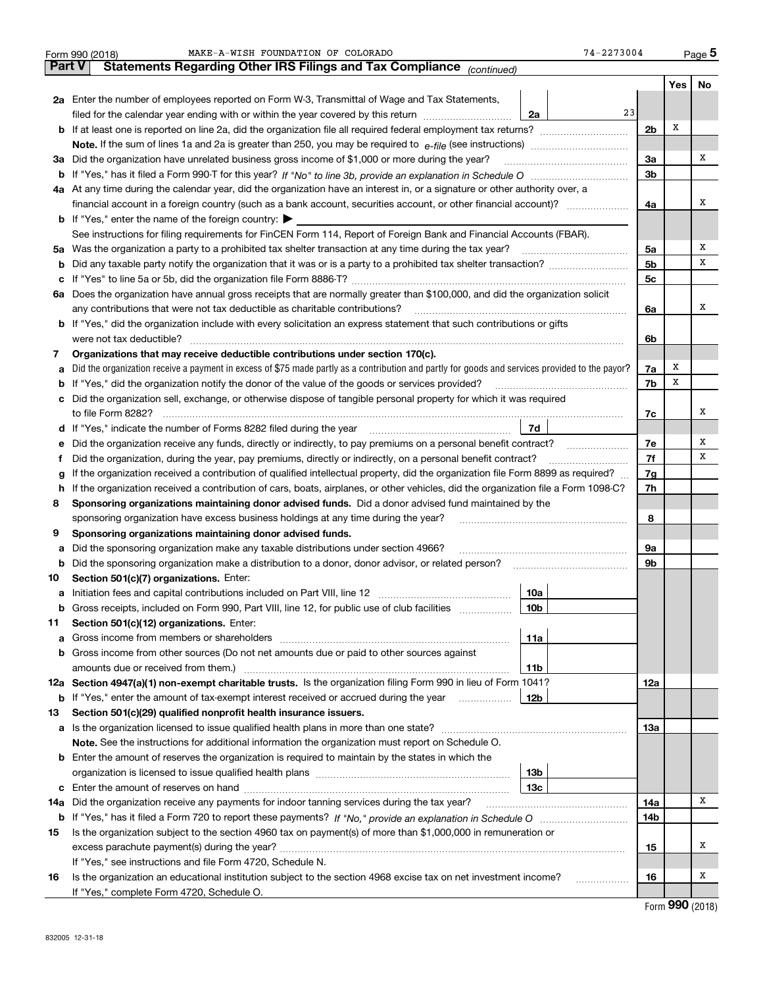|               | 74-2273004<br>MAKE-A-WISH FOUNDATION OF COLORADO<br>Form 990 (2018)                                                                             |                |     | Page 5 |  |  |  |  |  |
|---------------|-------------------------------------------------------------------------------------------------------------------------------------------------|----------------|-----|--------|--|--|--|--|--|
| <b>Part V</b> | Statements Regarding Other IRS Filings and Tax Compliance (continued)                                                                           |                |     |        |  |  |  |  |  |
|               |                                                                                                                                                 |                | Yes | No     |  |  |  |  |  |
|               | 2a Enter the number of employees reported on Form W-3, Transmittal of Wage and Tax Statements,                                                  |                |     |        |  |  |  |  |  |
|               | 23<br>filed for the calendar year ending with or within the year covered by this return<br>2a                                                   |                |     |        |  |  |  |  |  |
|               |                                                                                                                                                 | 2 <sub>b</sub> | х   |        |  |  |  |  |  |
|               |                                                                                                                                                 |                |     |        |  |  |  |  |  |
| за            | Did the organization have unrelated business gross income of \$1,000 or more during the year?                                                   | 3a             |     | х      |  |  |  |  |  |
|               |                                                                                                                                                 | 3b             |     |        |  |  |  |  |  |
|               | 4a At any time during the calendar year, did the organization have an interest in, or a signature or other authority over, a                    |                |     |        |  |  |  |  |  |
|               | financial account in a foreign country (such as a bank account, securities account, or other financial account)?                                | 4a             |     | х      |  |  |  |  |  |
|               | <b>b</b> If "Yes," enter the name of the foreign country: $\blacktriangleright$                                                                 |                |     |        |  |  |  |  |  |
|               | See instructions for filing requirements for FinCEN Form 114, Report of Foreign Bank and Financial Accounts (FBAR).                             |                |     |        |  |  |  |  |  |
| 5a            | Was the organization a party to a prohibited tax shelter transaction at any time during the tax year?                                           | 5a             |     | х      |  |  |  |  |  |
| b             |                                                                                                                                                 | 5 <sub>b</sub> |     | х      |  |  |  |  |  |
| с             |                                                                                                                                                 | 5с             |     |        |  |  |  |  |  |
|               | 6a Does the organization have annual gross receipts that are normally greater than \$100,000, and did the organization solicit                  |                |     |        |  |  |  |  |  |
|               | any contributions that were not tax deductible as charitable contributions?                                                                     | 6a             |     | х      |  |  |  |  |  |
|               | <b>b</b> If "Yes," did the organization include with every solicitation an express statement that such contributions or gifts                   |                |     |        |  |  |  |  |  |
|               | were not tax deductible?                                                                                                                        | 6b             |     |        |  |  |  |  |  |
| 7             | Organizations that may receive deductible contributions under section 170(c).                                                                   |                |     |        |  |  |  |  |  |
| а             | Did the organization receive a payment in excess of \$75 made partly as a contribution and partly for goods and services provided to the payor? | 7a             | х   |        |  |  |  |  |  |
| b             | If "Yes," did the organization notify the donor of the value of the goods or services provided?                                                 | 7b             | X   |        |  |  |  |  |  |
| с             | Did the organization sell, exchange, or otherwise dispose of tangible personal property for which it was required                               |                |     |        |  |  |  |  |  |
|               |                                                                                                                                                 | 7c             |     | х      |  |  |  |  |  |
|               | 7d                                                                                                                                              |                |     |        |  |  |  |  |  |
| е             | Did the organization receive any funds, directly or indirectly, to pay premiums on a personal benefit contract?                                 | 7e<br>7f       |     | х<br>х |  |  |  |  |  |
|               | Did the organization, during the year, pay premiums, directly or indirectly, on a personal benefit contract?<br>f                               |                |     |        |  |  |  |  |  |
| g             | If the organization received a contribution of qualified intellectual property, did the organization file Form 8899 as required?                |                |     |        |  |  |  |  |  |
|               | If the organization received a contribution of cars, boats, airplanes, or other vehicles, did the organization file a Form 1098-C?<br>h.        |                |     |        |  |  |  |  |  |
|               | Sponsoring organizations maintaining donor advised funds. Did a donor advised fund maintained by the<br>8                                       |                |     |        |  |  |  |  |  |
|               | sponsoring organization have excess business holdings at any time during the year?                                                              | 8              |     |        |  |  |  |  |  |
| 9             | Sponsoring organizations maintaining donor advised funds.                                                                                       |                |     |        |  |  |  |  |  |
| а             | Did the sponsoring organization make any taxable distributions under section 4966?                                                              | 9a             |     |        |  |  |  |  |  |
| b             | Did the sponsoring organization make a distribution to a donor, donor advisor, or related person?                                               | 9b             |     |        |  |  |  |  |  |
| 10            | Section 501(c)(7) organizations. Enter:                                                                                                         |                |     |        |  |  |  |  |  |
| a             | 10a<br>Initiation fees and capital contributions included on Part VIII, line 12 [100] [100] [100] [100] [100] [100] [<br>10 <sub>b</sub>        |                |     |        |  |  |  |  |  |
|               | Gross receipts, included on Form 990, Part VIII, line 12, for public use of club facilities                                                     |                |     |        |  |  |  |  |  |
| 11            | Section 501(c)(12) organizations. Enter:                                                                                                        |                |     |        |  |  |  |  |  |
| a             | Gross income from members or shareholders<br>11a<br>Gross income from other sources (Do not net amounts due or paid to other sources against    |                |     |        |  |  |  |  |  |
| b             | amounts due or received from them.)                                                                                                             |                |     |        |  |  |  |  |  |
|               | 11b<br>12a Section 4947(a)(1) non-exempt charitable trusts. Is the organization filing Form 990 in lieu of Form 1041?                           | 12a            |     |        |  |  |  |  |  |
|               | 12b<br><b>b</b> If "Yes," enter the amount of tax-exempt interest received or accrued during the year <i>manument</i> of                        |                |     |        |  |  |  |  |  |
|               | Section 501(c)(29) qualified nonprofit health insurance issuers.                                                                                |                |     |        |  |  |  |  |  |
| 13            | Is the organization licensed to issue qualified health plans in more than one state?                                                            | 13а            |     |        |  |  |  |  |  |
| а             | Note. See the instructions for additional information the organization must report on Schedule O.                                               |                |     |        |  |  |  |  |  |
| b             | Enter the amount of reserves the organization is required to maintain by the states in which the                                                |                |     |        |  |  |  |  |  |
|               | 13 <sub>b</sub>                                                                                                                                 |                |     |        |  |  |  |  |  |
| c             | 13с                                                                                                                                             |                |     |        |  |  |  |  |  |
| 14a           | Did the organization receive any payments for indoor tanning services during the tax year?                                                      | 14a            |     | х      |  |  |  |  |  |
|               |                                                                                                                                                 | 14b            |     |        |  |  |  |  |  |
| 15            | Is the organization subject to the section 4960 tax on payment(s) of more than \$1,000,000 in remuneration or                                   |                |     |        |  |  |  |  |  |
|               |                                                                                                                                                 | 15             |     | х      |  |  |  |  |  |
|               | If "Yes," see instructions and file Form 4720, Schedule N.                                                                                      |                |     |        |  |  |  |  |  |
| 16            | Is the organization an educational institution subject to the section 4968 excise tax on net investment income?                                 | 16             |     | х      |  |  |  |  |  |
|               | If "Yes," complete Form 4720, Schedule O.                                                                                                       |                |     |        |  |  |  |  |  |
|               |                                                                                                                                                 |                |     |        |  |  |  |  |  |

| Form 990 (2018) |  |
|-----------------|--|
|-----------------|--|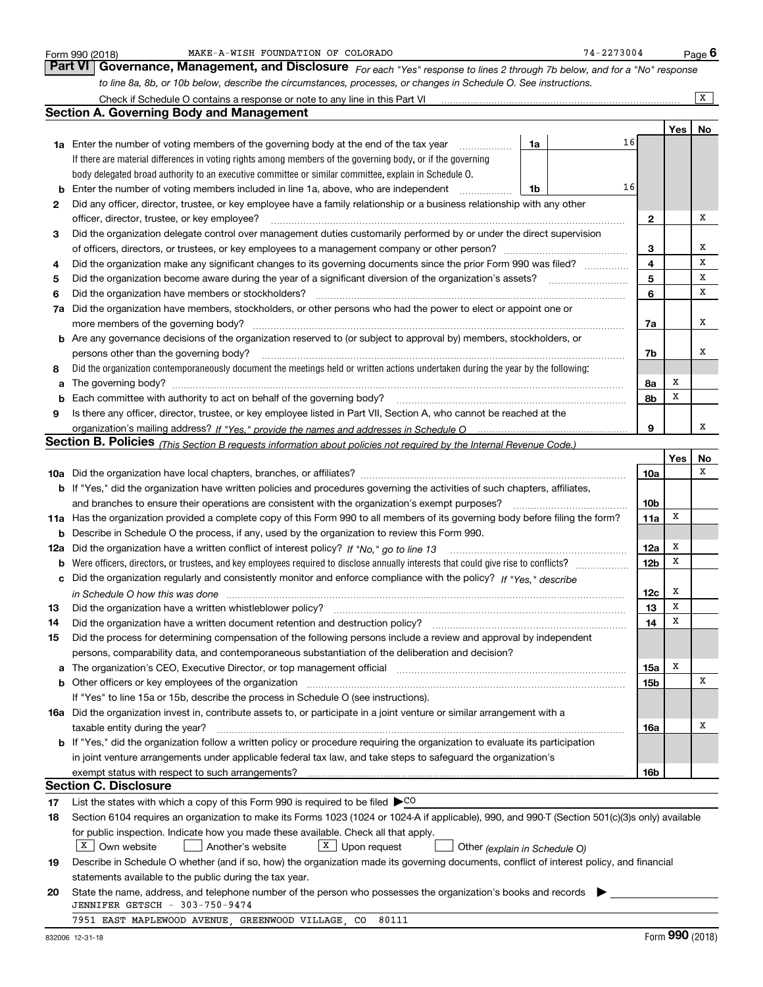|     | MAKE-A-WISH FOUNDATION OF COLORADO<br>Form 990 (2018)                                                                                                                 |    | 74-2273004 |    |                 |     | <u>Pag</u> e <b>6</b>   |  |
|-----|-----------------------------------------------------------------------------------------------------------------------------------------------------------------------|----|------------|----|-----------------|-----|-------------------------|--|
|     | Part VI<br>Governance, Management, and Disclosure For each "Yes" response to lines 2 through 7b below, and for a "No" response                                        |    |            |    |                 |     |                         |  |
|     | to line 8a, 8b, or 10b below, describe the circumstances, processes, or changes in Schedule O. See instructions.                                                      |    |            |    |                 |     |                         |  |
|     | Check if Schedule O contains a response or note to any line in this Part VI                                                                                           |    |            |    |                 |     | $\overline{\mathbf{x}}$ |  |
|     | <b>Section A. Governing Body and Management</b>                                                                                                                       |    |            |    |                 |     |                         |  |
|     |                                                                                                                                                                       |    |            |    |                 | Yes | No                      |  |
|     | 1a Enter the number of voting members of the governing body at the end of the tax year                                                                                | 1a |            | 16 |                 |     |                         |  |
|     | If there are material differences in voting rights among members of the governing body, or if the governing                                                           |    |            |    |                 |     |                         |  |
|     | body delegated broad authority to an executive committee or similar committee, explain in Schedule O.                                                                 |    |            |    |                 |     |                         |  |
| b   | Enter the number of voting members included in line 1a, above, who are independent                                                                                    | 1b |            | 16 |                 |     |                         |  |
| 2   | Did any officer, director, trustee, or key employee have a family relationship or a business relationship with any other                                              |    |            |    |                 |     |                         |  |
|     | officer, director, trustee, or key employee?                                                                                                                          |    |            |    | 2               |     | Χ                       |  |
| 3   | Did the organization delegate control over management duties customarily performed by or under the direct supervision                                                 |    |            |    |                 |     |                         |  |
|     |                                                                                                                                                                       |    |            |    | 3               |     | х                       |  |
| 4   | Did the organization make any significant changes to its governing documents since the prior Form 990 was filed?                                                      |    |            |    | 4               |     | X                       |  |
| 5   |                                                                                                                                                                       |    |            |    | 5               |     | х                       |  |
| 6   | Did the organization have members or stockholders?                                                                                                                    |    |            |    | 6               |     | х                       |  |
| 7a  | Did the organization have members, stockholders, or other persons who had the power to elect or appoint one or                                                        |    |            |    |                 |     |                         |  |
|     | more members of the governing body?                                                                                                                                   |    |            |    | 7a              |     | Χ                       |  |
| b   | Are any governance decisions of the organization reserved to (or subject to approval by) members, stockholders, or                                                    |    |            |    |                 |     |                         |  |
|     | persons other than the governing body?                                                                                                                                |    |            |    | 7b              |     | х                       |  |
| 8   | Did the organization contemporaneously document the meetings held or written actions undertaken during the year by the following:                                     |    |            |    |                 |     |                         |  |
| a   |                                                                                                                                                                       |    |            |    | 8a              | х   |                         |  |
| b   | Each committee with authority to act on behalf of the governing body?                                                                                                 |    |            |    | 8b              | х   |                         |  |
| 9   | Is there any officer, director, trustee, or key employee listed in Part VII, Section A, who cannot be reached at the                                                  |    |            |    |                 |     |                         |  |
|     |                                                                                                                                                                       |    |            |    | 9               |     | х                       |  |
|     | Section B. Policies <sub>(This Section B requests information about policies not required by the Internal Revenue Code.)</sub>                                        |    |            |    |                 |     |                         |  |
|     |                                                                                                                                                                       |    |            |    |                 | Yes | No                      |  |
|     |                                                                                                                                                                       |    |            |    | 10a             |     | х                       |  |
|     | <b>b</b> If "Yes," did the organization have written policies and procedures governing the activities of such chapters, affiliates,                                   |    |            |    |                 |     |                         |  |
|     | and branches to ensure their operations are consistent with the organization's exempt purposes?                                                                       |    |            |    | 10 <sub>b</sub> |     |                         |  |
| 11a | Has the organization provided a complete copy of this Form 990 to all members of its governing body before filing the form?                                           |    |            |    | 11a             | х   |                         |  |
| b   | Describe in Schedule O the process, if any, used by the organization to review this Form 990.                                                                         |    |            |    |                 |     |                         |  |
| 12a | Did the organization have a written conflict of interest policy? If "No," go to line 13                                                                               |    |            |    | 12a             | x   |                         |  |
| b   |                                                                                                                                                                       |    |            |    | 12b             | х   |                         |  |
|     | Did the organization regularly and consistently monitor and enforce compliance with the policy? If "Yes." describe                                                    |    |            |    |                 |     |                         |  |
|     | in Schedule O how this was done measured and contain an according to the state of the schedule O how this was                                                         |    |            |    | 12c             | x   |                         |  |
|     |                                                                                                                                                                       |    |            |    | 13              | X   |                         |  |
| 14  | Did the organization have a written document retention and destruction policy?                                                                                        |    |            |    | 14              | X   |                         |  |
| 15  | Did the process for determining compensation of the following persons include a review and approval by independent                                                    |    |            |    |                 |     |                         |  |
|     | persons, comparability data, and contemporaneous substantiation of the deliberation and decision?                                                                     |    |            |    |                 |     |                         |  |
|     | The organization's CEO, Executive Director, or top management official manufactured content of the organization's CEO, Executive Director, or top management official |    |            |    | 15a             | x   |                         |  |
| b   |                                                                                                                                                                       |    |            |    | 15b             |     | Χ                       |  |
|     | If "Yes" to line 15a or 15b, describe the process in Schedule O (see instructions).                                                                                   |    |            |    |                 |     |                         |  |
|     | 16a Did the organization invest in, contribute assets to, or participate in a joint venture or similar arrangement with a                                             |    |            |    |                 |     |                         |  |
|     | taxable entity during the year?                                                                                                                                       |    |            |    | 16a             |     | х                       |  |
|     | b If "Yes," did the organization follow a written policy or procedure requiring the organization to evaluate its participation                                        |    |            |    |                 |     |                         |  |
|     | in joint venture arrangements under applicable federal tax law, and take steps to safeguard the organization's                                                        |    |            |    |                 |     |                         |  |
|     | exempt status with respect to such arrangements?                                                                                                                      |    |            |    | 16b             |     |                         |  |
|     | <b>Section C. Disclosure</b>                                                                                                                                          |    |            |    |                 |     |                         |  |
| 17  | List the states with which a copy of this Form 990 is required to be filed $\triangleright$ CO                                                                        |    |            |    |                 |     |                         |  |
| 18  | Section 6104 requires an organization to make its Forms 1023 (1024 or 1024-A if applicable), 990, and 990-T (Section 501(c)(3)s only) available                       |    |            |    |                 |     |                         |  |
|     | for public inspection. Indicate how you made these available. Check all that apply.                                                                                   |    |            |    |                 |     |                         |  |
|     | $X \mid$ Own website<br>$X$ Upon request<br>Another's website<br>Other (explain in Schedule O)                                                                        |    |            |    |                 |     |                         |  |
| 19  | Describe in Schedule O whether (and if so, how) the organization made its governing documents, conflict of interest policy, and financial                             |    |            |    |                 |     |                         |  |
|     | statements available to the public during the tax year.                                                                                                               |    |            |    |                 |     |                         |  |
| 20  | State the name, address, and telephone number of the person who possesses the organization's books and records                                                        |    |            |    |                 |     |                         |  |
|     | JENNIFER GETSCH - 303-750-9474                                                                                                                                        |    |            |    |                 |     |                         |  |
|     | 7951 EAST MAPLEWOOD AVENUE, GREENWOOD VILLAGE, CO 80111                                                                                                               |    |            |    |                 |     |                         |  |
|     |                                                                                                                                                                       |    |            |    |                 |     |                         |  |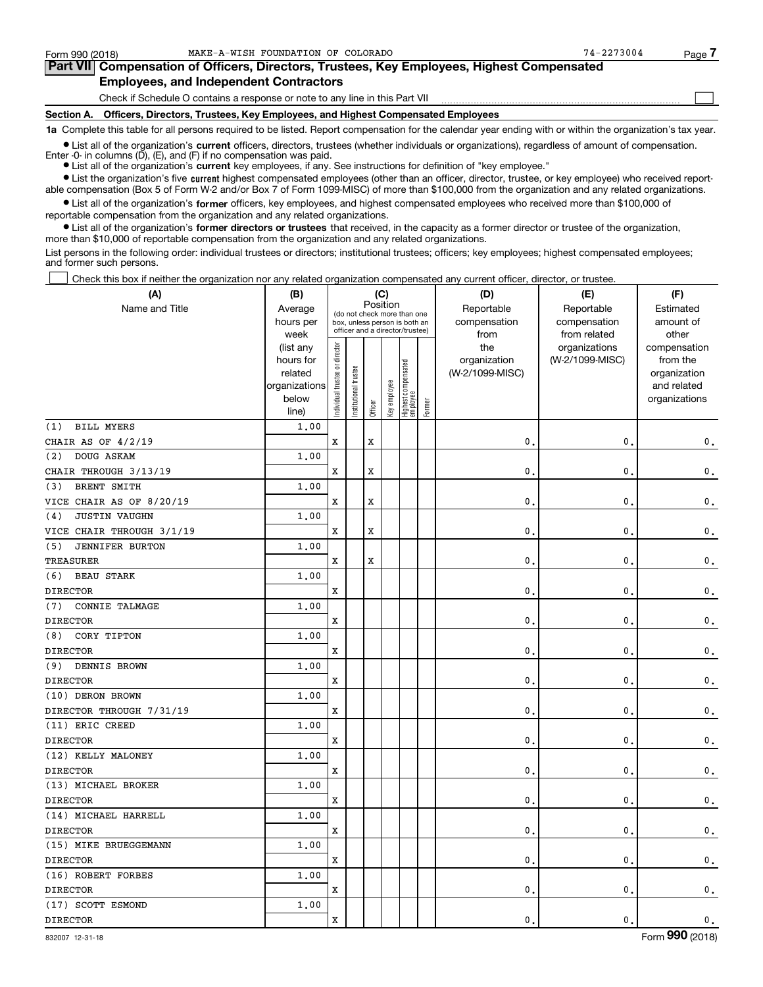$\mathcal{L}^{\text{max}}$ 

| Form 990 (2018) | MAKE-A-WISH FOUNDATION OF COLORADO                                                         | $74 - 2273004$ | Page ' |
|-----------------|--------------------------------------------------------------------------------------------|----------------|--------|
|                 | Part VII Compensation of Officers, Directors, Trustees, Key Employees, Highest Compensated |                |        |
|                 | <b>Employees, and Independent Contractors</b>                                              |                |        |

Check if Schedule O contains a response or note to any line in this Part VII

**Section A. Officers, Directors, Trustees, Key Employees, and Highest Compensated Employees**

**1a**  Complete this table for all persons required to be listed. Report compensation for the calendar year ending with or within the organization's tax year.

**•** List all of the organization's current officers, directors, trustees (whether individuals or organizations), regardless of amount of compensation.

● List all of the organization's **current** key employees, if any. See instructions for definition of "key employee." Enter -0- in columns  $(D)$ ,  $(E)$ , and  $(F)$  if no compensation was paid.

**•** List the organization's five current highest compensated employees (other than an officer, director, trustee, or key employee) who received report-

 $\bullet$  List all of the organization's **former** officers, key employees, and highest compensated employees who received more than \$100,000 of able compensation (Box 5 of Form W-2 and/or Box 7 of Form 1099-MISC) of more than \$100,000 from the organization and any related organizations.

**•** List all of the organization's former directors or trustees that received, in the capacity as a former director or trustee of the organization, reportable compensation from the organization and any related organizations. more than \$10,000 of reportable compensation from the organization and any related organizations.

List persons in the following order: individual trustees or directors; institutional trustees; officers; key employees; highest compensated employees; and former such persons.

Check this box if neither the organization nor any related organization compensated any current officer, director, or trustee.  $\mathcal{L}^{\text{max}}$ 

| (A)                           | (B)               | (C)<br>Position                |                                                                  |         |              |                                   |        | (D)             | (E)                          | (F)                |
|-------------------------------|-------------------|--------------------------------|------------------------------------------------------------------|---------|--------------|-----------------------------------|--------|-----------------|------------------------------|--------------------|
| Name and Title                | Average           |                                |                                                                  |         |              | (do not check more than one       |        | Reportable      | Reportable                   | Estimated          |
|                               | hours per<br>week |                                | box, unless person is both an<br>officer and a director/trustee) |         |              |                                   |        | compensation    | compensation<br>from related | amount of<br>other |
|                               | (list any         |                                |                                                                  |         |              |                                   |        | from<br>the     | organizations                | compensation       |
|                               | hours for         |                                |                                                                  |         |              |                                   |        | organization    | (W-2/1099-MISC)              | from the           |
|                               | related           |                                | trustee                                                          |         |              |                                   |        | (W-2/1099-MISC) |                              | organization       |
|                               | organizations     |                                |                                                                  |         |              |                                   |        |                 |                              | and related        |
|                               | below             | Individual trustee or director | Institutional t                                                  | Officer | Key employee | Highest compensated<br>  employee | Former |                 |                              | organizations      |
| <b>BILL MYERS</b>             | line)<br>1.00     |                                |                                                                  |         |              |                                   |        |                 |                              |                    |
| (1)<br>CHAIR AS OF 4/2/19     |                   | x                              |                                                                  | X       |              |                                   |        | 0               | $\mathbf{0}$                 |                    |
| DOUG ASKAM<br>(2)             |                   |                                |                                                                  |         |              |                                   |        |                 |                              | $\mathsf{0}\,.$    |
|                               | 1.00              |                                |                                                                  |         |              |                                   |        |                 |                              |                    |
| CHAIR THROUGH 3/13/19         |                   | x                              |                                                                  | x       |              |                                   |        | 0               | 0                            | 0.                 |
| BRENT SMITH<br>(3)            | 1.00              |                                |                                                                  |         |              |                                   |        |                 |                              |                    |
| VICE CHAIR AS OF 8/20/19      |                   | x                              |                                                                  | x       |              |                                   |        | 0               | 0                            | $\mathsf{0}\,.$    |
| <b>JUSTIN VAUGHN</b><br>(4)   | 1.00              |                                |                                                                  |         |              |                                   |        |                 |                              |                    |
| VICE CHAIR THROUGH 3/1/19     |                   | x                              |                                                                  | x       |              |                                   |        | 0               | 0                            | 0.                 |
| <b>JENNIFER BURTON</b><br>(5) | 1,00              |                                |                                                                  |         |              |                                   |        |                 |                              |                    |
| TREASURER                     |                   | x                              |                                                                  | X       |              |                                   |        | $\mathbf{0}$    | $\mathbf{0}$                 | $\mathbf 0$ .      |
| <b>BEAU STARK</b><br>(6)      | 1.00              |                                |                                                                  |         |              |                                   |        |                 |                              |                    |
| <b>DIRECTOR</b>               |                   | x                              |                                                                  |         |              |                                   |        | 0               | 0                            | $\mathbf 0$ .      |
| CONNIE TALMAGE<br>(7)         | 1.00              |                                |                                                                  |         |              |                                   |        |                 |                              |                    |
| <b>DIRECTOR</b>               |                   | x                              |                                                                  |         |              |                                   |        | 0               | 0                            | $\mathsf{0}\,.$    |
| CORY TIPTON<br>(8)            | 1.00              |                                |                                                                  |         |              |                                   |        |                 |                              |                    |
| <b>DIRECTOR</b>               |                   | x                              |                                                                  |         |              |                                   |        | 0               | 0                            | $\mathbf 0$ .      |
| DENNIS BROWN<br>(9)           | 1.00              |                                |                                                                  |         |              |                                   |        |                 |                              |                    |
| <b>DIRECTOR</b>               |                   | x                              |                                                                  |         |              |                                   |        | 0               | $\mathbf{0}$                 | $\mathbf 0$ .      |
| (10) DERON BROWN              | 1,00              |                                |                                                                  |         |              |                                   |        |                 |                              |                    |
| DIRECTOR THROUGH 7/31/19      |                   | X                              |                                                                  |         |              |                                   |        | $\mathbf{0}$    | $\mathbf{0}$                 | $\mathbf 0$ .      |
| (11) ERIC CREED               | 1.00              |                                |                                                                  |         |              |                                   |        |                 |                              |                    |
| <b>DIRECTOR</b>               |                   | x                              |                                                                  |         |              |                                   |        | $\mathbf{0}$ .  | $\mathbf{0}$                 | $\mathsf{0}\,$ .   |
| (12) KELLY MALONEY            | 1.00              |                                |                                                                  |         |              |                                   |        |                 |                              |                    |
| <b>DIRECTOR</b>               |                   | x                              |                                                                  |         |              |                                   |        | $\mathbf{0}$    | 0                            | $\mathsf{0}\,.$    |
| (13) MICHAEL BROKER           | 1.00              |                                |                                                                  |         |              |                                   |        |                 |                              |                    |
| <b>DIRECTOR</b>               |                   | x                              |                                                                  |         |              |                                   |        | 0.              | $\mathbf{0}$                 | $\mathsf{0}\,.$    |
| (14) MICHAEL HARRELL          | 1.00              |                                |                                                                  |         |              |                                   |        |                 |                              |                    |
| <b>DIRECTOR</b>               |                   | x                              |                                                                  |         |              |                                   |        | 0.              | $\mathbf{0}$                 | $\mathsf{0}\,.$    |
| (15) MIKE BRUEGGEMANN         | 1.00              |                                |                                                                  |         |              |                                   |        |                 |                              |                    |
| <b>DIRECTOR</b>               |                   | x                              |                                                                  |         |              |                                   |        | 0.              | $\mathbf 0$                  | $\mathbf 0$ .      |
| (16) ROBERT FORBES            | 1,00              |                                |                                                                  |         |              |                                   |        |                 |                              |                    |
| <b>DIRECTOR</b>               |                   | x                              |                                                                  |         |              |                                   |        | $\mathbf{0}$ .  | $\mathbf{0}$                 | $\mathsf{0}\,.$    |
| (17) SCOTT ESMOND             | 1.00              |                                |                                                                  |         |              |                                   |        |                 |                              |                    |
| <b>DIRECTOR</b>               |                   | x                              |                                                                  |         |              |                                   |        | 0.              | $\mathbf{0}$ .               | $\mathbf{0}$ .     |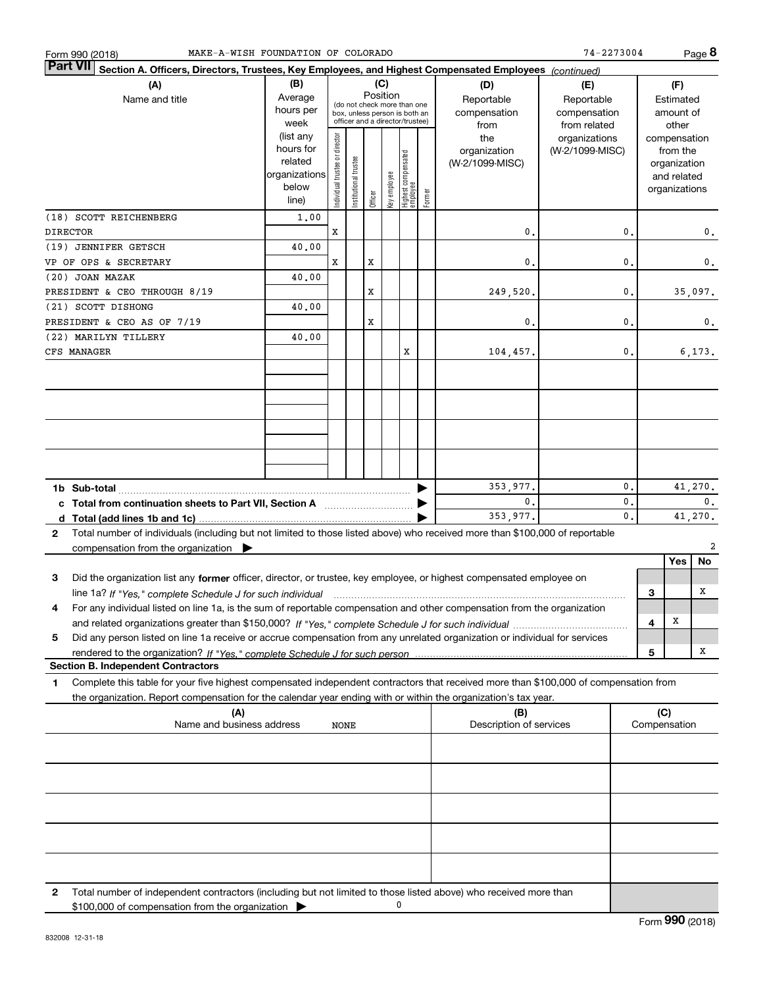| MAKE-A-WISH FOUNDATION OF COLORADO<br>Form 990 (2018)                                                                                                                                                                                                       |                                                                      |                                                                                                                    |                      |         |              |                                  |                                           |                                                   | 74-2273004                       |          |                                        |                                                                          | Page $8$      |
|-------------------------------------------------------------------------------------------------------------------------------------------------------------------------------------------------------------------------------------------------------------|----------------------------------------------------------------------|--------------------------------------------------------------------------------------------------------------------|----------------------|---------|--------------|----------------------------------|-------------------------------------------|---------------------------------------------------|----------------------------------|----------|----------------------------------------|--------------------------------------------------------------------------|---------------|
| <b>Part VII</b><br>Section A. Officers, Directors, Trustees, Key Employees, and Highest Compensated Employees (continued)                                                                                                                                   |                                                                      |                                                                                                                    |                      |         |              |                                  |                                           |                                                   |                                  |          |                                        |                                                                          |               |
| (A)<br>Name and title                                                                                                                                                                                                                                       | (B)<br>Average<br>hours per<br>week                                  | (C)<br>Position<br>(do not check more than one<br>box, unless person is both an<br>officer and a director/trustee) |                      |         |              |                                  | (D)<br>Reportable<br>compensation<br>from | (E)<br>Reportable<br>compensation<br>from related |                                  |          | (F)<br>Estimated<br>amount of<br>other |                                                                          |               |
|                                                                                                                                                                                                                                                             | (list any<br>hours for<br>related<br>organizations<br>below<br>line) | ndividual trustee or director                                                                                      | nstitutional trustee | Officer | key employee | Highest compensated<br> employee | Former                                    | the<br>organization<br>(W-2/1099-MISC)            | organizations<br>(W-2/1099-MISC) |          |                                        | compensation<br>from the<br>organization<br>and related<br>organizations |               |
| (18) SCOTT REICHENBERG                                                                                                                                                                                                                                      | 1,00                                                                 |                                                                                                                    |                      |         |              |                                  |                                           |                                                   |                                  |          |                                        |                                                                          |               |
| <b>DIRECTOR</b>                                                                                                                                                                                                                                             |                                                                      | X                                                                                                                  |                      |         |              |                                  |                                           | 0                                                 |                                  | 0.       |                                        |                                                                          | 0.            |
| (19) JENNIFER GETSCH<br>VP OF OPS & SECRETARY                                                                                                                                                                                                               | 40.00                                                                | X                                                                                                                  |                      | x       |              |                                  |                                           | $\mathbf{0}$                                      |                                  | 0.       |                                        |                                                                          | 0.            |
| (20) JOAN MAZAK                                                                                                                                                                                                                                             | 40.00                                                                |                                                                                                                    |                      |         |              |                                  |                                           |                                                   |                                  |          |                                        |                                                                          |               |
| PRESIDENT & CEO THROUGH 8/19                                                                                                                                                                                                                                |                                                                      |                                                                                                                    |                      | X       |              |                                  |                                           | 249,520.                                          |                                  | 0.       |                                        |                                                                          | 35,097.       |
| (21) SCOTT DISHONG                                                                                                                                                                                                                                          | 40.00                                                                |                                                                                                                    |                      |         |              |                                  |                                           |                                                   |                                  |          |                                        |                                                                          |               |
| PRESIDENT & CEO AS OF 7/19                                                                                                                                                                                                                                  |                                                                      |                                                                                                                    |                      | x       |              |                                  |                                           | 0.                                                |                                  | 0.       |                                        |                                                                          | 0.            |
| (22) MARILYN TILLERY<br>CFS MANAGER                                                                                                                                                                                                                         | 40.00                                                                |                                                                                                                    |                      |         |              | х                                |                                           | 104,457.                                          |                                  | 0.       |                                        |                                                                          | 6, 173.       |
|                                                                                                                                                                                                                                                             |                                                                      |                                                                                                                    |                      |         |              |                                  |                                           |                                                   |                                  |          |                                        |                                                                          |               |
|                                                                                                                                                                                                                                                             |                                                                      |                                                                                                                    |                      |         |              |                                  |                                           | 353,977.                                          |                                  | 0.       |                                        |                                                                          | 41,270.       |
|                                                                                                                                                                                                                                                             |                                                                      |                                                                                                                    |                      |         |              |                                  |                                           | $\mathbf{0}$ .<br>353,977.                        |                                  | 0.<br>0. |                                        |                                                                          | 0.<br>41,270. |
| Total number of individuals (including but not limited to those listed above) who received more than \$100,000 of reportable<br>2                                                                                                                           |                                                                      |                                                                                                                    |                      |         |              |                                  |                                           |                                                   |                                  |          |                                        |                                                                          |               |
| compensation from the organization $\blacktriangleright$                                                                                                                                                                                                    |                                                                      |                                                                                                                    |                      |         |              |                                  |                                           |                                                   |                                  |          |                                        |                                                                          | 2             |
|                                                                                                                                                                                                                                                             |                                                                      |                                                                                                                    |                      |         |              |                                  |                                           |                                                   |                                  |          |                                        | Yes                                                                      | No            |
| Did the organization list any former officer, director, or trustee, key employee, or highest compensated employee on<br>3                                                                                                                                   |                                                                      |                                                                                                                    |                      |         |              |                                  |                                           |                                                   |                                  |          |                                        |                                                                          |               |
| line 1a? If "Yes," complete Schedule J for such individual manufactured contained and the Ves," complete Schedule J for such individual                                                                                                                     |                                                                      |                                                                                                                    |                      |         |              |                                  |                                           |                                                   |                                  |          | З                                      |                                                                          | x             |
| For any individual listed on line 1a, is the sum of reportable compensation and other compensation from the organization<br>4                                                                                                                               |                                                                      |                                                                                                                    |                      |         |              |                                  |                                           |                                                   |                                  |          | 4                                      | х                                                                        |               |
| Did any person listed on line 1a receive or accrue compensation from any unrelated organization or individual for services<br>5                                                                                                                             |                                                                      |                                                                                                                    |                      |         |              |                                  |                                           |                                                   |                                  |          |                                        |                                                                          |               |
|                                                                                                                                                                                                                                                             |                                                                      |                                                                                                                    |                      |         |              |                                  |                                           |                                                   |                                  |          | 5                                      |                                                                          | х             |
| <b>Section B. Independent Contractors</b>                                                                                                                                                                                                                   |                                                                      |                                                                                                                    |                      |         |              |                                  |                                           |                                                   |                                  |          |                                        |                                                                          |               |
| Complete this table for your five highest compensated independent contractors that received more than \$100,000 of compensation from<br>1<br>the organization. Report compensation for the calendar year ending with or within the organization's tax year. |                                                                      |                                                                                                                    |                      |         |              |                                  |                                           |                                                   |                                  |          |                                        |                                                                          |               |
| (A)<br>Name and business address                                                                                                                                                                                                                            |                                                                      | <b>NONE</b>                                                                                                        |                      |         |              |                                  |                                           | (B)<br>Description of services                    |                                  |          | (C)                                    | Compensation                                                             |               |
|                                                                                                                                                                                                                                                             |                                                                      |                                                                                                                    |                      |         |              |                                  |                                           |                                                   |                                  |          |                                        |                                                                          |               |
|                                                                                                                                                                                                                                                             |                                                                      |                                                                                                                    |                      |         |              |                                  |                                           |                                                   |                                  |          |                                        |                                                                          |               |
|                                                                                                                                                                                                                                                             |                                                                      |                                                                                                                    |                      |         |              |                                  |                                           |                                                   |                                  |          |                                        |                                                                          |               |
|                                                                                                                                                                                                                                                             |                                                                      |                                                                                                                    |                      |         |              |                                  |                                           |                                                   |                                  |          |                                        |                                                                          |               |
|                                                                                                                                                                                                                                                             |                                                                      |                                                                                                                    |                      |         |              |                                  |                                           |                                                   |                                  |          |                                        |                                                                          |               |
| Total number of independent contractors (including but not limited to those listed above) who received more than<br>2<br>\$100,000 of compensation from the organization                                                                                    |                                                                      |                                                                                                                    |                      |         |              | 0                                |                                           |                                                   |                                  |          |                                        |                                                                          |               |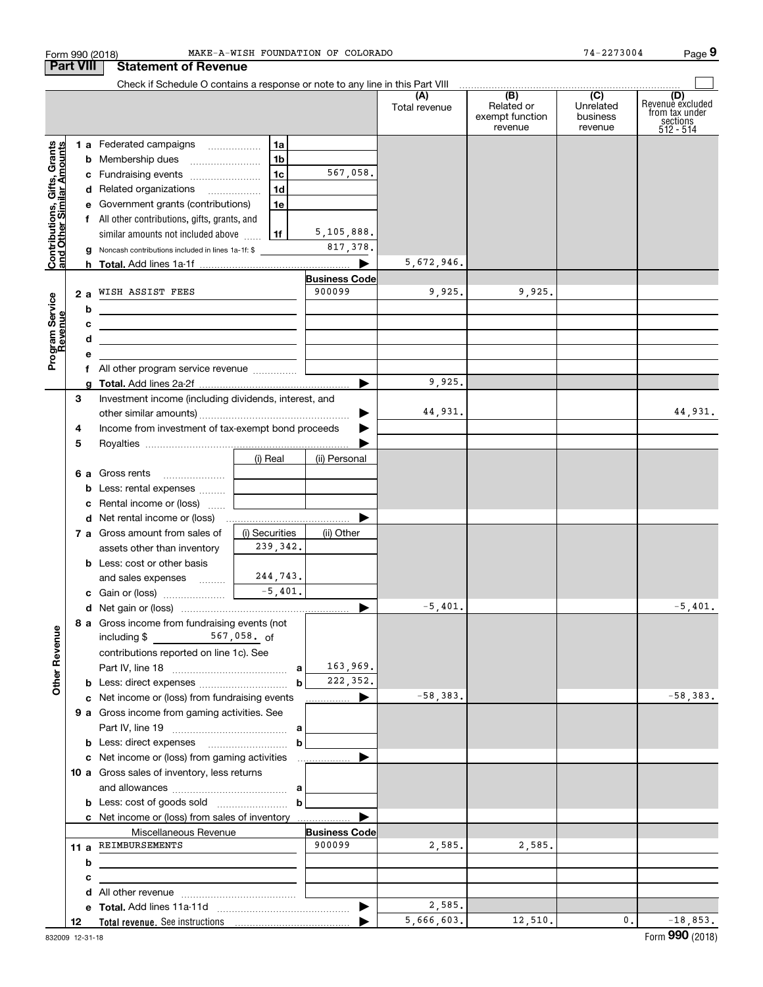|                                                           | Form 990 (2018)  |                                                                                                                       |                            | MAKE-A-WISH FOUNDATION OF COLORADO |               |                                          | 74-2273004                       | Page 9                                                             |
|-----------------------------------------------------------|------------------|-----------------------------------------------------------------------------------------------------------------------|----------------------------|------------------------------------|---------------|------------------------------------------|----------------------------------|--------------------------------------------------------------------|
|                                                           | <b>Part VIII</b> | <b>Statement of Revenue</b>                                                                                           |                            |                                    |               |                                          |                                  |                                                                    |
|                                                           |                  |                                                                                                                       |                            |                                    |               |                                          |                                  |                                                                    |
|                                                           |                  |                                                                                                                       |                            |                                    | Total revenue | Related or<br>exempt function<br>revenue | Unrelated<br>business<br>revenue | (D)<br>Revenue excluded<br>from tax under<br>sections<br>512 - 514 |
|                                                           |                  | 1 a Federated campaigns                                                                                               | 1a                         |                                    |               |                                          |                                  |                                                                    |
| Contributions, Gifts, Grants<br>and Other Similar Amounts |                  | <b>b</b> Membership dues                                                                                              | 1 <sub>b</sub>             |                                    |               |                                          |                                  |                                                                    |
|                                                           |                  | c Fundraising events                                                                                                  | 1 <sub>c</sub>             | 567,058.                           |               |                                          |                                  |                                                                    |
|                                                           |                  | d Related organizations                                                                                               | 1 <sub>d</sub>             |                                    |               |                                          |                                  |                                                                    |
|                                                           |                  | e Government grants (contributions)                                                                                   | 1e                         |                                    |               |                                          |                                  |                                                                    |
|                                                           |                  | f All other contributions, gifts, grants, and                                                                         |                            |                                    |               |                                          |                                  |                                                                    |
|                                                           |                  | similar amounts not included above                                                                                    | 1f                         | 5,105,888.                         |               |                                          |                                  |                                                                    |
|                                                           | g                | Noncash contributions included in lines 1a-1f: \$                                                                     |                            | 817,378.                           |               |                                          |                                  |                                                                    |
|                                                           |                  |                                                                                                                       |                            | ▶                                  | 5,672,946.    |                                          |                                  |                                                                    |
|                                                           |                  |                                                                                                                       |                            | <b>Business Code</b>               |               |                                          |                                  |                                                                    |
|                                                           | 2a               | WISH ASSIST FEES                                                                                                      |                            | 900099                             | 9,925.        | 9,925.                                   |                                  |                                                                    |
|                                                           | b                | the contract of the contract of the contract of the contract of the contract of                                       |                            |                                    |               |                                          |                                  |                                                                    |
|                                                           | с                |                                                                                                                       |                            |                                    |               |                                          |                                  |                                                                    |
| Program Service<br>Revenue                                | d                | <u> 2000 - Jan James James Barnett, amerikansk politik (</u>                                                          |                            |                                    |               |                                          |                                  |                                                                    |
|                                                           | е                | <u> 1989 - Johann Barn, mars and de Branch Barn, mars and de Branch Barn, mars and de Branch Barn, mars and de Br</u> |                            |                                    |               |                                          |                                  |                                                                    |
|                                                           |                  | f All other program service revenue                                                                                   |                            |                                    |               |                                          |                                  |                                                                    |
|                                                           | a                |                                                                                                                       |                            |                                    | 9,925.        |                                          |                                  |                                                                    |
|                                                           | 3                | Investment income (including dividends, interest, and                                                                 |                            |                                    |               |                                          |                                  |                                                                    |
|                                                           |                  |                                                                                                                       |                            | ▶                                  | 44,931.       |                                          |                                  | 44,931.                                                            |
|                                                           | 4                | Income from investment of tax-exempt bond proceeds                                                                    |                            |                                    |               |                                          |                                  |                                                                    |
|                                                           | 5                |                                                                                                                       |                            |                                    |               |                                          |                                  |                                                                    |
|                                                           |                  |                                                                                                                       | (i) Real                   | (ii) Personal                      |               |                                          |                                  |                                                                    |
|                                                           |                  | 6 a Gross rents                                                                                                       |                            |                                    |               |                                          |                                  |                                                                    |
|                                                           |                  | <b>b</b> Less: rental expenses                                                                                        |                            |                                    |               |                                          |                                  |                                                                    |
|                                                           | c                | Rental income or (loss)                                                                                               |                            |                                    |               |                                          |                                  |                                                                    |
|                                                           |                  |                                                                                                                       | the company of the company |                                    |               |                                          |                                  |                                                                    |
|                                                           |                  | 7 a Gross amount from sales of                                                                                        | (i) Securities             |                                    |               |                                          |                                  |                                                                    |
|                                                           |                  | assets other than inventory                                                                                           | 239,342.                   | (ii) Other                         |               |                                          |                                  |                                                                    |
|                                                           |                  | <b>b</b> Less: cost or other basis                                                                                    |                            |                                    |               |                                          |                                  |                                                                    |
|                                                           |                  | and sales expenses                                                                                                    | 244,743.                   |                                    |               |                                          |                                  |                                                                    |
|                                                           |                  |                                                                                                                       | $-5,401.$                  |                                    |               |                                          |                                  |                                                                    |
|                                                           |                  |                                                                                                                       |                            |                                    | $-5,401.$     |                                          |                                  | 5,401.                                                             |
|                                                           |                  | 8 a Gross income from fundraising events (not                                                                         |                            |                                    |               |                                          |                                  |                                                                    |
|                                                           |                  | including \$ 567,058. of                                                                                              |                            |                                    |               |                                          |                                  |                                                                    |
|                                                           |                  | contributions reported on line 1c). See                                                                               |                            |                                    |               |                                          |                                  |                                                                    |
|                                                           |                  |                                                                                                                       |                            | 163,969.                           |               |                                          |                                  |                                                                    |
| <b>Other Revenue</b>                                      |                  |                                                                                                                       | $\mathbf b$                | 222,352.                           |               |                                          |                                  |                                                                    |
|                                                           |                  | c Net income or (loss) from fundraising events                                                                        |                            | <u></u> ▶                          | $-58,383.$    |                                          |                                  | $-58,383.$                                                         |
|                                                           |                  | 9 a Gross income from gaming activities. See                                                                          |                            |                                    |               |                                          |                                  |                                                                    |
|                                                           |                  |                                                                                                                       |                            |                                    |               |                                          |                                  |                                                                    |
|                                                           |                  |                                                                                                                       | $\mathbf b$                |                                    |               |                                          |                                  |                                                                    |
|                                                           |                  |                                                                                                                       |                            |                                    |               |                                          |                                  |                                                                    |
|                                                           |                  | 10 a Gross sales of inventory, less returns                                                                           |                            |                                    |               |                                          |                                  |                                                                    |
|                                                           |                  |                                                                                                                       |                            |                                    |               |                                          |                                  |                                                                    |
|                                                           |                  | <b>b</b> Less: cost of goods sold $\ldots$ <b>b</b>                                                                   |                            |                                    |               |                                          |                                  |                                                                    |
|                                                           |                  | c Net income or (loss) from sales of inventory                                                                        |                            |                                    |               |                                          |                                  |                                                                    |
|                                                           |                  | Miscellaneous Revenue                                                                                                 |                            | <b>Business Code</b>               |               |                                          |                                  |                                                                    |
|                                                           |                  | 11 a REIMBURSEMENTS                                                                                                   |                            | 900099                             | 2,585.        | 2,585.                                   |                                  |                                                                    |
|                                                           | b                |                                                                                                                       |                            |                                    |               |                                          |                                  |                                                                    |
|                                                           |                  |                                                                                                                       |                            |                                    |               |                                          |                                  |                                                                    |
|                                                           | с                |                                                                                                                       |                            |                                    |               |                                          |                                  |                                                                    |
|                                                           | d                |                                                                                                                       |                            |                                    | 2,585.        |                                          |                                  |                                                                    |
|                                                           |                  |                                                                                                                       |                            |                                    | 5,666,603.    | 12,510.                                  | 0.                               | $-18,853.$                                                         |
|                                                           | 12               |                                                                                                                       |                            |                                    |               |                                          |                                  |                                                                    |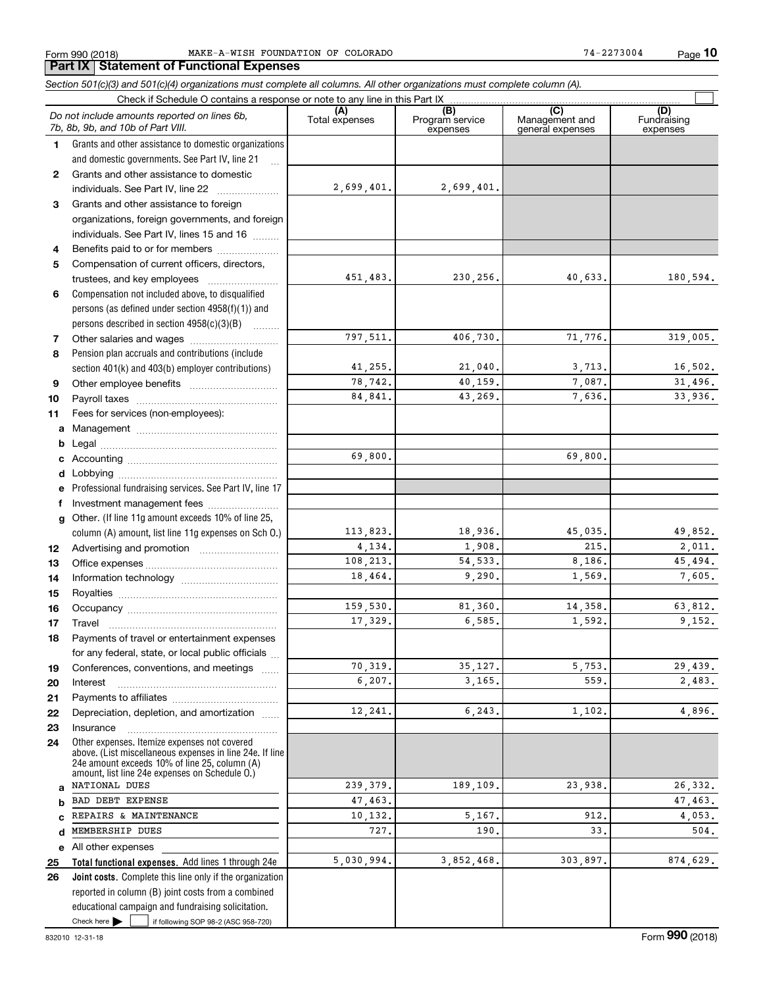*Section 501(c)(3) and 501(c)(4) organizations must complete all columns. All other organizations must complete column (A).*

**10**

### Check here  $\bullet$  if following SOP 98-2 (ASC 958-720) **Total functional expenses.**  Add lines 1 through 24e **Joint costs.** Complete this line only if the organization **(A)**<br>Total expenses **(B) (C) (D) 123** Grants and other assistance to foreign **4567891011abcdefg12131415161718192021222324abcde2526**Grants and other assistance to domestic organizations and domestic governments. See Part IV, line 21 Compensation not included above, to disqualified persons (as defined under section 4958(f)(1)) and persons described in section 4958(c)(3)(B)  $\quad \ldots \ldots \ldots$ Pension plan accruals and contributions (include section 401(k) and 403(b) employer contributions) Professional fundraising services. See Part IV, line 17 Other. (If line 11g amount exceeds 10% of line 25, column (A) amount, list line 11g expenses on Sch O.) Other expenses. Itemize expenses not covered above. (List miscellaneous expenses in line 24e. If line 24e amount exceeds 10% of line 25, column (A) amount, list line 24e expenses on Schedule O.) reported in column (B) joint costs from a combined educational campaign and fundraising solicitation. Check if Schedule O contains a response or note to any line in this Part IX (C) (C) (C) (C) (C) (C) Program service expensesManagement and general expenses Fundraising expensesGrants and other assistance to domestic individuals. See Part IV, line 22 ~~~~~~~ organizations, foreign governments, and foreign individuals. See Part IV, lines 15 and 16  $\ldots$ Benefits paid to or for members .................... Compensation of current officers, directors, trustees, and key employees  $\ldots$   $\ldots$   $\ldots$   $\ldots$   $\ldots$ Other salaries and wages ~~~~~~~~~~ Other employee benefits ~~~~~~~~~~ Payroll taxes ~~~~~~~~~~~~~~~~ Fees for services (non-employees): Management ~~~~~~~~~~~~~~~~ Legal ~~~~~~~~~~~~~~~~~~~~Accounting ~~~~~~~~~~~~~~~~~ Lobbying ~~~~~~~~~~~~~~~~~~ lnvestment management fees ....................... Advertising and promotion \_\_\_\_\_\_\_\_\_\_\_\_\_\_\_\_\_\_\_ Office expenses ~~~~~~~~~~~~~~~ Information technology ~~~~~~~~~~~ Royalties ~~~~~~~~~~~~~~~~~~ Occupancy ~~~~~~~~~~~~~~~~~ Travel ……………………………………………… Payments of travel or entertainment expenses for any federal, state, or local public officials ... Conferences, conventions, and meetings InterestPayments to affiliates [*[[[[[[[[[[[[[]]]]]* ~~~~~~~~~~~~~~~~~~Depreciation, depletion, and amortization  $\,\,\ldots\,\,$ Insurance~~~~~~~~~~~~~~~~~All other expenses Check here  $\blacktriangleright$ *Do not include amounts reported on lines 6b, 7b, 8b, 9b, and 10b of Part VIII.*  $\mathcal{L}^{\text{max}}$ 2,699,401. 451,483. 797,511. 41,255. 78,742. 84,841. 69,800. 113,823. 4,134. 108,213. 18,464. 159,530. 17,329. 70,319. 6,207. 12,241. 239,379. 47,463. 10,132. 727.5,030,994. 2,699,401. 230,256. 40,633. 180,594. 406,730. 71,776. 319,005. 21,040. 3,713. 16,502. 40,159. 7,087. 31,496. 43,269. 7,636. 33,936. 69,800. 18,936. 45,035. 49,852. 1,908. 215. 2011. 54,533. 8,186. 45,494. 9,290. 1,569. 7,605. 81,360. 14,358. 63,812. 6,585. 1,592. 9,152. 35,127. 5,753. 29,439. 3,165. 559. 2,483. 6,243. 1,102. 4,896. 189,109. 23,938. 26,332. 47,463. 5,167. 912. 4,053. 190. $0.$  33. 504. 3,852,468. 303,897. 874,629. NATIONAL DUES BAD DEBT EXPENSE REPAIRS & MAINTENANCE MEMBERSHIP DUES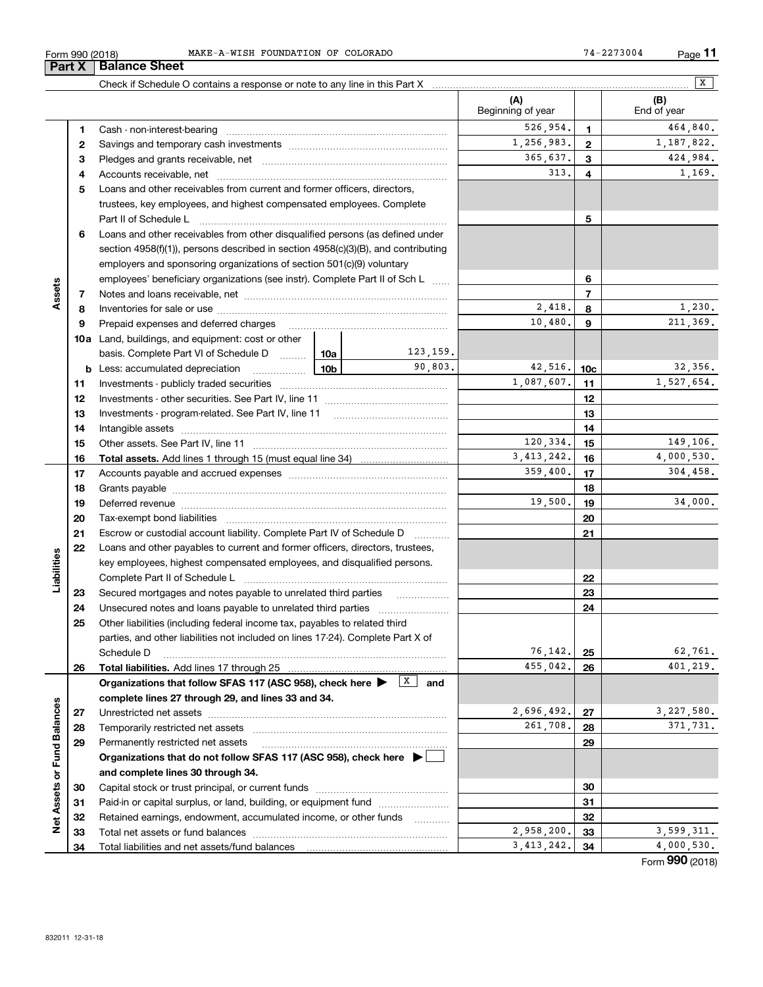| (2018)<br>990<br>∙orm | MAKE<br>COLORADO<br>FOUNDATION<br>ΟF<br>ᅚᇊᄘ<br><b>TAT T</b><br>ח הו<br>- VV - | <sup>27300</sup> 4<br>$\sim$<br><b>STATE</b><br>$P$ ade<br>$\mathbf{z}$ .<br>_______ |
|-----------------------|-------------------------------------------------------------------------------|--------------------------------------------------------------------------------------|
|                       |                                                                               |                                                                                      |

|                             |          | Check if Schedule O contains a response or note to any line in this Part X [11] manufacture in the schedule O contains a response or note to any line in this Part X [11] manufacture in the Schedule O contains a response or |            |                     |                          |                 | X                  |
|-----------------------------|----------|--------------------------------------------------------------------------------------------------------------------------------------------------------------------------------------------------------------------------------|------------|---------------------|--------------------------|-----------------|--------------------|
|                             |          |                                                                                                                                                                                                                                |            |                     | (A)<br>Beginning of year |                 | (B)<br>End of year |
|                             | 1        |                                                                                                                                                                                                                                | 526,954.   | 1                   | 464,840.                 |                 |                    |
|                             | 2        |                                                                                                                                                                                                                                |            | 1,256,983.          | $\mathbf{2}$             | 1,187,822.      |                    |
|                             | З        |                                                                                                                                                                                                                                |            |                     | 365,637.                 | 3               | 424,984.           |
|                             | 4        |                                                                                                                                                                                                                                |            |                     | 313.                     | 4               | 1,169.             |
|                             | 5        | Loans and other receivables from current and former officers, directors,                                                                                                                                                       |            |                     |                          |                 |                    |
|                             |          | trustees, key employees, and highest compensated employees. Complete                                                                                                                                                           |            |                     |                          |                 |                    |
|                             |          |                                                                                                                                                                                                                                |            |                     |                          | 5               |                    |
|                             | 6        | Loans and other receivables from other disqualified persons (as defined under                                                                                                                                                  |            |                     |                          |                 |                    |
|                             |          | section $4958(f)(1)$ , persons described in section $4958(c)(3)(B)$ , and contributing                                                                                                                                         |            |                     |                          |                 |                    |
|                             |          | employers and sponsoring organizations of section 501(c)(9) voluntary                                                                                                                                                          |            |                     |                          |                 |                    |
|                             |          | employees' beneficiary organizations (see instr). Complete Part II of Sch L                                                                                                                                                    |            |                     |                          | 6               |                    |
| Assets                      | 7        |                                                                                                                                                                                                                                |            |                     |                          | $\overline{7}$  |                    |
|                             | 8        |                                                                                                                                                                                                                                |            |                     | 2,418.                   | 8               | 1,230.             |
|                             | 9        | Prepaid expenses and deferred charges                                                                                                                                                                                          |            |                     | 10,480.                  | 9               | 211,369.           |
|                             |          | <b>10a</b> Land, buildings, and equipment: cost or other                                                                                                                                                                       |            |                     |                          |                 |                    |
|                             |          | basis. Complete Part VI of Schedule D                                                                                                                                                                                          | 10a        | 123,159.            |                          |                 |                    |
|                             |          | <b>b</b> Less: accumulated depreciation                                                                                                                                                                                        | 10b        | 90.803.             | 42,516.                  | 10 <sub>c</sub> | 32,356.            |
|                             | 11       |                                                                                                                                                                                                                                |            |                     | 1,087,607.               | 11              | 1,527,654.         |
|                             | 12       |                                                                                                                                                                                                                                |            |                     |                          | 12              |                    |
|                             | 13       |                                                                                                                                                                                                                                |            |                     |                          | 13              |                    |
|                             | 14       |                                                                                                                                                                                                                                |            |                     |                          | 14              |                    |
|                             | 15       |                                                                                                                                                                                                                                | 120,334.   | 15                  | 149,106.                 |                 |                    |
|                             | 16       |                                                                                                                                                                                                                                | 3,413,242. | 16                  | 4,000,530.               |                 |                    |
|                             | 17       |                                                                                                                                                                                                                                |            | 359,400.            | 17                       | 304, 458.       |                    |
|                             | 18       |                                                                                                                                                                                                                                |            |                     |                          | 18              |                    |
|                             | 19       | Deferred revenue manual contracts and contracts are all the manual contracts and contracts are all the manual contracts are all the manual contracts are contracted and contract are contracted and contract are contracted an |            |                     | 19,500.                  | 19              | 34,000.            |
|                             | 20       |                                                                                                                                                                                                                                |            |                     |                          | 20              |                    |
|                             | 21       | Escrow or custodial account liability. Complete Part IV of Schedule D                                                                                                                                                          |            | .                   |                          | 21              |                    |
|                             | 22       | Loans and other payables to current and former officers, directors, trustees,                                                                                                                                                  |            |                     |                          |                 |                    |
|                             |          | key employees, highest compensated employees, and disqualified persons.                                                                                                                                                        |            |                     |                          |                 |                    |
| Liabilities                 |          |                                                                                                                                                                                                                                |            |                     |                          | 22              |                    |
|                             | 23       | Secured mortgages and notes payable to unrelated third parties                                                                                                                                                                 |            |                     |                          | 23              |                    |
|                             | 24       |                                                                                                                                                                                                                                |            |                     |                          | 24              |                    |
|                             | 25       | Other liabilities (including federal income tax, payables to related third                                                                                                                                                     |            |                     |                          |                 |                    |
|                             |          | parties, and other liabilities not included on lines 17-24). Complete Part X of                                                                                                                                                |            |                     |                          |                 |                    |
|                             |          | Schedule D                                                                                                                                                                                                                     |            |                     | 76,142.                  | 25              | 62,761.            |
|                             | 26       | Total liabilities. Add lines 17 through 25                                                                                                                                                                                     |            |                     | 455,042.                 | 26              | 401,219.           |
|                             |          | Organizations that follow SFAS 117 (ASC 958), check here >                                                                                                                                                                     |            | $\mathbf{x}$<br>and |                          |                 |                    |
|                             |          | complete lines 27 through 29, and lines 33 and 34.                                                                                                                                                                             |            |                     |                          |                 |                    |
|                             | 27       |                                                                                                                                                                                                                                |            |                     | 2,696,492.               | 27              | 3,227,580.         |
|                             | 28       | Temporarily restricted net assets                                                                                                                                                                                              |            |                     | 261,708.                 | 28              | 371,731.           |
|                             | 29       | Permanently restricted net assets                                                                                                                                                                                              |            |                     |                          | 29              |                    |
|                             |          | Organizations that do not follow SFAS 117 (ASC 958), check here $\blacktriangleright$                                                                                                                                          |            |                     |                          |                 |                    |
|                             |          | and complete lines 30 through 34.                                                                                                                                                                                              |            |                     |                          |                 |                    |
|                             | 30       |                                                                                                                                                                                                                                |            |                     |                          | 30              |                    |
|                             | 31       | Paid-in or capital surplus, or land, building, or equipment fund                                                                                                                                                               |            |                     |                          | 31              |                    |
| Net Assets or Fund Balances | 32       | Retained earnings, endowment, accumulated income, or other funds                                                                                                                                                               |            | .                   | 2,958,200.               | 32              | 3,599,311.         |
|                             | 33<br>34 |                                                                                                                                                                                                                                |            |                     | 3, 413, 242.             | 33<br>34        | 4,000,530.         |
|                             |          |                                                                                                                                                                                                                                |            |                     |                          |                 |                    |

Form (2018) **990**

# **Part X Balance Sheet**

| Form 990 (2018 |  |
|----------------|--|
|                |  |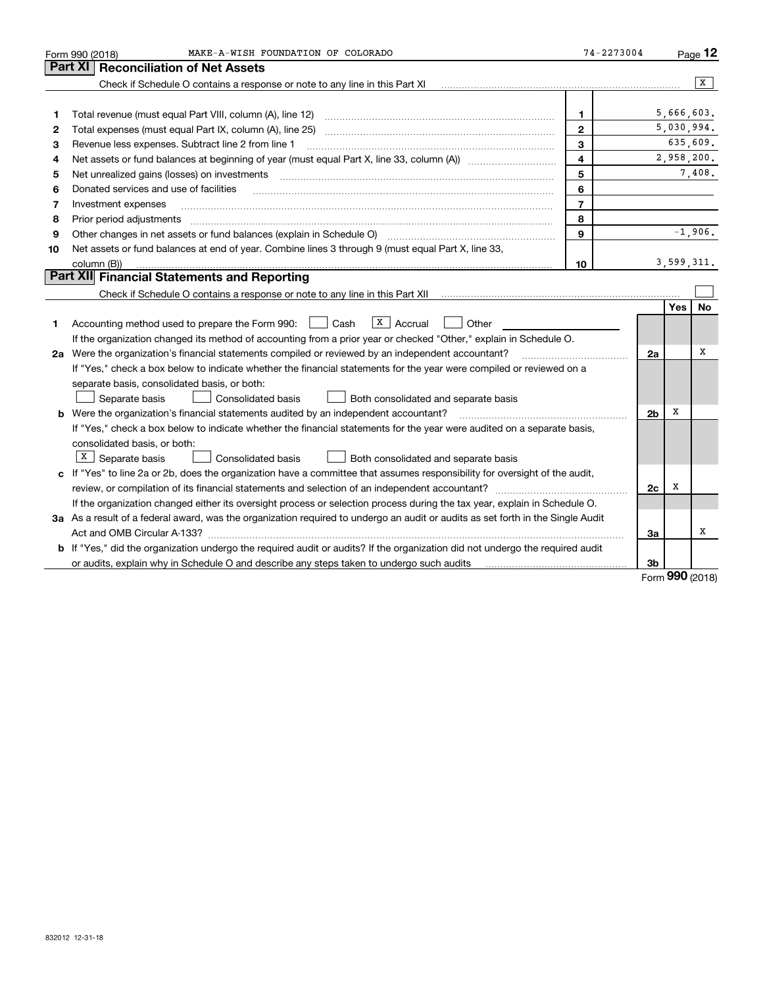|    | MAKE-A-WISH FOUNDATION OF COLORADO<br>Form 990 (2018)                                                                                                                                                                          | 74-2273004              |                |            | $Page$ 12  |
|----|--------------------------------------------------------------------------------------------------------------------------------------------------------------------------------------------------------------------------------|-------------------------|----------------|------------|------------|
|    | <b>Part XI</b><br><b>Reconciliation of Net Assets</b>                                                                                                                                                                          |                         |                |            |            |
|    | Check if Schedule O contains a response or note to any line in this Part XI                                                                                                                                                    |                         |                |            | x          |
|    |                                                                                                                                                                                                                                |                         |                |            |            |
| 1  | Total revenue (must equal Part VIII, column (A), line 12)                                                                                                                                                                      | 1                       |                | 5,666,603. |            |
| 2  |                                                                                                                                                                                                                                | $\mathbf{2}$            |                |            | 5,030,994. |
| з  | Revenue less expenses. Subtract line 2 from line 1                                                                                                                                                                             | 3                       |                |            | 635,609.   |
| 4  |                                                                                                                                                                                                                                | $\overline{\mathbf{4}}$ |                |            | 2,958,200. |
| 5  | Net unrealized gains (losses) on investments [11] matter continuum matter of the state of the state of the state of the state of the state of the state of the state of the state of the state of the state of the state of th | 5                       |                |            | 7,408.     |
| 6  | Donated services and use of facilities                                                                                                                                                                                         | 6                       |                |            |            |
| 7  | Investment expenses                                                                                                                                                                                                            | $\overline{7}$          |                |            |            |
| 8  | Prior period adjustments                                                                                                                                                                                                       | 8                       |                |            |            |
| 9  |                                                                                                                                                                                                                                | 9                       |                |            | $-1,906.$  |
| 10 | Net assets or fund balances at end of year. Combine lines 3 through 9 (must equal Part X, line 33,                                                                                                                             |                         |                |            |            |
|    | column (B))                                                                                                                                                                                                                    | 10                      |                |            | 3,599,311. |
|    | Part XII Financial Statements and Reporting                                                                                                                                                                                    |                         |                |            |            |
|    |                                                                                                                                                                                                                                |                         |                |            |            |
|    |                                                                                                                                                                                                                                |                         |                | Yes        | <b>No</b>  |
| 1. | $\vert X \vert$ Accrual<br>Accounting method used to prepare the Form 990: <u>June</u> Cash<br>Other                                                                                                                           |                         |                |            |            |
|    | If the organization changed its method of accounting from a prior year or checked "Other," explain in Schedule O.                                                                                                              |                         |                |            |            |
|    | 2a Were the organization's financial statements compiled or reviewed by an independent accountant?                                                                                                                             |                         | 2a             |            | x          |
|    | If "Yes," check a box below to indicate whether the financial statements for the year were compiled or reviewed on a                                                                                                           |                         |                |            |            |
|    | separate basis, consolidated basis, or both:                                                                                                                                                                                   |                         |                |            |            |
|    | Separate basis<br>Consolidated basis<br>Both consolidated and separate basis                                                                                                                                                   |                         |                |            |            |
|    | <b>b</b> Were the organization's financial statements audited by an independent accountant?                                                                                                                                    |                         | 2 <sub>b</sub> | x          |            |
|    | If "Yes," check a box below to indicate whether the financial statements for the year were audited on a separate basis,                                                                                                        |                         |                |            |            |
|    | consolidated basis, or both:                                                                                                                                                                                                   |                         |                |            |            |
|    | $X \mid$ Separate basis<br>Consolidated basis<br>Both consolidated and separate basis                                                                                                                                          |                         |                |            |            |
|    | c If "Yes" to line 2a or 2b, does the organization have a committee that assumes responsibility for oversight of the audit,                                                                                                    |                         |                |            |            |
|    |                                                                                                                                                                                                                                |                         | 2c             | х          |            |
|    | If the organization changed either its oversight process or selection process during the tax year, explain in Schedule O.                                                                                                      |                         |                |            |            |
|    | 3a As a result of a federal award, was the organization required to undergo an audit or audits as set forth in the Single Audit                                                                                                |                         |                |            |            |
|    |                                                                                                                                                                                                                                |                         | За             |            | X          |
|    | b If "Yes," did the organization undergo the required audit or audits? If the organization did not undergo the required audit                                                                                                  |                         |                |            |            |
|    | or audits, explain why in Schedule O and describe any steps taken to undergo such audits                                                                                                                                       |                         | 3b             | <u>nnn</u> |            |

Form (2018) **990**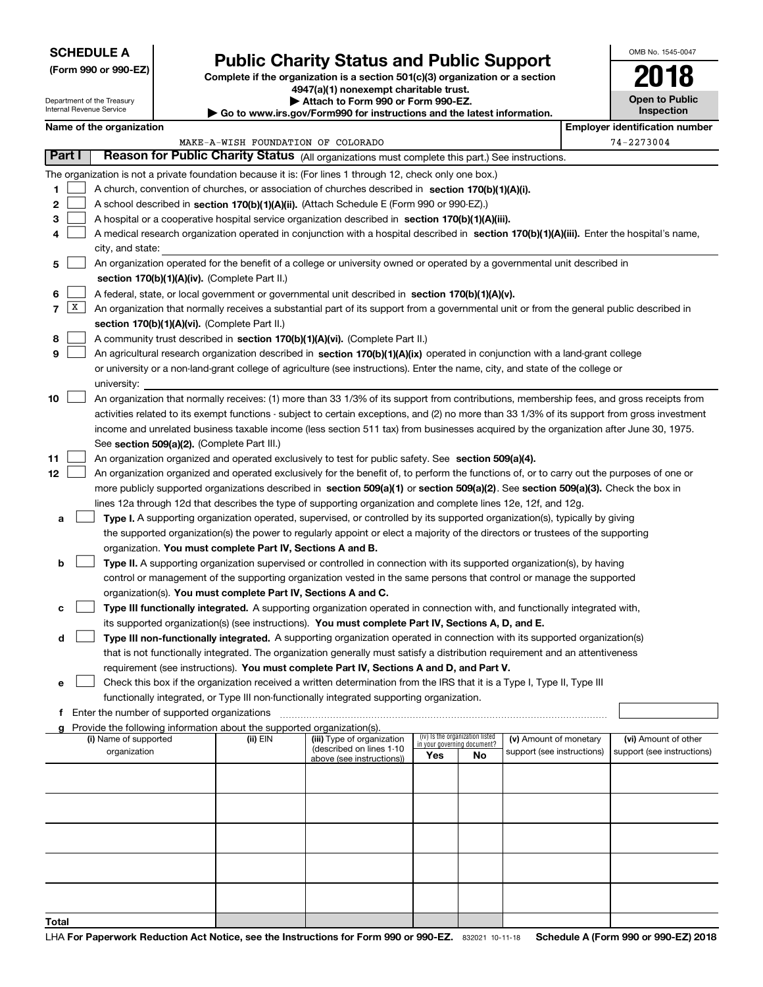## **SCHEDULE A**

Department of the Treasury Internal Revenue Service

**(Form 990 or 990-EZ)**

# **Public Charity Status and Public Support**

**Complete if the organization is a section 501(c)(3) organization or a section 4947(a)(1) nonexempt charitable trust.**

|  |  |  | Attach to Form 990 or Form 990-EZ. |  |
|--|--|--|------------------------------------|--|
|  |  |  |                                    |  |

**| Go to www.irs.gov/Form990 for instructions and the latest information.**

OMB No. 1545-0047

**Open to Public Inspection**

**2018**

|       | Name of the organization<br><b>Employer identification number</b>                                                                                                                   |                                                                                                                                                                                                                                  |                                    |  |  |  |  |                            |            |
|-------|-------------------------------------------------------------------------------------------------------------------------------------------------------------------------------------|----------------------------------------------------------------------------------------------------------------------------------------------------------------------------------------------------------------------------------|------------------------------------|--|--|--|--|----------------------------|------------|
|       |                                                                                                                                                                                     |                                                                                                                                                                                                                                  | MAKE-A-WISH FOUNDATION OF COLORADO |  |  |  |  |                            | 74-2273004 |
|       | Part I                                                                                                                                                                              | Reason for Public Charity Status (All organizations must complete this part.) See instructions.                                                                                                                                  |                                    |  |  |  |  |                            |            |
|       |                                                                                                                                                                                     | The organization is not a private foundation because it is: (For lines 1 through 12, check only one box.)                                                                                                                        |                                    |  |  |  |  |                            |            |
| 1     |                                                                                                                                                                                     | A church, convention of churches, or association of churches described in section 170(b)(1)(A)(i).                                                                                                                               |                                    |  |  |  |  |                            |            |
| 2     |                                                                                                                                                                                     | A school described in section 170(b)(1)(A)(ii). (Attach Schedule E (Form 990 or 990-EZ).)                                                                                                                                        |                                    |  |  |  |  |                            |            |
| 3     |                                                                                                                                                                                     | A hospital or a cooperative hospital service organization described in section 170(b)(1)(A)(iii).                                                                                                                                |                                    |  |  |  |  |                            |            |
| 4     |                                                                                                                                                                                     | A medical research organization operated in conjunction with a hospital described in section 170(b)(1)(A)(iii). Enter the hospital's name,                                                                                       |                                    |  |  |  |  |                            |            |
|       |                                                                                                                                                                                     | city, and state:                                                                                                                                                                                                                 |                                    |  |  |  |  |                            |            |
| 5     |                                                                                                                                                                                     | An organization operated for the benefit of a college or university owned or operated by a governmental unit described in                                                                                                        |                                    |  |  |  |  |                            |            |
|       |                                                                                                                                                                                     | section 170(b)(1)(A)(iv). (Complete Part II.)                                                                                                                                                                                    |                                    |  |  |  |  |                            |            |
| 6     |                                                                                                                                                                                     | A federal, state, or local government or governmental unit described in section 170(b)(1)(A)(v).                                                                                                                                 |                                    |  |  |  |  |                            |            |
| 7     | X                                                                                                                                                                                   | An organization that normally receives a substantial part of its support from a governmental unit or from the general public described in                                                                                        |                                    |  |  |  |  |                            |            |
|       |                                                                                                                                                                                     | section 170(b)(1)(A)(vi). (Complete Part II.)                                                                                                                                                                                    |                                    |  |  |  |  |                            |            |
| 8     |                                                                                                                                                                                     | A community trust described in section 170(b)(1)(A)(vi). (Complete Part II.)                                                                                                                                                     |                                    |  |  |  |  |                            |            |
| 9     |                                                                                                                                                                                     | An agricultural research organization described in section 170(b)(1)(A)(ix) operated in conjunction with a land-grant college                                                                                                    |                                    |  |  |  |  |                            |            |
|       |                                                                                                                                                                                     | or university or a non-land-grant college of agriculture (see instructions). Enter the name, city, and state of the college or                                                                                                   |                                    |  |  |  |  |                            |            |
|       |                                                                                                                                                                                     | university:                                                                                                                                                                                                                      |                                    |  |  |  |  |                            |            |
| 10    |                                                                                                                                                                                     | An organization that normally receives: (1) more than 33 1/3% of its support from contributions, membership fees, and gross receipts from                                                                                        |                                    |  |  |  |  |                            |            |
|       |                                                                                                                                                                                     | activities related to its exempt functions - subject to certain exceptions, and (2) no more than 33 1/3% of its support from gross investment                                                                                    |                                    |  |  |  |  |                            |            |
|       |                                                                                                                                                                                     | income and unrelated business taxable income (less section 511 tax) from businesses acquired by the organization after June 30, 1975.                                                                                            |                                    |  |  |  |  |                            |            |
|       |                                                                                                                                                                                     | See section 509(a)(2). (Complete Part III.)                                                                                                                                                                                      |                                    |  |  |  |  |                            |            |
| 11    |                                                                                                                                                                                     | An organization organized and operated exclusively to test for public safety. See section 509(a)(4).                                                                                                                             |                                    |  |  |  |  |                            |            |
| 12    |                                                                                                                                                                                     | An organization organized and operated exclusively for the benefit of, to perform the functions of, or to carry out the purposes of one or                                                                                       |                                    |  |  |  |  |                            |            |
|       |                                                                                                                                                                                     | more publicly supported organizations described in section 509(a)(1) or section 509(a)(2). See section 509(a)(3). Check the box in                                                                                               |                                    |  |  |  |  |                            |            |
|       |                                                                                                                                                                                     | lines 12a through 12d that describes the type of supporting organization and complete lines 12e, 12f, and 12g.                                                                                                                   |                                    |  |  |  |  |                            |            |
| a     |                                                                                                                                                                                     | Type I. A supporting organization operated, supervised, or controlled by its supported organization(s), typically by giving                                                                                                      |                                    |  |  |  |  |                            |            |
|       |                                                                                                                                                                                     | the supported organization(s) the power to regularly appoint or elect a majority of the directors or trustees of the supporting                                                                                                  |                                    |  |  |  |  |                            |            |
|       |                                                                                                                                                                                     | organization. You must complete Part IV, Sections A and B.                                                                                                                                                                       |                                    |  |  |  |  |                            |            |
| b     |                                                                                                                                                                                     | Type II. A supporting organization supervised or controlled in connection with its supported organization(s), by having                                                                                                          |                                    |  |  |  |  |                            |            |
|       |                                                                                                                                                                                     | control or management of the supporting organization vested in the same persons that control or manage the supported                                                                                                             |                                    |  |  |  |  |                            |            |
|       |                                                                                                                                                                                     | organization(s). You must complete Part IV, Sections A and C.                                                                                                                                                                    |                                    |  |  |  |  |                            |            |
| c     |                                                                                                                                                                                     | Type III functionally integrated. A supporting organization operated in connection with, and functionally integrated with,<br>its supported organization(s) (see instructions). You must complete Part IV, Sections A, D, and E. |                                    |  |  |  |  |                            |            |
| d     |                                                                                                                                                                                     | Type III non-functionally integrated. A supporting organization operated in connection with its supported organization(s)                                                                                                        |                                    |  |  |  |  |                            |            |
|       |                                                                                                                                                                                     | that is not functionally integrated. The organization generally must satisfy a distribution requirement and an attentiveness                                                                                                     |                                    |  |  |  |  |                            |            |
|       |                                                                                                                                                                                     | requirement (see instructions). You must complete Part IV, Sections A and D, and Part V.                                                                                                                                         |                                    |  |  |  |  |                            |            |
|       |                                                                                                                                                                                     | Check this box if the organization received a written determination from the IRS that it is a Type I, Type II, Type III                                                                                                          |                                    |  |  |  |  |                            |            |
|       |                                                                                                                                                                                     | functionally integrated, or Type III non-functionally integrated supporting organization.                                                                                                                                        |                                    |  |  |  |  |                            |            |
|       | f Enter the number of supported organizations                                                                                                                                       |                                                                                                                                                                                                                                  |                                    |  |  |  |  |                            |            |
|       | g Provide the following information about the supported organization(s).                                                                                                            |                                                                                                                                                                                                                                  |                                    |  |  |  |  |                            |            |
|       | (iv) Is the organization listed<br>(i) Name of supported<br>(ii) EIN<br>(iii) Type of organization<br>(v) Amount of monetary<br>(vi) Amount of other<br>in your governing document? |                                                                                                                                                                                                                                  |                                    |  |  |  |  |                            |            |
|       | (described on lines 1-10<br>organization<br>support (see instructions)<br>Yes<br>No<br>above (see instructions))                                                                    |                                                                                                                                                                                                                                  |                                    |  |  |  |  | support (see instructions) |            |
|       |                                                                                                                                                                                     |                                                                                                                                                                                                                                  |                                    |  |  |  |  |                            |            |
|       |                                                                                                                                                                                     |                                                                                                                                                                                                                                  |                                    |  |  |  |  |                            |            |
|       |                                                                                                                                                                                     |                                                                                                                                                                                                                                  |                                    |  |  |  |  |                            |            |
|       |                                                                                                                                                                                     |                                                                                                                                                                                                                                  |                                    |  |  |  |  |                            |            |
|       |                                                                                                                                                                                     |                                                                                                                                                                                                                                  |                                    |  |  |  |  |                            |            |
|       |                                                                                                                                                                                     |                                                                                                                                                                                                                                  |                                    |  |  |  |  |                            |            |
|       |                                                                                                                                                                                     |                                                                                                                                                                                                                                  |                                    |  |  |  |  |                            |            |
|       |                                                                                                                                                                                     |                                                                                                                                                                                                                                  |                                    |  |  |  |  |                            |            |
|       |                                                                                                                                                                                     |                                                                                                                                                                                                                                  |                                    |  |  |  |  |                            |            |
| Total |                                                                                                                                                                                     |                                                                                                                                                                                                                                  |                                    |  |  |  |  |                            |            |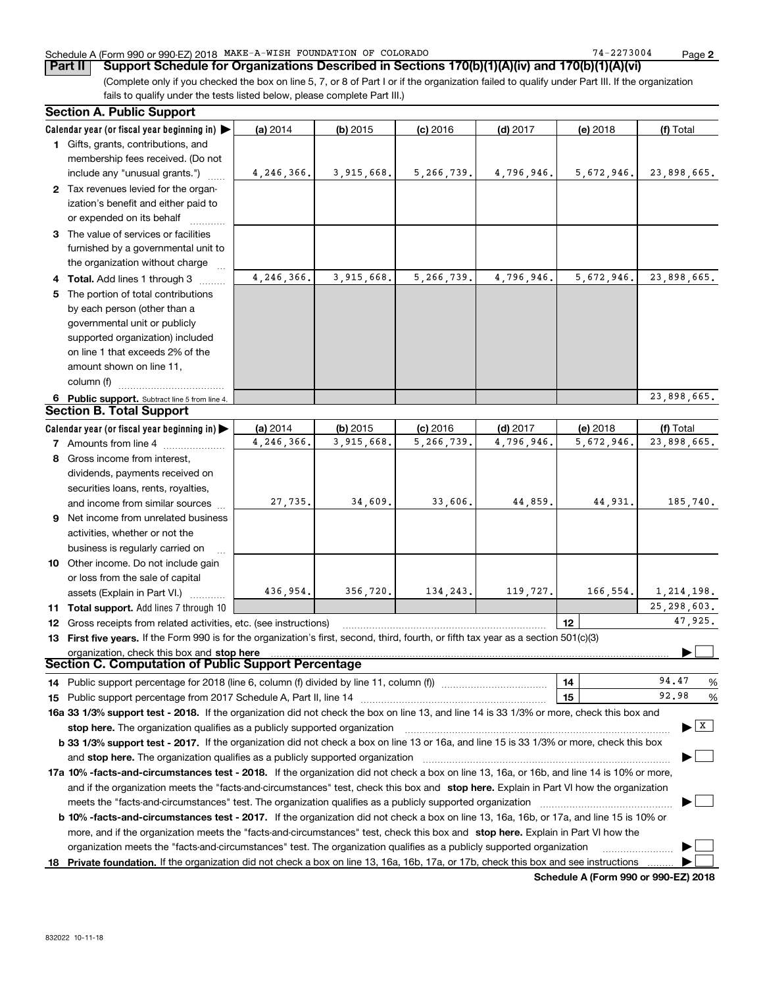## Schedule A (Form 990 or 990-EZ) 2018 Page MAKE-A-WISH FOUNDATION OF COLORADO 74-2273004

(Complete only if you checked the box on line 5, 7, or 8 of Part I or if the organization failed to qualify under Part III. If the organization fails to qualify under the tests listed below, please complete Part III.) **Part II** | Support Schedule for Organizations Described in Sections 170(b)(1)(A)(iv) and 170(b)(1)(A)(vi)

|    | <b>Section A. Public Support</b>                                                                                                                                                                                                    |            |            |            |            |            |                                       |
|----|-------------------------------------------------------------------------------------------------------------------------------------------------------------------------------------------------------------------------------------|------------|------------|------------|------------|------------|---------------------------------------|
|    | Calendar year (or fiscal year beginning in)                                                                                                                                                                                         | (a) 2014   | $(b)$ 2015 | $(c)$ 2016 | $(d)$ 2017 | (e) 2018   | (f) Total                             |
|    | 1 Gifts, grants, contributions, and                                                                                                                                                                                                 |            |            |            |            |            |                                       |
|    | membership fees received. (Do not                                                                                                                                                                                                   |            |            |            |            |            |                                       |
|    | include any "unusual grants.")                                                                                                                                                                                                      | 4,246,366. | 3,915,668. | 5,266,739. | 4,796,946. | 5,672,946. | 23,898,665.                           |
|    | 2 Tax revenues levied for the organ-                                                                                                                                                                                                |            |            |            |            |            |                                       |
|    | ization's benefit and either paid to                                                                                                                                                                                                |            |            |            |            |            |                                       |
|    | or expended on its behalf                                                                                                                                                                                                           |            |            |            |            |            |                                       |
|    | 3 The value of services or facilities                                                                                                                                                                                               |            |            |            |            |            |                                       |
|    | furnished by a governmental unit to                                                                                                                                                                                                 |            |            |            |            |            |                                       |
|    | the organization without charge                                                                                                                                                                                                     |            |            |            |            |            |                                       |
|    | 4 Total. Add lines 1 through 3                                                                                                                                                                                                      | 4,246,366. | 3,915,668. | 5,266,739. | 4,796,946. | 5,672,946. | 23,898,665.                           |
| 5. | The portion of total contributions                                                                                                                                                                                                  |            |            |            |            |            |                                       |
|    | by each person (other than a                                                                                                                                                                                                        |            |            |            |            |            |                                       |
|    | governmental unit or publicly                                                                                                                                                                                                       |            |            |            |            |            |                                       |
|    | supported organization) included                                                                                                                                                                                                    |            |            |            |            |            |                                       |
|    | on line 1 that exceeds 2% of the                                                                                                                                                                                                    |            |            |            |            |            |                                       |
|    | amount shown on line 11,                                                                                                                                                                                                            |            |            |            |            |            |                                       |
|    | column (f)                                                                                                                                                                                                                          |            |            |            |            |            |                                       |
|    | 6 Public support. Subtract line 5 from line 4.                                                                                                                                                                                      |            |            |            |            |            | 23,898,665.                           |
|    | <b>Section B. Total Support</b>                                                                                                                                                                                                     |            |            |            |            |            |                                       |
|    | Calendar year (or fiscal year beginning in)                                                                                                                                                                                         | (a) 2014   | $(b)$ 2015 | $(c)$ 2016 | $(d)$ 2017 | (e) 2018   | (f) Total                             |
|    | 7 Amounts from line 4                                                                                                                                                                                                               | 4,246,366. | 3,915,668. | 5,266,739. | 4,796,946. | 5,672,946. | 23,898,665.                           |
|    | 8 Gross income from interest,                                                                                                                                                                                                       |            |            |            |            |            |                                       |
|    | dividends, payments received on                                                                                                                                                                                                     |            |            |            |            |            |                                       |
|    | securities loans, rents, royalties,                                                                                                                                                                                                 |            |            |            |            |            |                                       |
|    | and income from similar sources                                                                                                                                                                                                     | 27,735.    | 34,609.    | 33,606.    | 44,859.    | 44,931.    | 185,740.                              |
|    | 9 Net income from unrelated business                                                                                                                                                                                                |            |            |            |            |            |                                       |
|    | activities, whether or not the                                                                                                                                                                                                      |            |            |            |            |            |                                       |
|    |                                                                                                                                                                                                                                     |            |            |            |            |            |                                       |
|    | business is regularly carried on<br>10 Other income. Do not include gain                                                                                                                                                            |            |            |            |            |            |                                       |
|    | or loss from the sale of capital                                                                                                                                                                                                    |            |            |            |            |            |                                       |
|    |                                                                                                                                                                                                                                     | 436,954.   | 356,720.   | 134,243.   | 119,727.   | 166, 554.  | 1,214,198.                            |
|    | assets (Explain in Part VI.)<br>11 Total support. Add lines 7 through 10                                                                                                                                                            |            |            |            |            |            | 25, 298, 603.                         |
|    |                                                                                                                                                                                                                                     |            |            |            |            | 12         | 47,925.                               |
|    | 12 Gross receipts from related activities, etc. (see instructions)<br>13 First five years. If the Form 990 is for the organization's first, second, third, fourth, or fifth tax year as a section 501(c)(3)                         |            |            |            |            |            |                                       |
|    |                                                                                                                                                                                                                                     |            |            |            |            |            |                                       |
|    | organization, check this box and stop here<br>Section C. Computation of Public Support Percentage                                                                                                                                   |            |            |            |            |            |                                       |
|    | 14 Public support percentage for 2018 (line 6, column (f) divided by line 11, column (f) <i>mummention</i>                                                                                                                          |            |            |            |            | 14         | 94.47<br>%                            |
|    |                                                                                                                                                                                                                                     |            |            |            |            | 15         | 92.98<br>%                            |
|    | 16a 33 1/3% support test - 2018. If the organization did not check the box on line 13, and line 14 is 33 1/3% or more, check this box and                                                                                           |            |            |            |            |            |                                       |
|    | stop here. The organization qualifies as a publicly supported organization                                                                                                                                                          |            |            |            |            |            | $\blacktriangleright$ $\mid$ X $\mid$ |
|    | b 33 1/3% support test - 2017. If the organization did not check a box on line 13 or 16a, and line 15 is 33 1/3% or more, check this box                                                                                            |            |            |            |            |            |                                       |
|    |                                                                                                                                                                                                                                     |            |            |            |            |            |                                       |
|    | and <b>stop here.</b> The organization qualifies as a publicly supported organization<br>17a 10% -facts-and-circumstances test - 2018. If the organization did not check a box on line 13, 16a, or 16b, and line 14 is 10% or more, |            |            |            |            |            |                                       |
|    |                                                                                                                                                                                                                                     |            |            |            |            |            |                                       |
|    | and if the organization meets the "facts-and-circumstances" test, check this box and stop here. Explain in Part VI how the organization                                                                                             |            |            |            |            |            |                                       |
|    | meets the "facts-and-circumstances" test. The organization qualifies as a publicly supported organization                                                                                                                           |            |            |            |            |            |                                       |
|    | <b>b 10% -facts-and-circumstances test - 2017.</b> If the organization did not check a box on line 13, 16a, 16b, or 17a, and line 15 is 10% or                                                                                      |            |            |            |            |            |                                       |
|    | more, and if the organization meets the "facts-and-circumstances" test, check this box and stop here. Explain in Part VI how the                                                                                                    |            |            |            |            |            |                                       |
|    | organization meets the "facts-and-circumstances" test. The organization qualifies as a publicly supported organization                                                                                                              |            |            |            |            |            |                                       |
|    | 18 Private foundation. If the organization did not check a box on line 13, 16a, 16b, 17a, or 17b, check this box and see instructions                                                                                               |            |            |            |            |            |                                       |

**Schedule A (Form 990 or 990-EZ) 2018**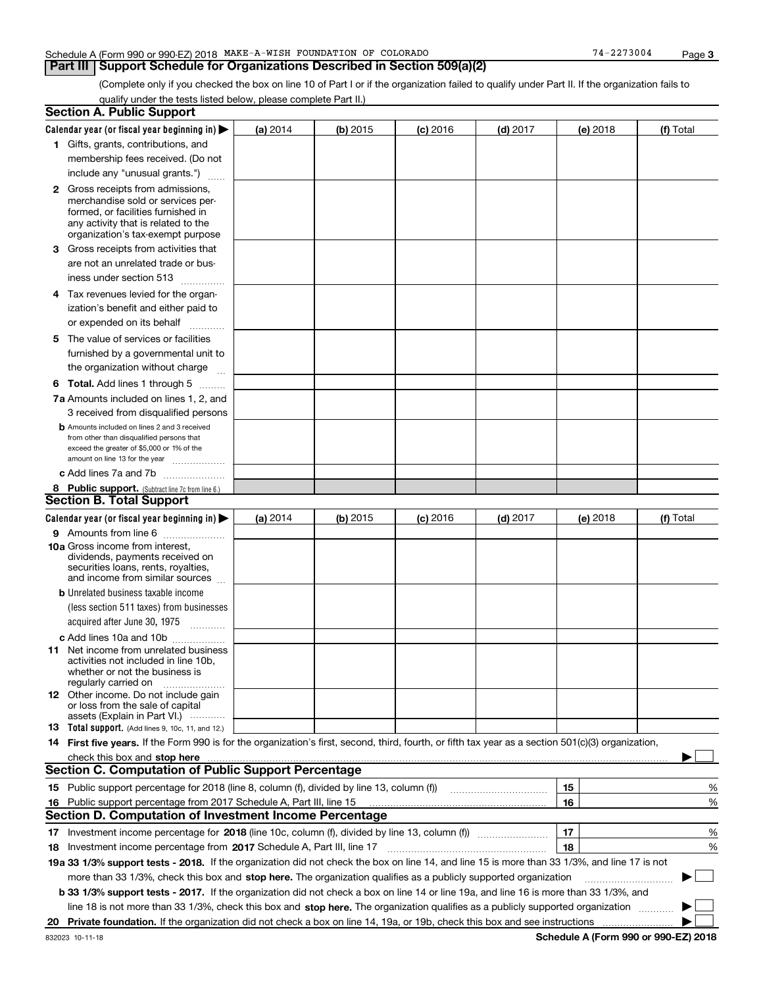### Schedule A (Form 990 or 990-EZ) 2018 Page MAKE-A-WISH FOUNDATION OF COLORADO 74-2273004

**3**

(Complete only if you checked the box on line 10 of Part I or if the organization failed to qualify under Part II. If the organization fails to qualify under the tests listed below, please complete Part II.)

| Calendar year (or fiscal year beginning in) $\blacktriangleright$<br>(a) 2014<br>(b) 2015<br>$(d)$ 2017<br>$(c)$ 2016<br>(e) 2018<br>1 Gifts, grants, contributions, and<br>membership fees received. (Do not<br>include any "unusual grants.")<br><b>2</b> Gross receipts from admissions,<br>merchandise sold or services per-<br>formed, or facilities furnished in<br>any activity that is related to the<br>organization's tax-exempt purpose<br>3 Gross receipts from activities that<br>are not an unrelated trade or bus-<br>iness under section 513<br>4 Tax revenues levied for the organ-<br>ization's benefit and either paid to<br>or expended on its behalf<br>.<br>5 The value of services or facilities<br>furnished by a governmental unit to<br>the organization without charge<br><b>6 Total.</b> Add lines 1 through 5<br>7a Amounts included on lines 1, 2, and<br>3 received from disqualified persons<br><b>b</b> Amounts included on lines 2 and 3 received<br>from other than disqualified persons that<br>exceed the greater of \$5,000 or 1% of the<br>amount on line 13 for the year<br>c Add lines 7a and 7b<br>8 Public support. (Subtract line 7c from line 6.)<br>Calendar year (or fiscal year beginning in)<br>$(b)$ 2015<br>$(d)$ 2017<br>(a) 2014<br>$(c)$ 2016<br>(e) 2018<br>9 Amounts from line 6<br><b>10a</b> Gross income from interest,<br>dividends, payments received on<br>securities loans, rents, royalties,<br>and income from similar sources<br><b>b</b> Unrelated business taxable income<br>(less section 511 taxes) from businesses<br>acquired after June 30, 1975 [10001]<br>c Add lines 10a and 10b<br>11 Net income from unrelated business<br>activities not included in line 10b,<br>whether or not the business is<br>regularly carried on<br><b>12</b> Other income. Do not include gain<br>or loss from the sale of capital<br>assets (Explain in Part VI.)<br><b>13</b> Total support. (Add lines 9, 10c, 11, and 12.)<br>14 First five years. If the Form 990 is for the organization's first, second, third, fourth, or fifth tax year as a section 501(c)(3) organization,<br>check this box and stop here manufactured and control the state of the state of the state of the state of the state of the state of the state of the state of the state of the state of the state of the state of the state of<br><b>Section C. Computation of Public Support Percentage</b><br>15 Public support percentage for 2018 (line 8, column (f), divided by line 13, column (f))<br>15<br>16<br>16 Public support percentage from 2017 Schedule A, Part III, line 15<br><b>Section D. Computation of Investment Income Percentage</b><br>17<br>17 Investment income percentage for 2018 (line 10c, column (f), divided by line 13, column (f))<br>18<br><b>18</b> Investment income percentage from <b>2017</b> Schedule A, Part III, line 17<br>19a 33 1/3% support tests - 2018. If the organization did not check the box on line 14, and line 15 is more than 33 1/3%, and line 17 is not<br>more than 33 1/3%, check this box and stop here. The organization qualifies as a publicly supported organization<br>b 33 1/3% support tests - 2017. If the organization did not check a box on line 14 or line 19a, and line 16 is more than 33 1/3%, and<br>line 18 is not more than 33 1/3%, check this box and stop here. The organization qualifies as a publicly supported organization<br>20 | <b>Section A. Public Support</b> |  |  |  |  |  |             |
|----------------------------------------------------------------------------------------------------------------------------------------------------------------------------------------------------------------------------------------------------------------------------------------------------------------------------------------------------------------------------------------------------------------------------------------------------------------------------------------------------------------------------------------------------------------------------------------------------------------------------------------------------------------------------------------------------------------------------------------------------------------------------------------------------------------------------------------------------------------------------------------------------------------------------------------------------------------------------------------------------------------------------------------------------------------------------------------------------------------------------------------------------------------------------------------------------------------------------------------------------------------------------------------------------------------------------------------------------------------------------------------------------------------------------------------------------------------------------------------------------------------------------------------------------------------------------------------------------------------------------------------------------------------------------------------------------------------------------------------------------------------------------------------------------------------------------------------------------------------------------------------------------------------------------------------------------------------------------------------------------------------------------------------------------------------------------------------------------------------------------------------------------------------------------------------------------------------------------------------------------------------------------------------------------------------------------------------------------------------------------------------------------------------------------------------------------------------------------------------------------------------------------------------------------------------------------------------------------------------------------------------------------------------------------------------------------------------------------------------------------------------------------------------------------------------------------------------------------------------------------------------------------------------------------------------------------------------------------------------------------------------------------------------------------------------------------------------------------------------------------------------------------------------------------------------------------------------------------------------------------------------------------------------------------------------------------------------------------------------------------------------------------------------------------------------------------------------|----------------------------------|--|--|--|--|--|-------------|
|                                                                                                                                                                                                                                                                                                                                                                                                                                                                                                                                                                                                                                                                                                                                                                                                                                                                                                                                                                                                                                                                                                                                                                                                                                                                                                                                                                                                                                                                                                                                                                                                                                                                                                                                                                                                                                                                                                                                                                                                                                                                                                                                                                                                                                                                                                                                                                                                                                                                                                                                                                                                                                                                                                                                                                                                                                                                                                                                                                                                                                                                                                                                                                                                                                                                                                                                                                                                                                                                |                                  |  |  |  |  |  | (f) Total   |
|                                                                                                                                                                                                                                                                                                                                                                                                                                                                                                                                                                                                                                                                                                                                                                                                                                                                                                                                                                                                                                                                                                                                                                                                                                                                                                                                                                                                                                                                                                                                                                                                                                                                                                                                                                                                                                                                                                                                                                                                                                                                                                                                                                                                                                                                                                                                                                                                                                                                                                                                                                                                                                                                                                                                                                                                                                                                                                                                                                                                                                                                                                                                                                                                                                                                                                                                                                                                                                                                |                                  |  |  |  |  |  |             |
|                                                                                                                                                                                                                                                                                                                                                                                                                                                                                                                                                                                                                                                                                                                                                                                                                                                                                                                                                                                                                                                                                                                                                                                                                                                                                                                                                                                                                                                                                                                                                                                                                                                                                                                                                                                                                                                                                                                                                                                                                                                                                                                                                                                                                                                                                                                                                                                                                                                                                                                                                                                                                                                                                                                                                                                                                                                                                                                                                                                                                                                                                                                                                                                                                                                                                                                                                                                                                                                                |                                  |  |  |  |  |  |             |
|                                                                                                                                                                                                                                                                                                                                                                                                                                                                                                                                                                                                                                                                                                                                                                                                                                                                                                                                                                                                                                                                                                                                                                                                                                                                                                                                                                                                                                                                                                                                                                                                                                                                                                                                                                                                                                                                                                                                                                                                                                                                                                                                                                                                                                                                                                                                                                                                                                                                                                                                                                                                                                                                                                                                                                                                                                                                                                                                                                                                                                                                                                                                                                                                                                                                                                                                                                                                                                                                |                                  |  |  |  |  |  |             |
|                                                                                                                                                                                                                                                                                                                                                                                                                                                                                                                                                                                                                                                                                                                                                                                                                                                                                                                                                                                                                                                                                                                                                                                                                                                                                                                                                                                                                                                                                                                                                                                                                                                                                                                                                                                                                                                                                                                                                                                                                                                                                                                                                                                                                                                                                                                                                                                                                                                                                                                                                                                                                                                                                                                                                                                                                                                                                                                                                                                                                                                                                                                                                                                                                                                                                                                                                                                                                                                                |                                  |  |  |  |  |  |             |
|                                                                                                                                                                                                                                                                                                                                                                                                                                                                                                                                                                                                                                                                                                                                                                                                                                                                                                                                                                                                                                                                                                                                                                                                                                                                                                                                                                                                                                                                                                                                                                                                                                                                                                                                                                                                                                                                                                                                                                                                                                                                                                                                                                                                                                                                                                                                                                                                                                                                                                                                                                                                                                                                                                                                                                                                                                                                                                                                                                                                                                                                                                                                                                                                                                                                                                                                                                                                                                                                |                                  |  |  |  |  |  |             |
|                                                                                                                                                                                                                                                                                                                                                                                                                                                                                                                                                                                                                                                                                                                                                                                                                                                                                                                                                                                                                                                                                                                                                                                                                                                                                                                                                                                                                                                                                                                                                                                                                                                                                                                                                                                                                                                                                                                                                                                                                                                                                                                                                                                                                                                                                                                                                                                                                                                                                                                                                                                                                                                                                                                                                                                                                                                                                                                                                                                                                                                                                                                                                                                                                                                                                                                                                                                                                                                                |                                  |  |  |  |  |  |             |
| <b>Section B. Total Support</b>                                                                                                                                                                                                                                                                                                                                                                                                                                                                                                                                                                                                                                                                                                                                                                                                                                                                                                                                                                                                                                                                                                                                                                                                                                                                                                                                                                                                                                                                                                                                                                                                                                                                                                                                                                                                                                                                                                                                                                                                                                                                                                                                                                                                                                                                                                                                                                                                                                                                                                                                                                                                                                                                                                                                                                                                                                                                                                                                                                                                                                                                                                                                                                                                                                                                                                                                                                                                                                |                                  |  |  |  |  |  |             |
|                                                                                                                                                                                                                                                                                                                                                                                                                                                                                                                                                                                                                                                                                                                                                                                                                                                                                                                                                                                                                                                                                                                                                                                                                                                                                                                                                                                                                                                                                                                                                                                                                                                                                                                                                                                                                                                                                                                                                                                                                                                                                                                                                                                                                                                                                                                                                                                                                                                                                                                                                                                                                                                                                                                                                                                                                                                                                                                                                                                                                                                                                                                                                                                                                                                                                                                                                                                                                                                                |                                  |  |  |  |  |  |             |
|                                                                                                                                                                                                                                                                                                                                                                                                                                                                                                                                                                                                                                                                                                                                                                                                                                                                                                                                                                                                                                                                                                                                                                                                                                                                                                                                                                                                                                                                                                                                                                                                                                                                                                                                                                                                                                                                                                                                                                                                                                                                                                                                                                                                                                                                                                                                                                                                                                                                                                                                                                                                                                                                                                                                                                                                                                                                                                                                                                                                                                                                                                                                                                                                                                                                                                                                                                                                                                                                |                                  |  |  |  |  |  |             |
|                                                                                                                                                                                                                                                                                                                                                                                                                                                                                                                                                                                                                                                                                                                                                                                                                                                                                                                                                                                                                                                                                                                                                                                                                                                                                                                                                                                                                                                                                                                                                                                                                                                                                                                                                                                                                                                                                                                                                                                                                                                                                                                                                                                                                                                                                                                                                                                                                                                                                                                                                                                                                                                                                                                                                                                                                                                                                                                                                                                                                                                                                                                                                                                                                                                                                                                                                                                                                                                                |                                  |  |  |  |  |  |             |
|                                                                                                                                                                                                                                                                                                                                                                                                                                                                                                                                                                                                                                                                                                                                                                                                                                                                                                                                                                                                                                                                                                                                                                                                                                                                                                                                                                                                                                                                                                                                                                                                                                                                                                                                                                                                                                                                                                                                                                                                                                                                                                                                                                                                                                                                                                                                                                                                                                                                                                                                                                                                                                                                                                                                                                                                                                                                                                                                                                                                                                                                                                                                                                                                                                                                                                                                                                                                                                                                |                                  |  |  |  |  |  |             |
|                                                                                                                                                                                                                                                                                                                                                                                                                                                                                                                                                                                                                                                                                                                                                                                                                                                                                                                                                                                                                                                                                                                                                                                                                                                                                                                                                                                                                                                                                                                                                                                                                                                                                                                                                                                                                                                                                                                                                                                                                                                                                                                                                                                                                                                                                                                                                                                                                                                                                                                                                                                                                                                                                                                                                                                                                                                                                                                                                                                                                                                                                                                                                                                                                                                                                                                                                                                                                                                                |                                  |  |  |  |  |  |             |
|                                                                                                                                                                                                                                                                                                                                                                                                                                                                                                                                                                                                                                                                                                                                                                                                                                                                                                                                                                                                                                                                                                                                                                                                                                                                                                                                                                                                                                                                                                                                                                                                                                                                                                                                                                                                                                                                                                                                                                                                                                                                                                                                                                                                                                                                                                                                                                                                                                                                                                                                                                                                                                                                                                                                                                                                                                                                                                                                                                                                                                                                                                                                                                                                                                                                                                                                                                                                                                                                |                                  |  |  |  |  |  |             |
|                                                                                                                                                                                                                                                                                                                                                                                                                                                                                                                                                                                                                                                                                                                                                                                                                                                                                                                                                                                                                                                                                                                                                                                                                                                                                                                                                                                                                                                                                                                                                                                                                                                                                                                                                                                                                                                                                                                                                                                                                                                                                                                                                                                                                                                                                                                                                                                                                                                                                                                                                                                                                                                                                                                                                                                                                                                                                                                                                                                                                                                                                                                                                                                                                                                                                                                                                                                                                                                                |                                  |  |  |  |  |  |             |
|                                                                                                                                                                                                                                                                                                                                                                                                                                                                                                                                                                                                                                                                                                                                                                                                                                                                                                                                                                                                                                                                                                                                                                                                                                                                                                                                                                                                                                                                                                                                                                                                                                                                                                                                                                                                                                                                                                                                                                                                                                                                                                                                                                                                                                                                                                                                                                                                                                                                                                                                                                                                                                                                                                                                                                                                                                                                                                                                                                                                                                                                                                                                                                                                                                                                                                                                                                                                                                                                |                                  |  |  |  |  |  |             |
|                                                                                                                                                                                                                                                                                                                                                                                                                                                                                                                                                                                                                                                                                                                                                                                                                                                                                                                                                                                                                                                                                                                                                                                                                                                                                                                                                                                                                                                                                                                                                                                                                                                                                                                                                                                                                                                                                                                                                                                                                                                                                                                                                                                                                                                                                                                                                                                                                                                                                                                                                                                                                                                                                                                                                                                                                                                                                                                                                                                                                                                                                                                                                                                                                                                                                                                                                                                                                                                                |                                  |  |  |  |  |  |             |
|                                                                                                                                                                                                                                                                                                                                                                                                                                                                                                                                                                                                                                                                                                                                                                                                                                                                                                                                                                                                                                                                                                                                                                                                                                                                                                                                                                                                                                                                                                                                                                                                                                                                                                                                                                                                                                                                                                                                                                                                                                                                                                                                                                                                                                                                                                                                                                                                                                                                                                                                                                                                                                                                                                                                                                                                                                                                                                                                                                                                                                                                                                                                                                                                                                                                                                                                                                                                                                                                |                                  |  |  |  |  |  |             |
|                                                                                                                                                                                                                                                                                                                                                                                                                                                                                                                                                                                                                                                                                                                                                                                                                                                                                                                                                                                                                                                                                                                                                                                                                                                                                                                                                                                                                                                                                                                                                                                                                                                                                                                                                                                                                                                                                                                                                                                                                                                                                                                                                                                                                                                                                                                                                                                                                                                                                                                                                                                                                                                                                                                                                                                                                                                                                                                                                                                                                                                                                                                                                                                                                                                                                                                                                                                                                                                                |                                  |  |  |  |  |  |             |
|                                                                                                                                                                                                                                                                                                                                                                                                                                                                                                                                                                                                                                                                                                                                                                                                                                                                                                                                                                                                                                                                                                                                                                                                                                                                                                                                                                                                                                                                                                                                                                                                                                                                                                                                                                                                                                                                                                                                                                                                                                                                                                                                                                                                                                                                                                                                                                                                                                                                                                                                                                                                                                                                                                                                                                                                                                                                                                                                                                                                                                                                                                                                                                                                                                                                                                                                                                                                                                                                |                                  |  |  |  |  |  |             |
|                                                                                                                                                                                                                                                                                                                                                                                                                                                                                                                                                                                                                                                                                                                                                                                                                                                                                                                                                                                                                                                                                                                                                                                                                                                                                                                                                                                                                                                                                                                                                                                                                                                                                                                                                                                                                                                                                                                                                                                                                                                                                                                                                                                                                                                                                                                                                                                                                                                                                                                                                                                                                                                                                                                                                                                                                                                                                                                                                                                                                                                                                                                                                                                                                                                                                                                                                                                                                                                                |                                  |  |  |  |  |  |             |
|                                                                                                                                                                                                                                                                                                                                                                                                                                                                                                                                                                                                                                                                                                                                                                                                                                                                                                                                                                                                                                                                                                                                                                                                                                                                                                                                                                                                                                                                                                                                                                                                                                                                                                                                                                                                                                                                                                                                                                                                                                                                                                                                                                                                                                                                                                                                                                                                                                                                                                                                                                                                                                                                                                                                                                                                                                                                                                                                                                                                                                                                                                                                                                                                                                                                                                                                                                                                                                                                |                                  |  |  |  |  |  |             |
|                                                                                                                                                                                                                                                                                                                                                                                                                                                                                                                                                                                                                                                                                                                                                                                                                                                                                                                                                                                                                                                                                                                                                                                                                                                                                                                                                                                                                                                                                                                                                                                                                                                                                                                                                                                                                                                                                                                                                                                                                                                                                                                                                                                                                                                                                                                                                                                                                                                                                                                                                                                                                                                                                                                                                                                                                                                                                                                                                                                                                                                                                                                                                                                                                                                                                                                                                                                                                                                                |                                  |  |  |  |  |  |             |
|                                                                                                                                                                                                                                                                                                                                                                                                                                                                                                                                                                                                                                                                                                                                                                                                                                                                                                                                                                                                                                                                                                                                                                                                                                                                                                                                                                                                                                                                                                                                                                                                                                                                                                                                                                                                                                                                                                                                                                                                                                                                                                                                                                                                                                                                                                                                                                                                                                                                                                                                                                                                                                                                                                                                                                                                                                                                                                                                                                                                                                                                                                                                                                                                                                                                                                                                                                                                                                                                |                                  |  |  |  |  |  |             |
|                                                                                                                                                                                                                                                                                                                                                                                                                                                                                                                                                                                                                                                                                                                                                                                                                                                                                                                                                                                                                                                                                                                                                                                                                                                                                                                                                                                                                                                                                                                                                                                                                                                                                                                                                                                                                                                                                                                                                                                                                                                                                                                                                                                                                                                                                                                                                                                                                                                                                                                                                                                                                                                                                                                                                                                                                                                                                                                                                                                                                                                                                                                                                                                                                                                                                                                                                                                                                                                                |                                  |  |  |  |  |  |             |
|                                                                                                                                                                                                                                                                                                                                                                                                                                                                                                                                                                                                                                                                                                                                                                                                                                                                                                                                                                                                                                                                                                                                                                                                                                                                                                                                                                                                                                                                                                                                                                                                                                                                                                                                                                                                                                                                                                                                                                                                                                                                                                                                                                                                                                                                                                                                                                                                                                                                                                                                                                                                                                                                                                                                                                                                                                                                                                                                                                                                                                                                                                                                                                                                                                                                                                                                                                                                                                                                |                                  |  |  |  |  |  |             |
|                                                                                                                                                                                                                                                                                                                                                                                                                                                                                                                                                                                                                                                                                                                                                                                                                                                                                                                                                                                                                                                                                                                                                                                                                                                                                                                                                                                                                                                                                                                                                                                                                                                                                                                                                                                                                                                                                                                                                                                                                                                                                                                                                                                                                                                                                                                                                                                                                                                                                                                                                                                                                                                                                                                                                                                                                                                                                                                                                                                                                                                                                                                                                                                                                                                                                                                                                                                                                                                                |                                  |  |  |  |  |  |             |
|                                                                                                                                                                                                                                                                                                                                                                                                                                                                                                                                                                                                                                                                                                                                                                                                                                                                                                                                                                                                                                                                                                                                                                                                                                                                                                                                                                                                                                                                                                                                                                                                                                                                                                                                                                                                                                                                                                                                                                                                                                                                                                                                                                                                                                                                                                                                                                                                                                                                                                                                                                                                                                                                                                                                                                                                                                                                                                                                                                                                                                                                                                                                                                                                                                                                                                                                                                                                                                                                |                                  |  |  |  |  |  | (f) Total   |
|                                                                                                                                                                                                                                                                                                                                                                                                                                                                                                                                                                                                                                                                                                                                                                                                                                                                                                                                                                                                                                                                                                                                                                                                                                                                                                                                                                                                                                                                                                                                                                                                                                                                                                                                                                                                                                                                                                                                                                                                                                                                                                                                                                                                                                                                                                                                                                                                                                                                                                                                                                                                                                                                                                                                                                                                                                                                                                                                                                                                                                                                                                                                                                                                                                                                                                                                                                                                                                                                |                                  |  |  |  |  |  |             |
|                                                                                                                                                                                                                                                                                                                                                                                                                                                                                                                                                                                                                                                                                                                                                                                                                                                                                                                                                                                                                                                                                                                                                                                                                                                                                                                                                                                                                                                                                                                                                                                                                                                                                                                                                                                                                                                                                                                                                                                                                                                                                                                                                                                                                                                                                                                                                                                                                                                                                                                                                                                                                                                                                                                                                                                                                                                                                                                                                                                                                                                                                                                                                                                                                                                                                                                                                                                                                                                                |                                  |  |  |  |  |  |             |
|                                                                                                                                                                                                                                                                                                                                                                                                                                                                                                                                                                                                                                                                                                                                                                                                                                                                                                                                                                                                                                                                                                                                                                                                                                                                                                                                                                                                                                                                                                                                                                                                                                                                                                                                                                                                                                                                                                                                                                                                                                                                                                                                                                                                                                                                                                                                                                                                                                                                                                                                                                                                                                                                                                                                                                                                                                                                                                                                                                                                                                                                                                                                                                                                                                                                                                                                                                                                                                                                |                                  |  |  |  |  |  |             |
|                                                                                                                                                                                                                                                                                                                                                                                                                                                                                                                                                                                                                                                                                                                                                                                                                                                                                                                                                                                                                                                                                                                                                                                                                                                                                                                                                                                                                                                                                                                                                                                                                                                                                                                                                                                                                                                                                                                                                                                                                                                                                                                                                                                                                                                                                                                                                                                                                                                                                                                                                                                                                                                                                                                                                                                                                                                                                                                                                                                                                                                                                                                                                                                                                                                                                                                                                                                                                                                                |                                  |  |  |  |  |  |             |
|                                                                                                                                                                                                                                                                                                                                                                                                                                                                                                                                                                                                                                                                                                                                                                                                                                                                                                                                                                                                                                                                                                                                                                                                                                                                                                                                                                                                                                                                                                                                                                                                                                                                                                                                                                                                                                                                                                                                                                                                                                                                                                                                                                                                                                                                                                                                                                                                                                                                                                                                                                                                                                                                                                                                                                                                                                                                                                                                                                                                                                                                                                                                                                                                                                                                                                                                                                                                                                                                |                                  |  |  |  |  |  |             |
|                                                                                                                                                                                                                                                                                                                                                                                                                                                                                                                                                                                                                                                                                                                                                                                                                                                                                                                                                                                                                                                                                                                                                                                                                                                                                                                                                                                                                                                                                                                                                                                                                                                                                                                                                                                                                                                                                                                                                                                                                                                                                                                                                                                                                                                                                                                                                                                                                                                                                                                                                                                                                                                                                                                                                                                                                                                                                                                                                                                                                                                                                                                                                                                                                                                                                                                                                                                                                                                                |                                  |  |  |  |  |  |             |
|                                                                                                                                                                                                                                                                                                                                                                                                                                                                                                                                                                                                                                                                                                                                                                                                                                                                                                                                                                                                                                                                                                                                                                                                                                                                                                                                                                                                                                                                                                                                                                                                                                                                                                                                                                                                                                                                                                                                                                                                                                                                                                                                                                                                                                                                                                                                                                                                                                                                                                                                                                                                                                                                                                                                                                                                                                                                                                                                                                                                                                                                                                                                                                                                                                                                                                                                                                                                                                                                |                                  |  |  |  |  |  |             |
|                                                                                                                                                                                                                                                                                                                                                                                                                                                                                                                                                                                                                                                                                                                                                                                                                                                                                                                                                                                                                                                                                                                                                                                                                                                                                                                                                                                                                                                                                                                                                                                                                                                                                                                                                                                                                                                                                                                                                                                                                                                                                                                                                                                                                                                                                                                                                                                                                                                                                                                                                                                                                                                                                                                                                                                                                                                                                                                                                                                                                                                                                                                                                                                                                                                                                                                                                                                                                                                                |                                  |  |  |  |  |  |             |
|                                                                                                                                                                                                                                                                                                                                                                                                                                                                                                                                                                                                                                                                                                                                                                                                                                                                                                                                                                                                                                                                                                                                                                                                                                                                                                                                                                                                                                                                                                                                                                                                                                                                                                                                                                                                                                                                                                                                                                                                                                                                                                                                                                                                                                                                                                                                                                                                                                                                                                                                                                                                                                                                                                                                                                                                                                                                                                                                                                                                                                                                                                                                                                                                                                                                                                                                                                                                                                                                |                                  |  |  |  |  |  |             |
|                                                                                                                                                                                                                                                                                                                                                                                                                                                                                                                                                                                                                                                                                                                                                                                                                                                                                                                                                                                                                                                                                                                                                                                                                                                                                                                                                                                                                                                                                                                                                                                                                                                                                                                                                                                                                                                                                                                                                                                                                                                                                                                                                                                                                                                                                                                                                                                                                                                                                                                                                                                                                                                                                                                                                                                                                                                                                                                                                                                                                                                                                                                                                                                                                                                                                                                                                                                                                                                                |                                  |  |  |  |  |  |             |
|                                                                                                                                                                                                                                                                                                                                                                                                                                                                                                                                                                                                                                                                                                                                                                                                                                                                                                                                                                                                                                                                                                                                                                                                                                                                                                                                                                                                                                                                                                                                                                                                                                                                                                                                                                                                                                                                                                                                                                                                                                                                                                                                                                                                                                                                                                                                                                                                                                                                                                                                                                                                                                                                                                                                                                                                                                                                                                                                                                                                                                                                                                                                                                                                                                                                                                                                                                                                                                                                |                                  |  |  |  |  |  |             |
|                                                                                                                                                                                                                                                                                                                                                                                                                                                                                                                                                                                                                                                                                                                                                                                                                                                                                                                                                                                                                                                                                                                                                                                                                                                                                                                                                                                                                                                                                                                                                                                                                                                                                                                                                                                                                                                                                                                                                                                                                                                                                                                                                                                                                                                                                                                                                                                                                                                                                                                                                                                                                                                                                                                                                                                                                                                                                                                                                                                                                                                                                                                                                                                                                                                                                                                                                                                                                                                                |                                  |  |  |  |  |  |             |
|                                                                                                                                                                                                                                                                                                                                                                                                                                                                                                                                                                                                                                                                                                                                                                                                                                                                                                                                                                                                                                                                                                                                                                                                                                                                                                                                                                                                                                                                                                                                                                                                                                                                                                                                                                                                                                                                                                                                                                                                                                                                                                                                                                                                                                                                                                                                                                                                                                                                                                                                                                                                                                                                                                                                                                                                                                                                                                                                                                                                                                                                                                                                                                                                                                                                                                                                                                                                                                                                |                                  |  |  |  |  |  |             |
|                                                                                                                                                                                                                                                                                                                                                                                                                                                                                                                                                                                                                                                                                                                                                                                                                                                                                                                                                                                                                                                                                                                                                                                                                                                                                                                                                                                                                                                                                                                                                                                                                                                                                                                                                                                                                                                                                                                                                                                                                                                                                                                                                                                                                                                                                                                                                                                                                                                                                                                                                                                                                                                                                                                                                                                                                                                                                                                                                                                                                                                                                                                                                                                                                                                                                                                                                                                                                                                                |                                  |  |  |  |  |  |             |
|                                                                                                                                                                                                                                                                                                                                                                                                                                                                                                                                                                                                                                                                                                                                                                                                                                                                                                                                                                                                                                                                                                                                                                                                                                                                                                                                                                                                                                                                                                                                                                                                                                                                                                                                                                                                                                                                                                                                                                                                                                                                                                                                                                                                                                                                                                                                                                                                                                                                                                                                                                                                                                                                                                                                                                                                                                                                                                                                                                                                                                                                                                                                                                                                                                                                                                                                                                                                                                                                |                                  |  |  |  |  |  |             |
|                                                                                                                                                                                                                                                                                                                                                                                                                                                                                                                                                                                                                                                                                                                                                                                                                                                                                                                                                                                                                                                                                                                                                                                                                                                                                                                                                                                                                                                                                                                                                                                                                                                                                                                                                                                                                                                                                                                                                                                                                                                                                                                                                                                                                                                                                                                                                                                                                                                                                                                                                                                                                                                                                                                                                                                                                                                                                                                                                                                                                                                                                                                                                                                                                                                                                                                                                                                                                                                                |                                  |  |  |  |  |  |             |
|                                                                                                                                                                                                                                                                                                                                                                                                                                                                                                                                                                                                                                                                                                                                                                                                                                                                                                                                                                                                                                                                                                                                                                                                                                                                                                                                                                                                                                                                                                                                                                                                                                                                                                                                                                                                                                                                                                                                                                                                                                                                                                                                                                                                                                                                                                                                                                                                                                                                                                                                                                                                                                                                                                                                                                                                                                                                                                                                                                                                                                                                                                                                                                                                                                                                                                                                                                                                                                                                |                                  |  |  |  |  |  |             |
|                                                                                                                                                                                                                                                                                                                                                                                                                                                                                                                                                                                                                                                                                                                                                                                                                                                                                                                                                                                                                                                                                                                                                                                                                                                                                                                                                                                                                                                                                                                                                                                                                                                                                                                                                                                                                                                                                                                                                                                                                                                                                                                                                                                                                                                                                                                                                                                                                                                                                                                                                                                                                                                                                                                                                                                                                                                                                                                                                                                                                                                                                                                                                                                                                                                                                                                                                                                                                                                                |                                  |  |  |  |  |  |             |
|                                                                                                                                                                                                                                                                                                                                                                                                                                                                                                                                                                                                                                                                                                                                                                                                                                                                                                                                                                                                                                                                                                                                                                                                                                                                                                                                                                                                                                                                                                                                                                                                                                                                                                                                                                                                                                                                                                                                                                                                                                                                                                                                                                                                                                                                                                                                                                                                                                                                                                                                                                                                                                                                                                                                                                                                                                                                                                                                                                                                                                                                                                                                                                                                                                                                                                                                                                                                                                                                |                                  |  |  |  |  |  | %           |
|                                                                                                                                                                                                                                                                                                                                                                                                                                                                                                                                                                                                                                                                                                                                                                                                                                                                                                                                                                                                                                                                                                                                                                                                                                                                                                                                                                                                                                                                                                                                                                                                                                                                                                                                                                                                                                                                                                                                                                                                                                                                                                                                                                                                                                                                                                                                                                                                                                                                                                                                                                                                                                                                                                                                                                                                                                                                                                                                                                                                                                                                                                                                                                                                                                                                                                                                                                                                                                                                |                                  |  |  |  |  |  | %           |
|                                                                                                                                                                                                                                                                                                                                                                                                                                                                                                                                                                                                                                                                                                                                                                                                                                                                                                                                                                                                                                                                                                                                                                                                                                                                                                                                                                                                                                                                                                                                                                                                                                                                                                                                                                                                                                                                                                                                                                                                                                                                                                                                                                                                                                                                                                                                                                                                                                                                                                                                                                                                                                                                                                                                                                                                                                                                                                                                                                                                                                                                                                                                                                                                                                                                                                                                                                                                                                                                |                                  |  |  |  |  |  |             |
|                                                                                                                                                                                                                                                                                                                                                                                                                                                                                                                                                                                                                                                                                                                                                                                                                                                                                                                                                                                                                                                                                                                                                                                                                                                                                                                                                                                                                                                                                                                                                                                                                                                                                                                                                                                                                                                                                                                                                                                                                                                                                                                                                                                                                                                                                                                                                                                                                                                                                                                                                                                                                                                                                                                                                                                                                                                                                                                                                                                                                                                                                                                                                                                                                                                                                                                                                                                                                                                                | %                                |  |  |  |  |  |             |
|                                                                                                                                                                                                                                                                                                                                                                                                                                                                                                                                                                                                                                                                                                                                                                                                                                                                                                                                                                                                                                                                                                                                                                                                                                                                                                                                                                                                                                                                                                                                                                                                                                                                                                                                                                                                                                                                                                                                                                                                                                                                                                                                                                                                                                                                                                                                                                                                                                                                                                                                                                                                                                                                                                                                                                                                                                                                                                                                                                                                                                                                                                                                                                                                                                                                                                                                                                                                                                                                |                                  |  |  |  |  |  | %           |
|                                                                                                                                                                                                                                                                                                                                                                                                                                                                                                                                                                                                                                                                                                                                                                                                                                                                                                                                                                                                                                                                                                                                                                                                                                                                                                                                                                                                                                                                                                                                                                                                                                                                                                                                                                                                                                                                                                                                                                                                                                                                                                                                                                                                                                                                                                                                                                                                                                                                                                                                                                                                                                                                                                                                                                                                                                                                                                                                                                                                                                                                                                                                                                                                                                                                                                                                                                                                                                                                |                                  |  |  |  |  |  |             |
|                                                                                                                                                                                                                                                                                                                                                                                                                                                                                                                                                                                                                                                                                                                                                                                                                                                                                                                                                                                                                                                                                                                                                                                                                                                                                                                                                                                                                                                                                                                                                                                                                                                                                                                                                                                                                                                                                                                                                                                                                                                                                                                                                                                                                                                                                                                                                                                                                                                                                                                                                                                                                                                                                                                                                                                                                                                                                                                                                                                                                                                                                                                                                                                                                                                                                                                                                                                                                                                                |                                  |  |  |  |  |  | $\sim$<br>▶ |
|                                                                                                                                                                                                                                                                                                                                                                                                                                                                                                                                                                                                                                                                                                                                                                                                                                                                                                                                                                                                                                                                                                                                                                                                                                                                                                                                                                                                                                                                                                                                                                                                                                                                                                                                                                                                                                                                                                                                                                                                                                                                                                                                                                                                                                                                                                                                                                                                                                                                                                                                                                                                                                                                                                                                                                                                                                                                                                                                                                                                                                                                                                                                                                                                                                                                                                                                                                                                                                                                |                                  |  |  |  |  |  |             |
|                                                                                                                                                                                                                                                                                                                                                                                                                                                                                                                                                                                                                                                                                                                                                                                                                                                                                                                                                                                                                                                                                                                                                                                                                                                                                                                                                                                                                                                                                                                                                                                                                                                                                                                                                                                                                                                                                                                                                                                                                                                                                                                                                                                                                                                                                                                                                                                                                                                                                                                                                                                                                                                                                                                                                                                                                                                                                                                                                                                                                                                                                                                                                                                                                                                                                                                                                                                                                                                                |                                  |  |  |  |  |  |             |
|                                                                                                                                                                                                                                                                                                                                                                                                                                                                                                                                                                                                                                                                                                                                                                                                                                                                                                                                                                                                                                                                                                                                                                                                                                                                                                                                                                                                                                                                                                                                                                                                                                                                                                                                                                                                                                                                                                                                                                                                                                                                                                                                                                                                                                                                                                                                                                                                                                                                                                                                                                                                                                                                                                                                                                                                                                                                                                                                                                                                                                                                                                                                                                                                                                                                                                                                                                                                                                                                |                                  |  |  |  |  |  |             |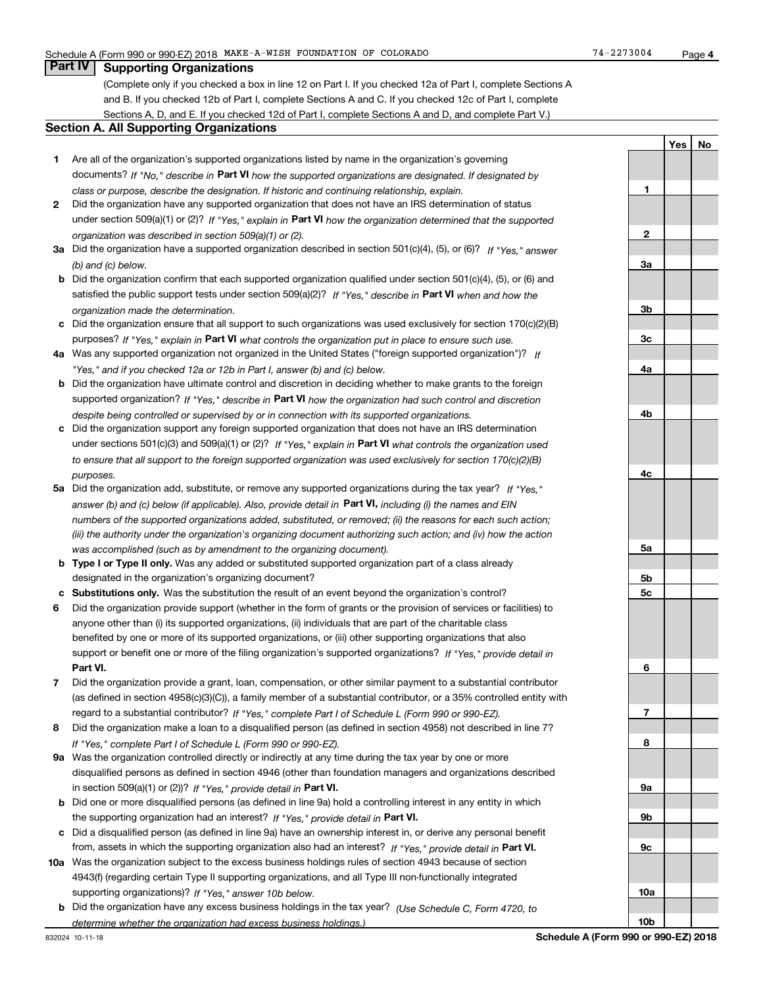**1**

**2**

**3a**

**3b**

**3c**

**4a**

**4b**

**4c**

**5a**

**5b5c**

**6**

**7**

**8**

**9a**

**9b**

**9c**

**10a**

**10b**

**YesNo**

## **Part IV Supporting Organizations**

(Complete only if you checked a box in line 12 on Part I. If you checked 12a of Part I, complete Sections A and B. If you checked 12b of Part I, complete Sections A and C. If you checked 12c of Part I, complete Sections A, D, and E. If you checked 12d of Part I, complete Sections A and D, and complete Part V.)

## **Section A. All Supporting Organizations**

- **1** Are all of the organization's supported organizations listed by name in the organization's governing documents? If "No," describe in **Part VI** how the supported organizations are designated. If designated by *class or purpose, describe the designation. If historic and continuing relationship, explain.*
- **2** Did the organization have any supported organization that does not have an IRS determination of status under section 509(a)(1) or (2)? If "Yes," explain in Part VI how the organization determined that the supported *organization was described in section 509(a)(1) or (2).*
- **3a** Did the organization have a supported organization described in section 501(c)(4), (5), or (6)? If "Yes," answer *(b) and (c) below.*
- **b** Did the organization confirm that each supported organization qualified under section 501(c)(4), (5), or (6) and satisfied the public support tests under section 509(a)(2)? If "Yes," describe in **Part VI** when and how the *organization made the determination.*
- **c**Did the organization ensure that all support to such organizations was used exclusively for section 170(c)(2)(B) purposes? If "Yes," explain in **Part VI** what controls the organization put in place to ensure such use.
- **4a***If* Was any supported organization not organized in the United States ("foreign supported organization")? *"Yes," and if you checked 12a or 12b in Part I, answer (b) and (c) below.*
- **b** Did the organization have ultimate control and discretion in deciding whether to make grants to the foreign supported organization? If "Yes," describe in **Part VI** how the organization had such control and discretion *despite being controlled or supervised by or in connection with its supported organizations.*
- **c** Did the organization support any foreign supported organization that does not have an IRS determination under sections 501(c)(3) and 509(a)(1) or (2)? If "Yes," explain in **Part VI** what controls the organization used *to ensure that all support to the foreign supported organization was used exclusively for section 170(c)(2)(B) purposes.*
- **5a***If "Yes,"* Did the organization add, substitute, or remove any supported organizations during the tax year? answer (b) and (c) below (if applicable). Also, provide detail in **Part VI,** including (i) the names and EIN *numbers of the supported organizations added, substituted, or removed; (ii) the reasons for each such action; (iii) the authority under the organization's organizing document authorizing such action; and (iv) how the action was accomplished (such as by amendment to the organizing document).*
- **b** Type I or Type II only. Was any added or substituted supported organization part of a class already designated in the organization's organizing document?
- **cSubstitutions only.**  Was the substitution the result of an event beyond the organization's control?
- **6** Did the organization provide support (whether in the form of grants or the provision of services or facilities) to **Part VI.** *If "Yes," provide detail in* support or benefit one or more of the filing organization's supported organizations? anyone other than (i) its supported organizations, (ii) individuals that are part of the charitable class benefited by one or more of its supported organizations, or (iii) other supporting organizations that also
- **7**Did the organization provide a grant, loan, compensation, or other similar payment to a substantial contributor *If "Yes," complete Part I of Schedule L (Form 990 or 990-EZ).* regard to a substantial contributor? (as defined in section 4958(c)(3)(C)), a family member of a substantial contributor, or a 35% controlled entity with
- **8** Did the organization make a loan to a disqualified person (as defined in section 4958) not described in line 7? *If "Yes," complete Part I of Schedule L (Form 990 or 990-EZ).*
- **9a** Was the organization controlled directly or indirectly at any time during the tax year by one or more in section 509(a)(1) or (2))? If "Yes," *provide detail in* <code>Part VI.</code> disqualified persons as defined in section 4946 (other than foundation managers and organizations described
- **b** Did one or more disqualified persons (as defined in line 9a) hold a controlling interest in any entity in which the supporting organization had an interest? If "Yes," provide detail in P**art VI**.
- **c**Did a disqualified person (as defined in line 9a) have an ownership interest in, or derive any personal benefit from, assets in which the supporting organization also had an interest? If "Yes," provide detail in P**art VI.**
- **10a** Was the organization subject to the excess business holdings rules of section 4943 because of section supporting organizations)? If "Yes," answer 10b below. 4943(f) (regarding certain Type II supporting organizations, and all Type III non-functionally integrated
- **b** Did the organization have any excess business holdings in the tax year? (Use Schedule C, Form 4720, to *determine whether the organization had excess business holdings.)*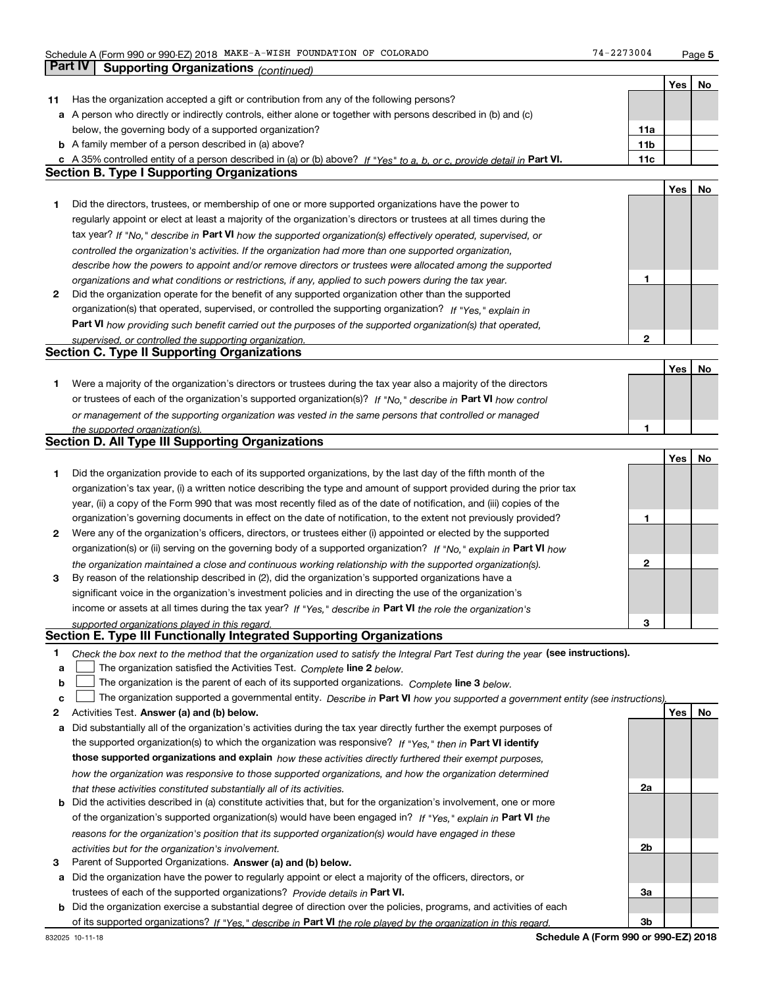**Part IV Supporting Organizations** *(continued)*

|    |                                                                                                                                   |                 | Yes | No |
|----|-----------------------------------------------------------------------------------------------------------------------------------|-----------------|-----|----|
| 11 | Has the organization accepted a gift or contribution from any of the following persons?                                           |                 |     |    |
|    | a A person who directly or indirectly controls, either alone or together with persons described in (b) and (c)                    |                 |     |    |
|    | below, the governing body of a supported organization?                                                                            | 11a             |     |    |
|    | <b>b</b> A family member of a person described in (a) above?                                                                      | 11 <sub>b</sub> |     |    |
|    | c A 35% controlled entity of a person described in (a) or (b) above? If "Yes" to a, b, or c, provide detail in Part VI.           | 11c             |     |    |
|    | <b>Section B. Type I Supporting Organizations</b>                                                                                 |                 |     |    |
|    |                                                                                                                                   |                 | Yes | No |
| 1  | Did the directors, trustees, or membership of one or more supported organizations have the power to                               |                 |     |    |
|    | regularly appoint or elect at least a majority of the organization's directors or trustees at all times during the                |                 |     |    |
|    | tax year? If "No," describe in Part VI how the supported organization(s) effectively operated, supervised, or                     |                 |     |    |
|    | controlled the organization's activities. If the organization had more than one supported organization,                           |                 |     |    |
|    | describe how the powers to appoint and/or remove directors or trustees were allocated among the supported                         |                 |     |    |
|    | organizations and what conditions or restrictions, if any, applied to such powers during the tax year.                            | 1               |     |    |
| 2  | Did the organization operate for the benefit of any supported organization other than the supported                               |                 |     |    |
|    | organization(s) that operated, supervised, or controlled the supporting organization? If "Yes," explain in                        |                 |     |    |
|    | Part VI how providing such benefit carried out the purposes of the supported organization(s) that operated,                       |                 |     |    |
|    | supervised, or controlled the supporting organization.<br><b>Section C. Type II Supporting Organizations</b>                      | 2               |     |    |
|    |                                                                                                                                   |                 |     |    |
| 1. | Were a majority of the organization's directors or trustees during the tax year also a majority of the directors                  |                 | Yes | No |
|    | or trustees of each of the organization's supported organization(s)? If "No," describe in Part VI how control                     |                 |     |    |
|    | or management of the supporting organization was vested in the same persons that controlled or managed                            |                 |     |    |
|    | the supported organization(s).                                                                                                    | 1               |     |    |
|    | Section D. All Type III Supporting Organizations                                                                                  |                 |     |    |
|    |                                                                                                                                   |                 | Yes | No |
| 1  | Did the organization provide to each of its supported organizations, by the last day of the fifth month of the                    |                 |     |    |
|    | organization's tax year, (i) a written notice describing the type and amount of support provided during the prior tax             |                 |     |    |
|    | year, (ii) a copy of the Form 990 that was most recently filed as of the date of notification, and (iii) copies of the            |                 |     |    |
|    | organization's governing documents in effect on the date of notification, to the extent not previously provided?                  | 1               |     |    |
| 2  | Were any of the organization's officers, directors, or trustees either (i) appointed or elected by the supported                  |                 |     |    |
|    | organization(s) or (ii) serving on the governing body of a supported organization? If "No," explain in Part VI how                |                 |     |    |
|    | the organization maintained a close and continuous working relationship with the supported organization(s).                       | 2               |     |    |
| 3  | By reason of the relationship described in (2), did the organization's supported organizations have a                             |                 |     |    |
|    | significant voice in the organization's investment policies and in directing the use of the organization's                        |                 |     |    |
|    | income or assets at all times during the tax year? If "Yes," describe in Part VI the role the organization's                      |                 |     |    |
|    | supported organizations played in this regard.                                                                                    | З               |     |    |
|    | Section E. Type III Functionally Integrated Supporting Organizations                                                              |                 |     |    |
| 1  | Check the box next to the method that the organization used to satisfy the Integral Part Test during the year (see instructions). |                 |     |    |
| а  | The organization satisfied the Activities Test. Complete line 2 below.                                                            |                 |     |    |
| b  | The organization is the parent of each of its supported organizations. Complete line 3 below.                                     |                 |     |    |
| с  | The organization supported a governmental entity. Describe in Part VI how you supported a government entity (see instructions),   |                 |     |    |
| 2  | Activities Test. Answer (a) and (b) below.                                                                                        |                 | Yes | No |
| а  | Did substantially all of the organization's activities during the tax year directly further the exempt purposes of                |                 |     |    |
|    | the supported organization(s) to which the organization was responsive? If "Yes," then in Part VI identify                        |                 |     |    |
|    | those supported organizations and explain how these activities directly furthered their exempt purposes,                          |                 |     |    |
|    | how the organization was responsive to those supported organizations, and how the organization determined                         |                 |     |    |
|    | that these activities constituted substantially all of its activities.                                                            | 2a              |     |    |
|    | <b>b</b> Did the activities described in (a) constitute activities that, but for the organization's involvement, one or more      |                 |     |    |
|    | of the organization's supported organization(s) would have been engaged in? If "Yes," explain in Part VI the                      |                 |     |    |
|    | reasons for the organization's position that its supported organization(s) would have engaged in these                            | 2b              |     |    |
|    | activities but for the organization's involvement.<br>Parent of Supported Organizations. Answer (a) and (b) below.                |                 |     |    |
| З  | Did the organization have the power to regularly appoint or elect a majority of the officers, directors, or                       |                 |     |    |
| а  | trustees of each of the supported organizations? Provide details in Part VI.                                                      | За              |     |    |
|    | <b>b</b> Did the organization exercise a substantial degree of direction over the policies, programs, and activities of each      |                 |     |    |
|    | of its supported organizations? If "Yes." describe in Part VI the role played by the organization in this regard.                 | 3b              |     |    |
|    | Schedule A (Form 990 or 990-EZ) 2018<br>832025 10-11-18                                                                           |                 |     |    |
|    |                                                                                                                                   |                 |     |    |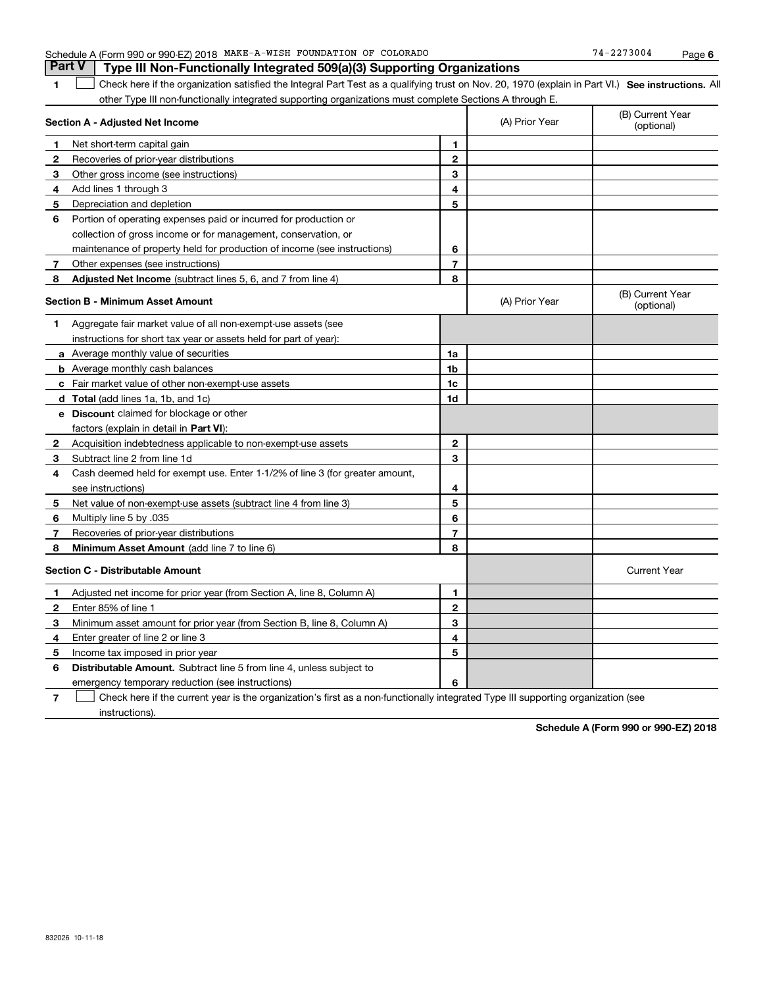| 1              | Check here if the organization satisfied the Integral Part Test as a qualifying trust on Nov. 20, 1970 (explain in Part VI.) See instructions. All<br>other Type III non-functionally integrated supporting organizations must complete Sections A through E. |                |                |                                |
|----------------|---------------------------------------------------------------------------------------------------------------------------------------------------------------------------------------------------------------------------------------------------------------|----------------|----------------|--------------------------------|
|                | Section A - Adjusted Net Income                                                                                                                                                                                                                               |                | (A) Prior Year | (B) Current Year<br>(optional) |
| 1              | Net short-term capital gain                                                                                                                                                                                                                                   | 1.             |                |                                |
| 2              | Recoveries of prior-year distributions                                                                                                                                                                                                                        | $\mathbf{2}$   |                |                                |
| 3              | Other gross income (see instructions)                                                                                                                                                                                                                         | 3              |                |                                |
| 4              | Add lines 1 through 3                                                                                                                                                                                                                                         | 4              |                |                                |
| 5.             | Depreciation and depletion                                                                                                                                                                                                                                    | 5              |                |                                |
| 6              | Portion of operating expenses paid or incurred for production or                                                                                                                                                                                              |                |                |                                |
|                | collection of gross income or for management, conservation, or                                                                                                                                                                                                |                |                |                                |
|                | maintenance of property held for production of income (see instructions)                                                                                                                                                                                      | 6              |                |                                |
| 7 <sup>1</sup> | Other expenses (see instructions)                                                                                                                                                                                                                             | $\overline{7}$ |                |                                |
| 8              | Adjusted Net Income (subtract lines 5, 6, and 7 from line 4)                                                                                                                                                                                                  | 8              |                |                                |
|                | Section B - Minimum Asset Amount                                                                                                                                                                                                                              |                | (A) Prior Year | (B) Current Year<br>(optional) |
| 1              | Aggregate fair market value of all non-exempt-use assets (see                                                                                                                                                                                                 |                |                |                                |
|                | instructions for short tax year or assets held for part of year):                                                                                                                                                                                             |                |                |                                |
|                | a Average monthly value of securities                                                                                                                                                                                                                         | 1a             |                |                                |
|                | <b>b</b> Average monthly cash balances                                                                                                                                                                                                                        | 1b             |                |                                |
|                | c Fair market value of other non-exempt-use assets                                                                                                                                                                                                            | 1c             |                |                                |
|                | d Total (add lines 1a, 1b, and 1c)                                                                                                                                                                                                                            | 1d             |                |                                |
|                | e Discount claimed for blockage or other                                                                                                                                                                                                                      |                |                |                                |
|                | factors (explain in detail in Part VI):                                                                                                                                                                                                                       |                |                |                                |
| 2              | Acquisition indebtedness applicable to non-exempt-use assets                                                                                                                                                                                                  | $\mathbf{2}$   |                |                                |
| 3              | Subtract line 2 from line 1d                                                                                                                                                                                                                                  | 3              |                |                                |
| 4              | Cash deemed held for exempt use. Enter 1-1/2% of line 3 (for greater amount,                                                                                                                                                                                  |                |                |                                |
|                | see instructions)                                                                                                                                                                                                                                             | 4              |                |                                |
| 5              | Net value of non-exempt-use assets (subtract line 4 from line 3)                                                                                                                                                                                              | 5              |                |                                |
| 6              | 035. Multiply line 5 by                                                                                                                                                                                                                                       | 6              |                |                                |
| 7              | Recoveries of prior-year distributions                                                                                                                                                                                                                        | $\overline{7}$ |                |                                |
| 8              | Minimum Asset Amount (add line 7 to line 6)                                                                                                                                                                                                                   | 8              |                |                                |
|                | <b>Section C - Distributable Amount</b>                                                                                                                                                                                                                       |                |                | <b>Current Year</b>            |
| 1              | Adjusted net income for prior year (from Section A, line 8, Column A)                                                                                                                                                                                         | 1              |                |                                |
| 2              | Enter 85% of line 1                                                                                                                                                                                                                                           | $\mathbf{2}$   |                |                                |
| 3              | Minimum asset amount for prior year (from Section B, line 8, Column A)                                                                                                                                                                                        | 3              |                |                                |
| 4              | Enter greater of line 2 or line 3                                                                                                                                                                                                                             | 4              |                |                                |
| 5              | Income tax imposed in prior year                                                                                                                                                                                                                              | 5              |                |                                |
| 6              | <b>Distributable Amount.</b> Subtract line 5 from line 4, unless subject to                                                                                                                                                                                   |                |                |                                |
|                | emergency temporary reduction (see instructions)                                                                                                                                                                                                              | 6              |                |                                |

Check here if the current year is the organization's first as a non-functionally integrated Type III supporting organization (see

instructions).

**7**

 $\mathcal{L}^{\text{max}}$ 

**Schedule A (Form 990 or 990-EZ) 2018**

**<sup>6</sup>**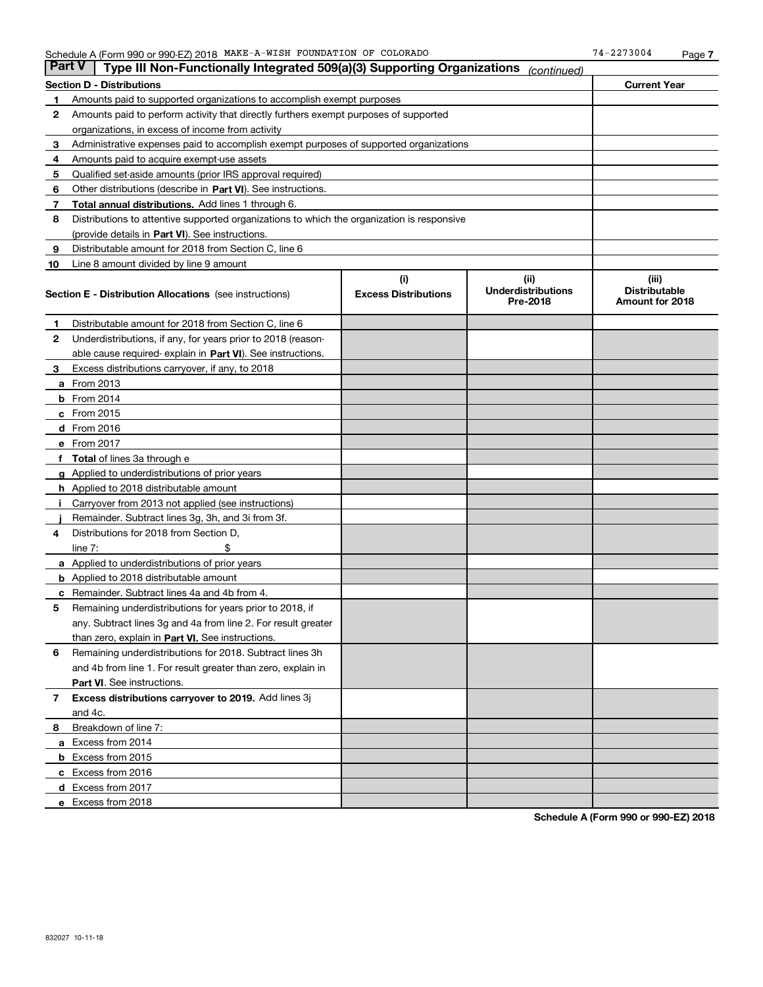| Part V | Type III Non-Functionally Integrated 509(a)(3) Supporting Organizations                    |                             | (continued)                           |                                         |  |  |
|--------|--------------------------------------------------------------------------------------------|-----------------------------|---------------------------------------|-----------------------------------------|--|--|
|        | <b>Section D - Distributions</b>                                                           |                             |                                       | <b>Current Year</b>                     |  |  |
| 1      | Amounts paid to supported organizations to accomplish exempt purposes                      |                             |                                       |                                         |  |  |
| 2      | Amounts paid to perform activity that directly furthers exempt purposes of supported       |                             |                                       |                                         |  |  |
|        | organizations, in excess of income from activity                                           |                             |                                       |                                         |  |  |
| 3      | Administrative expenses paid to accomplish exempt purposes of supported organizations      |                             |                                       |                                         |  |  |
| 4      | Amounts paid to acquire exempt-use assets                                                  |                             |                                       |                                         |  |  |
| 5      | Qualified set-aside amounts (prior IRS approval required)                                  |                             |                                       |                                         |  |  |
| 6      | Other distributions (describe in Part VI). See instructions.                               |                             |                                       |                                         |  |  |
| 7      | Total annual distributions. Add lines 1 through 6.                                         |                             |                                       |                                         |  |  |
| 8      | Distributions to attentive supported organizations to which the organization is responsive |                             |                                       |                                         |  |  |
|        | (provide details in Part VI). See instructions.                                            |                             |                                       |                                         |  |  |
| 9      | Distributable amount for 2018 from Section C, line 6                                       |                             |                                       |                                         |  |  |
| 10     | Line 8 amount divided by line 9 amount                                                     |                             |                                       |                                         |  |  |
|        |                                                                                            | (i)                         | (iii)                                 | (iii)                                   |  |  |
|        | <b>Section E - Distribution Allocations</b> (see instructions)                             | <b>Excess Distributions</b> | <b>Underdistributions</b><br>Pre-2018 | <b>Distributable</b><br>Amount for 2018 |  |  |
| 1      | Distributable amount for 2018 from Section C, line 6                                       |                             |                                       |                                         |  |  |
| 2      | Underdistributions, if any, for years prior to 2018 (reason-                               |                             |                                       |                                         |  |  |
|        | able cause required- explain in Part VI). See instructions.                                |                             |                                       |                                         |  |  |
| з      | Excess distributions carryover, if any, to 2018                                            |                             |                                       |                                         |  |  |
|        | <b>a</b> From 2013                                                                         |                             |                                       |                                         |  |  |
|        | <b>b</b> From $2014$                                                                       |                             |                                       |                                         |  |  |
|        | $c$ From 2015                                                                              |                             |                                       |                                         |  |  |
|        | <b>d</b> From 2016                                                                         |                             |                                       |                                         |  |  |
|        | e From 2017                                                                                |                             |                                       |                                         |  |  |
|        | <b>Total</b> of lines 3a through e                                                         |                             |                                       |                                         |  |  |
|        | <b>g</b> Applied to underdistributions of prior years                                      |                             |                                       |                                         |  |  |
|        | <b>h</b> Applied to 2018 distributable amount                                              |                             |                                       |                                         |  |  |
|        | Carryover from 2013 not applied (see instructions)                                         |                             |                                       |                                         |  |  |
|        | Remainder. Subtract lines 3g, 3h, and 3i from 3f.                                          |                             |                                       |                                         |  |  |
| 4      | Distributions for 2018 from Section D,                                                     |                             |                                       |                                         |  |  |
|        | line $7:$                                                                                  |                             |                                       |                                         |  |  |
|        | <b>a</b> Applied to underdistributions of prior years                                      |                             |                                       |                                         |  |  |
|        | <b>b</b> Applied to 2018 distributable amount                                              |                             |                                       |                                         |  |  |
|        | Remainder. Subtract lines 4a and 4b from 4.                                                |                             |                                       |                                         |  |  |
| 5      | Remaining underdistributions for years prior to 2018, if                                   |                             |                                       |                                         |  |  |
|        | any. Subtract lines 3g and 4a from line 2. For result greater                              |                             |                                       |                                         |  |  |
|        | than zero, explain in Part VI. See instructions.                                           |                             |                                       |                                         |  |  |
| 6      | Remaining underdistributions for 2018. Subtract lines 3h                                   |                             |                                       |                                         |  |  |
|        | and 4b from line 1. For result greater than zero, explain in                               |                             |                                       |                                         |  |  |
|        | Part VI. See instructions.                                                                 |                             |                                       |                                         |  |  |
| 7      | Excess distributions carryover to 2019. Add lines 3j                                       |                             |                                       |                                         |  |  |
|        | and 4c.                                                                                    |                             |                                       |                                         |  |  |
| 8      | Breakdown of line 7:                                                                       |                             |                                       |                                         |  |  |
|        | a Excess from 2014                                                                         |                             |                                       |                                         |  |  |
|        | <b>b</b> Excess from 2015                                                                  |                             |                                       |                                         |  |  |
|        | c Excess from 2016                                                                         |                             |                                       |                                         |  |  |
|        | d Excess from 2017                                                                         |                             |                                       |                                         |  |  |
|        | e Excess from 2018                                                                         |                             |                                       |                                         |  |  |

**Schedule A (Form 990 or 990-EZ) 2018**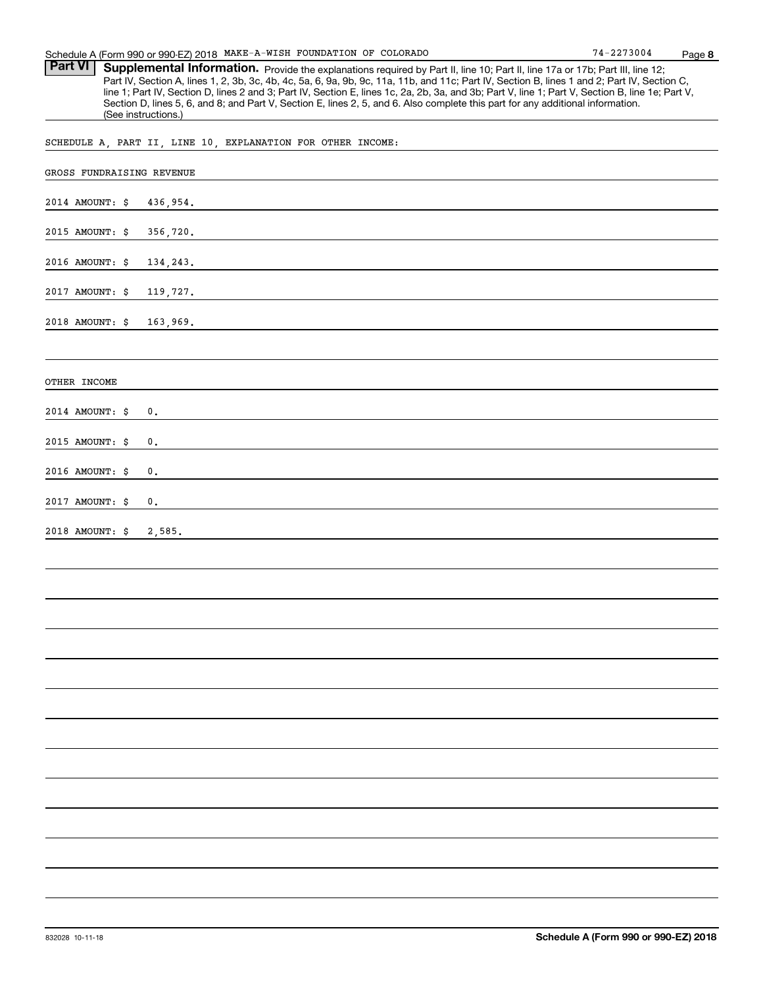Part VI | Supplemental Information. Provide the explanations required by Part II, line 10; Part II, line 17a or 17b; Part III, line 12; Part IV, Section A, lines 1, 2, 3b, 3c, 4b, 4c, 5a, 6, 9a, 9b, 9c, 11a, 11b, and 11c; Part IV, Section B, lines 1 and 2; Part IV, Section C, line 1; Part IV, Section D, lines 2 and 3; Part IV, Section E, lines 1c, 2a, 2b, 3a, and 3b; Part V, line 1; Part V, Section B, line 1e; Part V, Section D, lines 5, 6, and 8; and Part V, Section E, lines 2, 5, and 6. Also complete this part for any additional information. (See instructions.)

SCHEDULE A, PART II, LINE 10, EXPLANATION FOR OTHER INCOME:

| GROSS FUNDRAISING REVENUE   |
|-----------------------------|
| 2014 AMOUNT: \$<br>436,954. |
| 2015 AMOUNT: \$<br>356,720. |
| 2016 AMOUNT: \$<br>134,243. |
| 2017 AMOUNT: \$<br>119,727. |
| 2018 AMOUNT: \$<br>163,969. |
|                             |
| OTHER INCOME                |
| 2014 AMOUNT: \$<br>$0$ .    |
| 2015 AMOUNT: \$<br>0.       |
| 2016 AMOUNT: \$<br>0.       |
| 2017 AMOUNT: \$<br>0.       |
| 2018 AMOUNT: \$ 2,585.      |
|                             |
|                             |
|                             |
|                             |
|                             |
|                             |
|                             |
|                             |
|                             |
|                             |
|                             |
|                             |
|                             |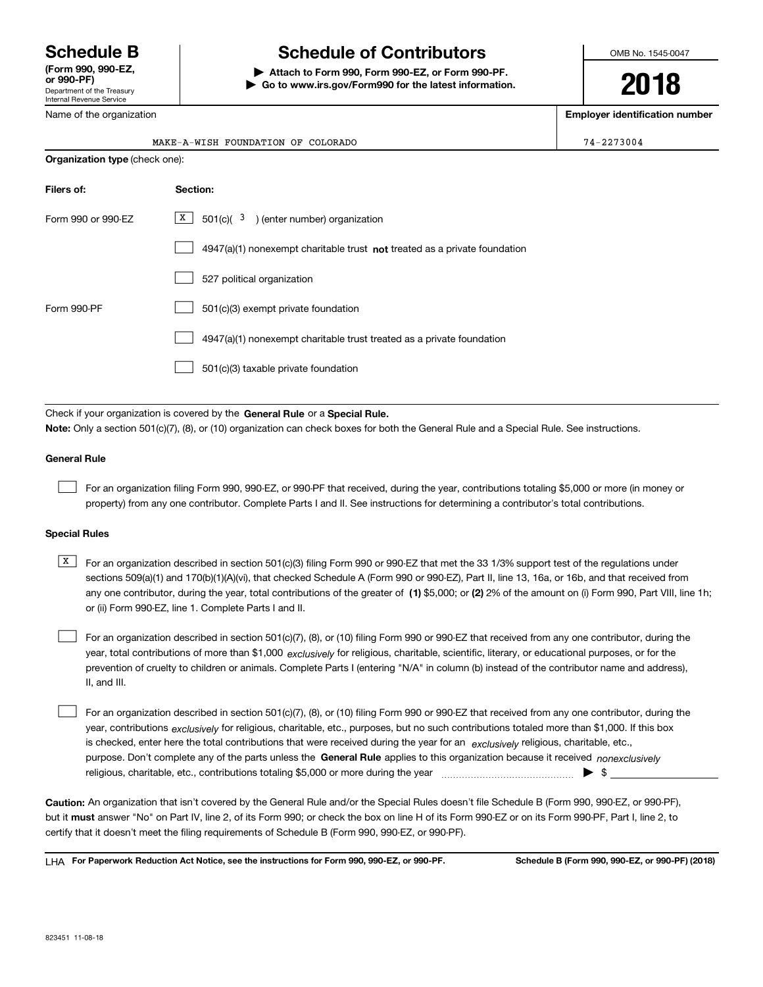Department of the Treasury Internal Revenue Service **(Form 990, 990-EZ, or 990-PF)**

# **Schedule B Schedule of Contributors**

**| Attach to Form 990, Form 990-EZ, or Form 990-PF. | Go to www.irs.gov/Form990 for the latest information.** OMB No. 1545-0047

**2018**

**Employer identification number**

|  | Name of the organization |  |
|--|--------------------------|--|
|  |                          |  |

| <b>Organization type (check one):</b> |                                                                           |  |  |  |
|---------------------------------------|---------------------------------------------------------------------------|--|--|--|
| Filers of:                            | Section:                                                                  |  |  |  |
| Form 990 or 990-EZ                    | $X$ 501(c)( 3) (enter number) organization                                |  |  |  |
|                                       | 4947(a)(1) nonexempt charitable trust not treated as a private foundation |  |  |  |
|                                       | 527 political organization                                                |  |  |  |
| Form 990-PF                           | 501(c)(3) exempt private foundation                                       |  |  |  |
|                                       | 4947(a)(1) nonexempt charitable trust treated as a private foundation     |  |  |  |
|                                       | 501(c)(3) taxable private foundation                                      |  |  |  |

MAKE-A-WISH FOUNDATION OF COLORADO

Check if your organization is covered by the **General Rule** or a **Special Rule. Note:**  Only a section 501(c)(7), (8), or (10) organization can check boxes for both the General Rule and a Special Rule. See instructions.

## **General Rule**

 $\mathcal{L}^{\text{max}}$ 

For an organization filing Form 990, 990-EZ, or 990-PF that received, during the year, contributions totaling \$5,000 or more (in money or property) from any one contributor. Complete Parts I and II. See instructions for determining a contributor's total contributions.

## **Special Rules**

any one contributor, during the year, total contributions of the greater of  $\,$  (1) \$5,000; or **(2)** 2% of the amount on (i) Form 990, Part VIII, line 1h;  $\overline{X}$  For an organization described in section 501(c)(3) filing Form 990 or 990-EZ that met the 33 1/3% support test of the regulations under sections 509(a)(1) and 170(b)(1)(A)(vi), that checked Schedule A (Form 990 or 990-EZ), Part II, line 13, 16a, or 16b, and that received from or (ii) Form 990-EZ, line 1. Complete Parts I and II.

year, total contributions of more than \$1,000 *exclusively* for religious, charitable, scientific, literary, or educational purposes, or for the For an organization described in section 501(c)(7), (8), or (10) filing Form 990 or 990-EZ that received from any one contributor, during the prevention of cruelty to children or animals. Complete Parts I (entering "N/A" in column (b) instead of the contributor name and address), II, and III.  $\mathcal{L}^{\text{max}}$ 

purpose. Don't complete any of the parts unless the **General Rule** applies to this organization because it received *nonexclusively* year, contributions <sub>exclusively</sub> for religious, charitable, etc., purposes, but no such contributions totaled more than \$1,000. If this box is checked, enter here the total contributions that were received during the year for an  $\;$ exclusively religious, charitable, etc., For an organization described in section 501(c)(7), (8), or (10) filing Form 990 or 990-EZ that received from any one contributor, during the religious, charitable, etc., contributions totaling \$5,000 or more during the year  $\Box$ — $\Box$   $\Box$  $\mathcal{L}^{\text{max}}$ 

**Caution:**  An organization that isn't covered by the General Rule and/or the Special Rules doesn't file Schedule B (Form 990, 990-EZ, or 990-PF),  **must** but it answer "No" on Part IV, line 2, of its Form 990; or check the box on line H of its Form 990-EZ or on its Form 990-PF, Part I, line 2, to certify that it doesn't meet the filing requirements of Schedule B (Form 990, 990-EZ, or 990-PF).

**For Paperwork Reduction Act Notice, see the instructions for Form 990, 990-EZ, or 990-PF. Schedule B (Form 990, 990-EZ, or 990-PF) (2018)** LHA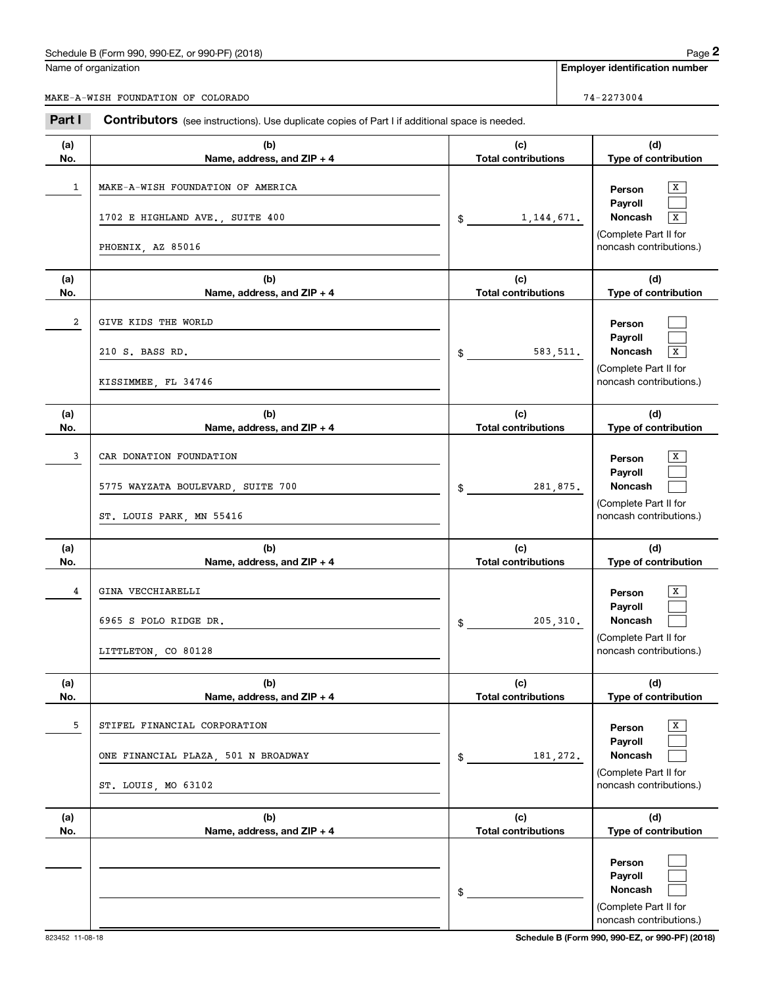## Schedule B (Form 990, 990-EZ, or 990-PF) (2018) Page 2

|      |     | auc<br>om. |
|------|-----|------------|
| ---- | - - |            |

|            | Schedule B (Form 990, 990-EZ, or 990-PF) (2018)                                                |                                   |           | Page 2                                                                                |
|------------|------------------------------------------------------------------------------------------------|-----------------------------------|-----------|---------------------------------------------------------------------------------------|
|            | Name of organization                                                                           |                                   |           | <b>Employer identification number</b>                                                 |
|            | MAKE-A-WISH FOUNDATION OF COLORADO                                                             |                                   |           | 74-2273004                                                                            |
| Part I     | Contributors (see instructions). Use duplicate copies of Part I if additional space is needed. |                                   |           |                                                                                       |
| (a)<br>No. | (b)<br>Name, address, and ZIP + 4                                                              | (c)<br><b>Total contributions</b> |           | (d)<br>Type of contribution                                                           |
| 1          | MAKE-A-WISH FOUNDATION OF AMERICA<br>1702 E HIGHLAND AVE., SUITE 400                           |                                   |           | х<br>Person<br>Payroll<br>Noncash<br>x                                                |
|            | PHOENIX, AZ 85016                                                                              | 1, 144, 671.<br>\$                |           | (Complete Part II for<br>noncash contributions.)                                      |
| (a)<br>No. | (b)<br>Name, address, and ZIP + 4                                                              | (c)<br><b>Total contributions</b> |           | (d)<br>Type of contribution                                                           |
| 2          | GIVE KIDS THE WORLD<br>210 S. BASS RD.<br>KISSIMMEE, FL 34746                                  | \$                                | 583,511.  | Person<br>Payroll<br>Noncash<br>x<br>(Complete Part II for<br>noncash contributions.) |
| (a)<br>No. | (b)<br>Name, address, and ZIP + 4                                                              | (c)<br><b>Total contributions</b> |           | (d)<br>Type of contribution                                                           |
| 3          | CAR DONATION FOUNDATION<br>5775 WAYZATA BOULEVARD, SUITE 700<br>ST. LOUIS PARK, MN 55416       | \$                                | 281,875.  | х<br>Person<br>Payroll<br>Noncash<br>(Complete Part II for<br>noncash contributions.) |
| (a)<br>No. | (b)<br>Name, address, and ZIP + 4                                                              | (c)<br><b>Total contributions</b> |           | (d)<br>Type of contribution                                                           |
| 4          | GINA VECCHIARELLI<br>6965 S POLO RIDGE DR.<br>LITTLETON, CO 80128                              | \$                                | 205, 310. | х<br>Person<br>Payroll<br>Noncash<br>(Complete Part II for<br>noncash contributions.) |
| (a)<br>No. | (b)<br>Name, address, and ZIP + 4                                                              | (c)<br><b>Total contributions</b> |           | (d)<br>Type of contribution                                                           |
| 5          | STIFEL FINANCIAL CORPORATION<br>ONE FINANCIAL PLAZA, 501 N BROADWAY<br>ST. LOUIS, MO 63102     | \$                                | 181,272.  | x<br>Person<br>Payroll<br>Noncash<br>(Complete Part II for<br>noncash contributions.) |
| (a)<br>No. | (b)<br>Name, address, and ZIP + 4                                                              | (c)<br><b>Total contributions</b> |           | (d)<br>Type of contribution                                                           |
|            |                                                                                                | \$                                |           | Person<br>Payroll<br>Noncash<br>(Complete Part II for<br>noncash contributions.)      |

823452 11-08-18 **Schedule B (Form 990, 990-EZ, or 990-PF) (2018)**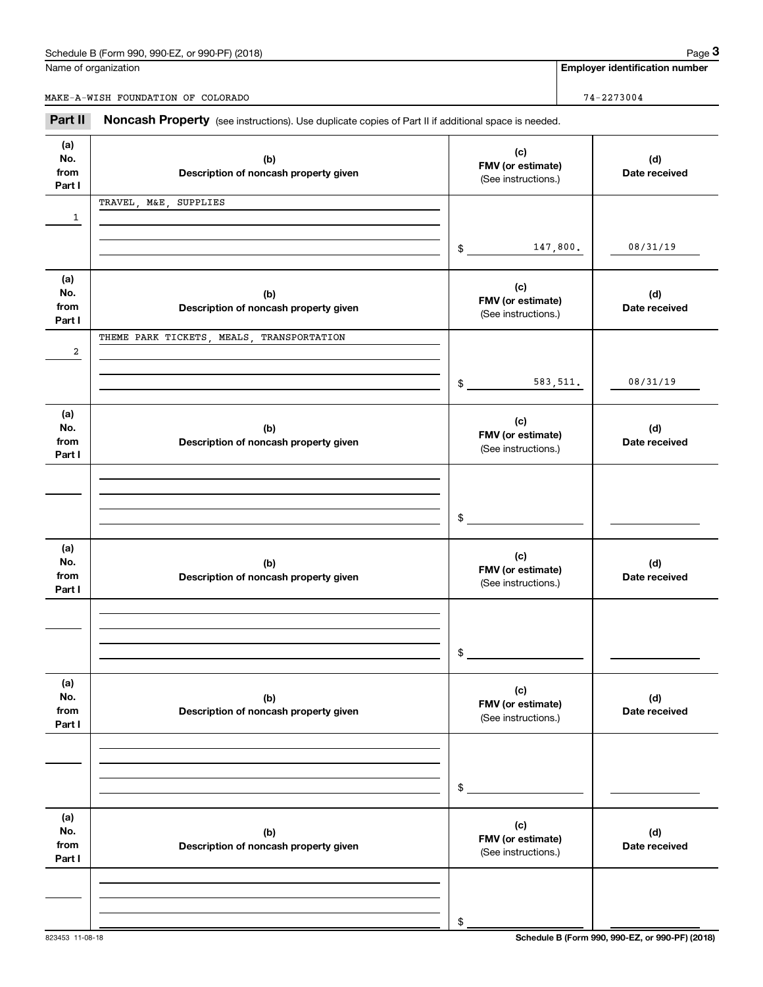## Schedule B (Form 990, 990-EZ, or 990-PF) (2018) Page 3

Name of organization

**Employer identification number**

MAKE-A-WISH FOUNDATION OF COLORADO 74-2273004

Chedule B (Form 990, 990-EZ, or 990-PF) (2018)<br> **2Part II Constructions** of Color Color Advances of Part II if additional space is needed.<br> **2Part II Noncash Property** (see instructions). Use duplicate copies of Part I

| (a)<br>No.<br>from<br>Part I | (b)<br>Description of noncash property given | (c)<br>FMV (or estimate)<br>(See instructions.) | (d)<br>Date received |
|------------------------------|----------------------------------------------|-------------------------------------------------|----------------------|
| 1                            | TRAVEL, M&E, SUPPLIES                        |                                                 |                      |
|                              |                                              |                                                 |                      |
|                              |                                              | 147,800.<br>$\frac{1}{2}$                       | 08/31/19             |
| (a)<br>No.                   |                                              | (c)                                             |                      |
| from                         | (b)<br>Description of noncash property given | FMV (or estimate)<br>(See instructions.)        | (d)<br>Date received |
| Part I                       | THEME PARK TICKETS, MEALS, TRANSPORTATION    |                                                 |                      |
| 2                            |                                              |                                                 |                      |
|                              |                                              | 583, 511.<br>$\frac{1}{2}$                      | 08/31/19             |
|                              |                                              |                                                 |                      |
| (a)<br>No.                   | (b)                                          | (c)<br>FMV (or estimate)                        | (d)                  |
| from<br>Part I               | Description of noncash property given        | (See instructions.)                             | Date received        |
|                              |                                              |                                                 |                      |
|                              |                                              |                                                 |                      |
|                              |                                              | $$^{\circ}$                                     |                      |
| (a)                          |                                              | (c)                                             |                      |
| No.<br>from                  | (b)<br>Description of noncash property given | FMV (or estimate)                               | (d)<br>Date received |
| Part I                       |                                              | (See instructions.)                             |                      |
|                              |                                              |                                                 |                      |
|                              |                                              |                                                 |                      |
|                              |                                              | \$                                              |                      |
| (a)<br>No.                   | (b)                                          | (c)                                             | (d)                  |
| from<br>Part I               | Description of noncash property given        | FMV (or estimate)<br>(See instructions.)        | Date received        |
|                              |                                              |                                                 |                      |
|                              |                                              |                                                 |                      |
|                              |                                              | \$                                              |                      |
| (a)                          |                                              |                                                 |                      |
| No.<br>from                  | (b)<br>Description of noncash property given | (c)<br>FMV (or estimate)                        | (d)<br>Date received |
| Part I                       |                                              | (See instructions.)                             |                      |
|                              |                                              |                                                 |                      |
|                              |                                              |                                                 |                      |
|                              |                                              | \$                                              |                      |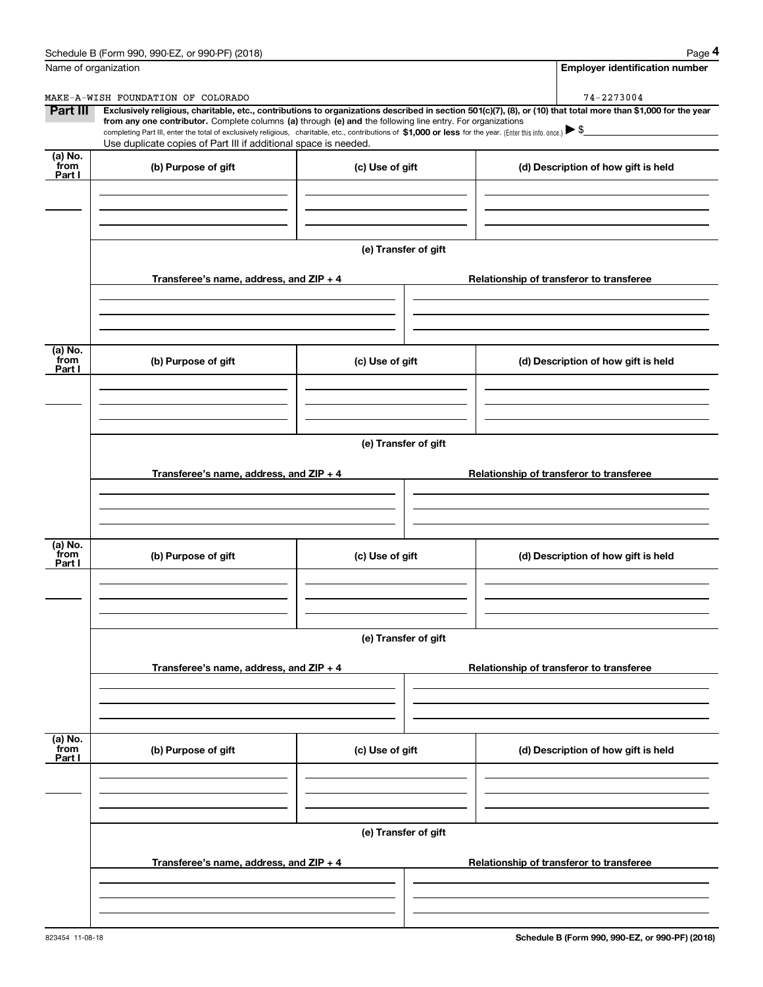|                           | Schedule B (Form 990, 990-EZ, or 990-PF) (2018)                                                                                                                                                                                                                                                 |                      | Page 4                                                                                                                                                         |  |  |  |  |  |
|---------------------------|-------------------------------------------------------------------------------------------------------------------------------------------------------------------------------------------------------------------------------------------------------------------------------------------------|----------------------|----------------------------------------------------------------------------------------------------------------------------------------------------------------|--|--|--|--|--|
|                           | Name of organization                                                                                                                                                                                                                                                                            |                      | <b>Employer identification number</b>                                                                                                                          |  |  |  |  |  |
|                           | MAKE-A-WISH FOUNDATION OF COLORADO                                                                                                                                                                                                                                                              |                      | 74-2273004                                                                                                                                                     |  |  |  |  |  |
| Part III                  | from any one contributor. Complete columns (a) through (e) and the following line entry. For organizations<br>completing Part III, enter the total of exclusively religious, charitable, etc., contributions of \$1,000 or less for the year. (Enter this info. once.) $\blacktriangleright$ \$ |                      | Exclusively religious, charitable, etc., contributions to organizations described in section 501(c)(7), (8), or (10) that total more than \$1,000 for the year |  |  |  |  |  |
|                           | Use duplicate copies of Part III if additional space is needed.                                                                                                                                                                                                                                 |                      |                                                                                                                                                                |  |  |  |  |  |
| (a) No.<br>from<br>Part I | (b) Purpose of gift                                                                                                                                                                                                                                                                             | (c) Use of gift      | (d) Description of how gift is held                                                                                                                            |  |  |  |  |  |
|                           |                                                                                                                                                                                                                                                                                                 |                      |                                                                                                                                                                |  |  |  |  |  |
|                           |                                                                                                                                                                                                                                                                                                 |                      |                                                                                                                                                                |  |  |  |  |  |
|                           |                                                                                                                                                                                                                                                                                                 | (e) Transfer of gift |                                                                                                                                                                |  |  |  |  |  |
|                           | Transferee's name, address, and ZIP + 4                                                                                                                                                                                                                                                         |                      | Relationship of transferor to transferee                                                                                                                       |  |  |  |  |  |
|                           |                                                                                                                                                                                                                                                                                                 |                      |                                                                                                                                                                |  |  |  |  |  |
| (a) No.<br>from           |                                                                                                                                                                                                                                                                                                 |                      |                                                                                                                                                                |  |  |  |  |  |
| Part I                    | (b) Purpose of gift                                                                                                                                                                                                                                                                             | (c) Use of gift      | (d) Description of how gift is held                                                                                                                            |  |  |  |  |  |
|                           |                                                                                                                                                                                                                                                                                                 |                      |                                                                                                                                                                |  |  |  |  |  |
|                           |                                                                                                                                                                                                                                                                                                 |                      |                                                                                                                                                                |  |  |  |  |  |
|                           |                                                                                                                                                                                                                                                                                                 | (e) Transfer of gift |                                                                                                                                                                |  |  |  |  |  |
|                           | Transferee's name, address, and ZIP + 4                                                                                                                                                                                                                                                         |                      | Relationship of transferor to transferee                                                                                                                       |  |  |  |  |  |
|                           |                                                                                                                                                                                                                                                                                                 |                      |                                                                                                                                                                |  |  |  |  |  |
| (a) No.<br>from           |                                                                                                                                                                                                                                                                                                 |                      |                                                                                                                                                                |  |  |  |  |  |
| Part I                    | (b) Purpose of gift                                                                                                                                                                                                                                                                             | (c) Use of gift      | (d) Description of how gift is held                                                                                                                            |  |  |  |  |  |
|                           |                                                                                                                                                                                                                                                                                                 |                      |                                                                                                                                                                |  |  |  |  |  |
|                           |                                                                                                                                                                                                                                                                                                 |                      |                                                                                                                                                                |  |  |  |  |  |
|                           |                                                                                                                                                                                                                                                                                                 | (e) Transfer of gift |                                                                                                                                                                |  |  |  |  |  |
|                           | Transferee's name, address, and ZIP + 4                                                                                                                                                                                                                                                         |                      | Relationship of transferor to transferee                                                                                                                       |  |  |  |  |  |
|                           |                                                                                                                                                                                                                                                                                                 |                      |                                                                                                                                                                |  |  |  |  |  |
| (a) No.<br>from           |                                                                                                                                                                                                                                                                                                 |                      |                                                                                                                                                                |  |  |  |  |  |
| Part I                    | (b) Purpose of gift                                                                                                                                                                                                                                                                             | (c) Use of gift      | (d) Description of how gift is held                                                                                                                            |  |  |  |  |  |
|                           |                                                                                                                                                                                                                                                                                                 |                      |                                                                                                                                                                |  |  |  |  |  |
|                           |                                                                                                                                                                                                                                                                                                 |                      |                                                                                                                                                                |  |  |  |  |  |
|                           | (e) Transfer of gift                                                                                                                                                                                                                                                                            |                      |                                                                                                                                                                |  |  |  |  |  |
|                           | Transferee's name, address, and ZIP + 4                                                                                                                                                                                                                                                         |                      | Relationship of transferor to transferee                                                                                                                       |  |  |  |  |  |
|                           |                                                                                                                                                                                                                                                                                                 |                      |                                                                                                                                                                |  |  |  |  |  |
|                           |                                                                                                                                                                                                                                                                                                 |                      |                                                                                                                                                                |  |  |  |  |  |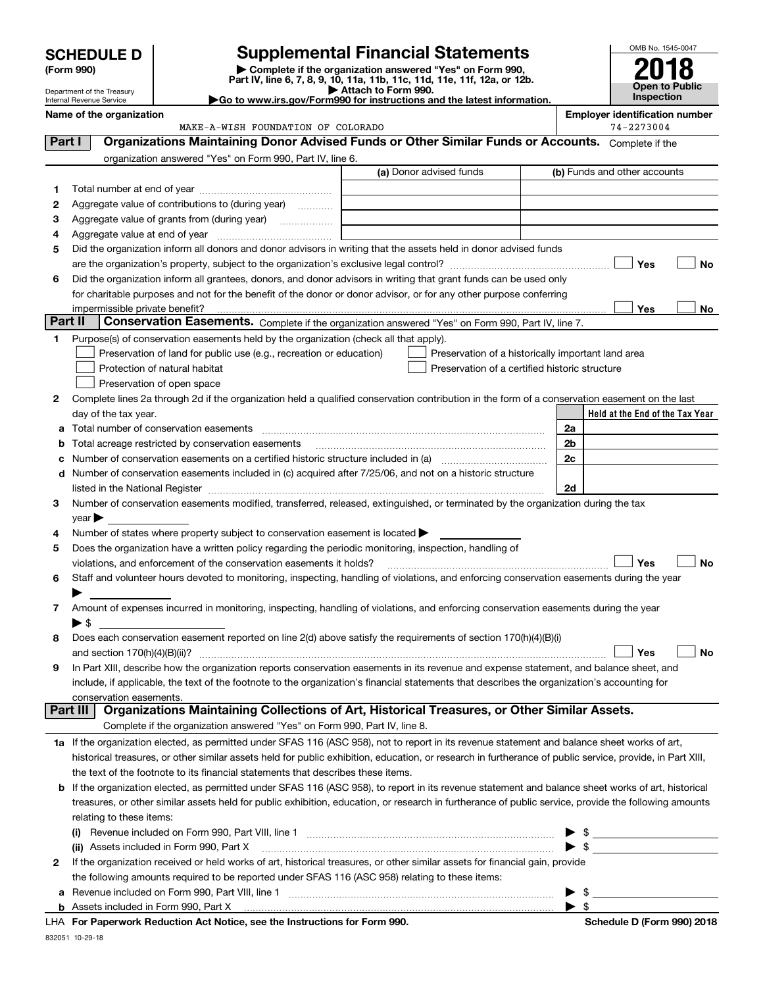| <b>HEDULE D</b> | Supplementa                                          |
|-----------------|------------------------------------------------------|
| m 990)          | Complete if the orga<br>Part IV, line 6, 7, 8, 9, 10 |

# **SCHEDULE D Supplemental Financial Statements**

**(Form 990)** (**Form 990,**<br>Part IV, line 6, 7, 8, 9, 10, 11a, 11b, 11c, 11d, 11e, 11f, 12a, or 12b.<br>Department of the Treasury **and Exercise Connect Connect Connect Connect Connect Connect Connect Connect Connect** 



Internal Revenue Service **Name of the organization Employer identification number**

Department of the Treasury

**|Go to www.irs.gov/Form990 for instructions and the latest information.**

**Held at the End of the Tax Year** (a) Donor advised funds **123456Yes No Yes No 12**Complete lines 2a through 2d if the organization held a qualified conservation contribution in the form of a conservation easement on the last **3456789abc** Number of conservation easements on a certified historic structure included in (a) www.communically **d2a2b2c2dYes No Yes No 1a** If the organization elected, as permitted under SFAS 116 (ASC 958), not to report in its revenue statement and balance sheet works of art, **2b** If the organization elected, as permitted under SFAS 116 (ASC 958), to report in its revenue statement and balance sheet works of art, historical **(i)** Revenue included on Form 990, Part VIII, line 1  $\ldots$   $\ldots$   $\ldots$   $\ldots$   $\ldots$   $\ldots$   $\ldots$   $\ldots$   $\ldots$   $\ldots$   $\ldots$   $\ldots$   $\ldots$   $\ldots$ **(ii)** Assets included in Form 990, Part X ~~~~~~~~~~~~~~~~~~~~~~~~~~~~~~~~~ | \$ **a**Revenue included on Form 990, Part VIII, line 1 ~~~~~~~~~~~~~~~~~~~~~~~~~~~~~~ | \$ **b**Complete if the organization answered "Yes" on Form 990, Part IV, line 6. (b) Funds and other accounts Total number at end of year ~~~~~~~~~~~~~~~ Aggregate value of contributions to (during year)  $\quad \quad \ldots \ldots \ldots$ Aggregate value of grants from (during year) www.community Aggregate value at end of year ~~~~~~~~~~~~~ Did the organization inform all donors and donor advisors in writing that the assets held in donor advised funds are the organization's property, subject to the organization's exclusive legal control? ~~~~~~~~~~~~~~~~~~ Did the organization inform all grantees, donors, and donor advisors in writing that grant funds can be used only for charitable purposes and not for the benefit of the donor or donor advisor, or for any other purpose conferring impermissible private benefit? **Part II | Conservation Easements.** Complete if the organization answered "Yes" on Form 990, Part IV, line 7. Purpose(s) of conservation easements held by the organization (check all that apply). Preservation of land for public use (e.g., recreation or education) **Protection of natural habitat Exercise 2018** Preservation of open space Preservation of a historically important land area Preservation of a certified historic structure day of the tax year. Total number of conservation easements ~~~~~~~~~~~~~~~~~~~~~~~~~~~~~~~~ Total acreage restricted by conservation easements Number of conservation easements included in (c) acquired after 7/25/06, and not on a historic structure listed in the National Register ~~~~~~~~~~~~~~~~~~~~~~~~~~~~~~~~~~~~~~ Number of conservation easements modified, transferred, released, extinguished, or terminated by the organization during the tax  $year$ Number of states where property subject to conservation easement is located  $\blacktriangleright$ Does the organization have a written policy regarding the periodic monitoring, inspection, handling of violations, and enforcement of the conservation easements it holds? ~~~~~~~~~~~~~~~~~~~~~~~~~ Staff and volunteer hours devoted to monitoring, inspecting, handling of violations, and enforcing conservation easements during the year  $\blacktriangleright$ Amount of expenses incurred in monitoring, inspecting, handling of violations, and enforcing conservation easements during the year  $\blacktriangleright$  \$ Does each conservation easement reported on line 2(d) above satisfy the requirements of section 170(h)(4)(B)(i) and section 170(h)(4)(B)(ii)? ~~~~~~~~~~~~~~~~~~~~~~~~~~~~~~~~~~~~~~~~~~~~~~ In Part XIII, describe how the organization reports conservation easements in its revenue and expense statement, and balance sheet, and include, if applicable, the text of the footnote to the organization's financial statements that describes the organization's accounting for conservation easements. Complete if the organization answered "Yes" on Form 990, Part IV, line 8. historical treasures, or other similar assets held for public exhibition, education, or research in furtherance of public service, provide, in Part XIII, the text of the footnote to its financial statements that describes these items. treasures, or other similar assets held for public exhibition, education, or research in furtherance of public service, provide the following amounts relating to these items: If the organization received or held works of art, historical treasures, or other similar assets for financial gain, provide the following amounts required to be reported under SFAS 116 (ASC 958) relating to these items: Assets included in Form 990, Part X | \$ **Part I Organizations Maintaining Donor Advised Funds or Other Similar Funds or Accounts. Part III Organizations Maintaining Collections of Art, Historical Treasures, or Other Similar Assets.**  $\mathcal{L}^{\text{max}}$  $\mathcal{L}^{\text{max}}$  $\Box$  Yes  $\Box$  $\mathcal{L}^{\text{max}}$  $\mathcal{L}^{\text{max}}$  $\mathcal{L}^{\text{max}}$ MAKE-A-WISH FOUNDATION OF COLORADO 74-2273004

**For Paperwork Reduction Act Notice, see the Instructions for Form 990. Schedule D (Form 990) 2018** LHA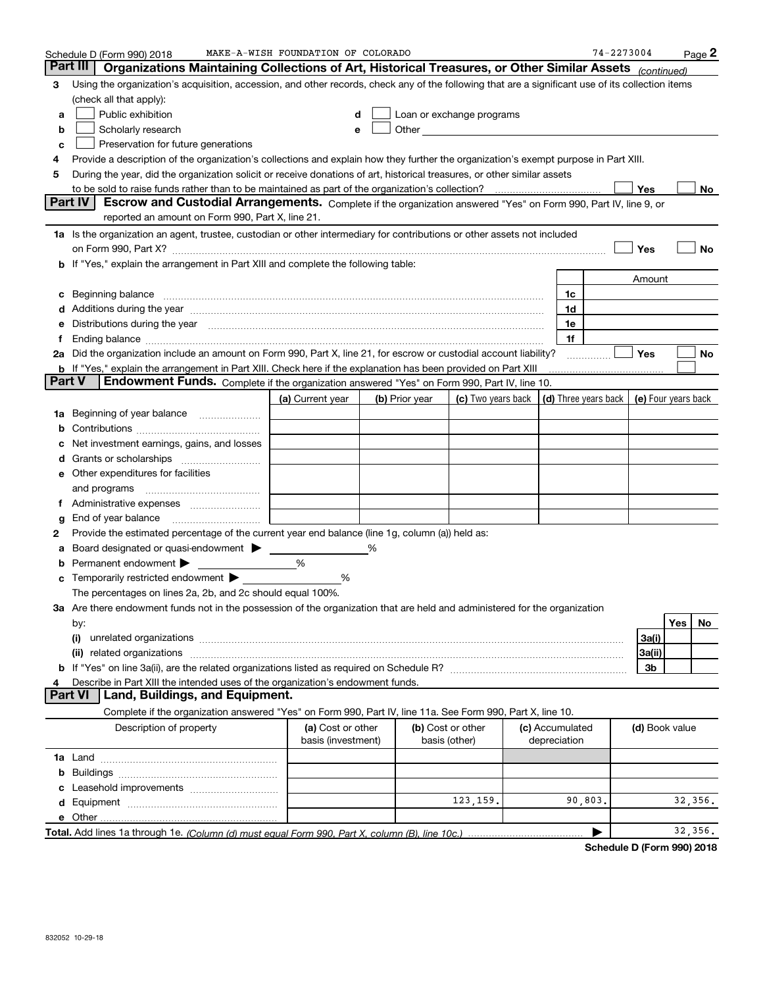|               | Schedule D (Form 990) 2018                                                                                                                                                                                                            | MAKE-A-WISH FOUNDATION OF COLORADO      |                |                                                                                                                                                                                                                               |                                 | $74 - 2273004$                                   |                |     | Page 2  |
|---------------|---------------------------------------------------------------------------------------------------------------------------------------------------------------------------------------------------------------------------------------|-----------------------------------------|----------------|-------------------------------------------------------------------------------------------------------------------------------------------------------------------------------------------------------------------------------|---------------------------------|--------------------------------------------------|----------------|-----|---------|
| Part III      | Organizations Maintaining Collections of Art, Historical Treasures, or Other Similar Assets (continued)                                                                                                                               |                                         |                |                                                                                                                                                                                                                               |                                 |                                                  |                |     |         |
| 3             | Using the organization's acquisition, accession, and other records, check any of the following that are a significant use of its collection items                                                                                     |                                         |                |                                                                                                                                                                                                                               |                                 |                                                  |                |     |         |
|               | (check all that apply):                                                                                                                                                                                                               |                                         |                |                                                                                                                                                                                                                               |                                 |                                                  |                |     |         |
| a             | Public exhibition                                                                                                                                                                                                                     | d                                       |                | Loan or exchange programs                                                                                                                                                                                                     |                                 |                                                  |                |     |         |
| b             | Scholarly research                                                                                                                                                                                                                    | е                                       |                | Other and the contract of the contract of the contract of the contract of the contract of the contract of the contract of the contract of the contract of the contract of the contract of the contract of the contract of the |                                 |                                                  |                |     |         |
| c             | Preservation for future generations                                                                                                                                                                                                   |                                         |                |                                                                                                                                                                                                                               |                                 |                                                  |                |     |         |
| 4             | Provide a description of the organization's collections and explain how they further the organization's exempt purpose in Part XIII.                                                                                                  |                                         |                |                                                                                                                                                                                                                               |                                 |                                                  |                |     |         |
| 5             | During the year, did the organization solicit or receive donations of art, historical treasures, or other similar assets                                                                                                              |                                         |                |                                                                                                                                                                                                                               |                                 |                                                  |                |     |         |
|               |                                                                                                                                                                                                                                       |                                         |                |                                                                                                                                                                                                                               |                                 |                                                  | Yes            |     | No      |
|               | Part IV<br>Escrow and Custodial Arrangements. Complete if the organization answered "Yes" on Form 990, Part IV, line 9, or<br>reported an amount on Form 990, Part X, line 21.                                                        |                                         |                |                                                                                                                                                                                                                               |                                 |                                                  |                |     |         |
|               | 1a Is the organization an agent, trustee, custodian or other intermediary for contributions or other assets not included                                                                                                              |                                         |                |                                                                                                                                                                                                                               |                                 |                                                  |                |     |         |
|               |                                                                                                                                                                                                                                       |                                         |                |                                                                                                                                                                                                                               |                                 |                                                  | Yes            |     | No      |
|               | <b>b</b> If "Yes," explain the arrangement in Part XIII and complete the following table:                                                                                                                                             |                                         |                |                                                                                                                                                                                                                               |                                 |                                                  |                |     |         |
|               |                                                                                                                                                                                                                                       |                                         |                |                                                                                                                                                                                                                               |                                 |                                                  | Amount         |     |         |
| c             | Beginning balance <b>contract to the contract of the contract of the contract of the contract of the contract of t</b>                                                                                                                |                                         |                |                                                                                                                                                                                                                               | 1c                              |                                                  |                |     |         |
|               | Additions during the year manufactured and an annual contract of the year manufactured and all the year manufactured and all the year manufactured and all the year manufactured and all the year manufactured and all the yea        |                                         |                |                                                                                                                                                                                                                               | 1d                              |                                                  |                |     |         |
| е             | Distributions during the year manufactured and continuum and contact the year manufactured and contact the year                                                                                                                       |                                         |                |                                                                                                                                                                                                                               | 1e                              |                                                  |                |     |         |
| Ť.            |                                                                                                                                                                                                                                       |                                         |                |                                                                                                                                                                                                                               | 1f                              |                                                  |                |     |         |
|               | 2a Did the organization include an amount on Form 990, Part X, line 21, for escrow or custodial account liability?                                                                                                                    |                                         |                |                                                                                                                                                                                                                               |                                 |                                                  | <b>Yes</b>     |     | No      |
|               | <b>b</b> If "Yes," explain the arrangement in Part XIII. Check here if the explanation has been provided on Part XIII                                                                                                                 |                                         |                |                                                                                                                                                                                                                               |                                 |                                                  |                |     |         |
| <b>Part V</b> | Endowment Funds. Complete if the organization answered "Yes" on Form 990, Part IV, line 10.                                                                                                                                           |                                         |                |                                                                                                                                                                                                                               |                                 |                                                  |                |     |         |
|               |                                                                                                                                                                                                                                       | (a) Current year                        | (b) Prior year | (c) Two years back                                                                                                                                                                                                            |                                 | (d) Three years back $\vert$ (e) Four years back |                |     |         |
| 1a            | Beginning of year balance                                                                                                                                                                                                             |                                         |                |                                                                                                                                                                                                                               |                                 |                                                  |                |     |         |
| b             |                                                                                                                                                                                                                                       |                                         |                |                                                                                                                                                                                                                               |                                 |                                                  |                |     |         |
|               | Net investment earnings, gains, and losses                                                                                                                                                                                            |                                         |                |                                                                                                                                                                                                                               |                                 |                                                  |                |     |         |
| d             |                                                                                                                                                                                                                                       |                                         |                |                                                                                                                                                                                                                               |                                 |                                                  |                |     |         |
|               | <b>e</b> Other expenditures for facilities                                                                                                                                                                                            |                                         |                |                                                                                                                                                                                                                               |                                 |                                                  |                |     |         |
|               | and programs                                                                                                                                                                                                                          |                                         |                |                                                                                                                                                                                                                               |                                 |                                                  |                |     |         |
| Ť.            |                                                                                                                                                                                                                                       |                                         |                |                                                                                                                                                                                                                               |                                 |                                                  |                |     |         |
| g             | End of year balance                                                                                                                                                                                                                   |                                         |                |                                                                                                                                                                                                                               |                                 |                                                  |                |     |         |
| 2             | Provide the estimated percentage of the current year end balance (line 1g, column (a)) held as:                                                                                                                                       |                                         |                |                                                                                                                                                                                                                               |                                 |                                                  |                |     |         |
| а             | Board designated or quasi-endowment > ____                                                                                                                                                                                            |                                         |                |                                                                                                                                                                                                                               |                                 |                                                  |                |     |         |
| b             | Permanent endowment                                                                                                                                                                                                                   | %                                       |                |                                                                                                                                                                                                                               |                                 |                                                  |                |     |         |
| c             | Temporarily restricted endowment >                                                                                                                                                                                                    | %                                       |                |                                                                                                                                                                                                                               |                                 |                                                  |                |     |         |
|               | The percentages on lines 2a, 2b, and 2c should equal 100%.                                                                                                                                                                            |                                         |                |                                                                                                                                                                                                                               |                                 |                                                  |                |     |         |
|               | 3a Are there endowment funds not in the possession of the organization that are held and administered for the organization                                                                                                            |                                         |                |                                                                                                                                                                                                                               |                                 |                                                  |                |     |         |
|               | by:                                                                                                                                                                                                                                   |                                         |                |                                                                                                                                                                                                                               |                                 |                                                  |                | Yes | No      |
|               | (i)<br>unrelated organizations [111] material contracts are all the contracts and contracts are all the contracts and contracts are all the contracts and contracts are all the contracts and contracts are all the contracts and con |                                         |                |                                                                                                                                                                                                                               |                                 |                                                  | 3a(i)          |     |         |
|               |                                                                                                                                                                                                                                       |                                         |                |                                                                                                                                                                                                                               |                                 |                                                  | 3a(ii)         |     |         |
|               |                                                                                                                                                                                                                                       |                                         |                |                                                                                                                                                                                                                               |                                 |                                                  | 3b             |     |         |
|               | Describe in Part XIII the intended uses of the organization's endowment funds.<br>Part VI<br>Land, Buildings, and Equipment.                                                                                                          |                                         |                |                                                                                                                                                                                                                               |                                 |                                                  |                |     |         |
|               |                                                                                                                                                                                                                                       |                                         |                |                                                                                                                                                                                                                               |                                 |                                                  |                |     |         |
|               | Complete if the organization answered "Yes" on Form 990, Part IV, line 11a. See Form 990, Part X, line 10.                                                                                                                            |                                         |                |                                                                                                                                                                                                                               |                                 |                                                  |                |     |         |
|               | Description of property                                                                                                                                                                                                               | (a) Cost or other<br>basis (investment) |                | (b) Cost or other<br>basis (other)                                                                                                                                                                                            | (c) Accumulated<br>depreciation |                                                  | (d) Book value |     |         |
|               |                                                                                                                                                                                                                                       |                                         |                |                                                                                                                                                                                                                               |                                 |                                                  |                |     |         |
| b             |                                                                                                                                                                                                                                       |                                         |                |                                                                                                                                                                                                                               |                                 |                                                  |                |     |         |
|               |                                                                                                                                                                                                                                       |                                         |                |                                                                                                                                                                                                                               |                                 |                                                  |                |     |         |
|               |                                                                                                                                                                                                                                       |                                         |                | 123, 159.                                                                                                                                                                                                                     |                                 | 90,803.                                          |                |     | 32,356. |
|               |                                                                                                                                                                                                                                       |                                         |                |                                                                                                                                                                                                                               |                                 |                                                  |                |     |         |
|               |                                                                                                                                                                                                                                       |                                         |                |                                                                                                                                                                                                                               |                                 | ▶                                                |                |     | 32,356. |

**Schedule D (Form 990) 2018**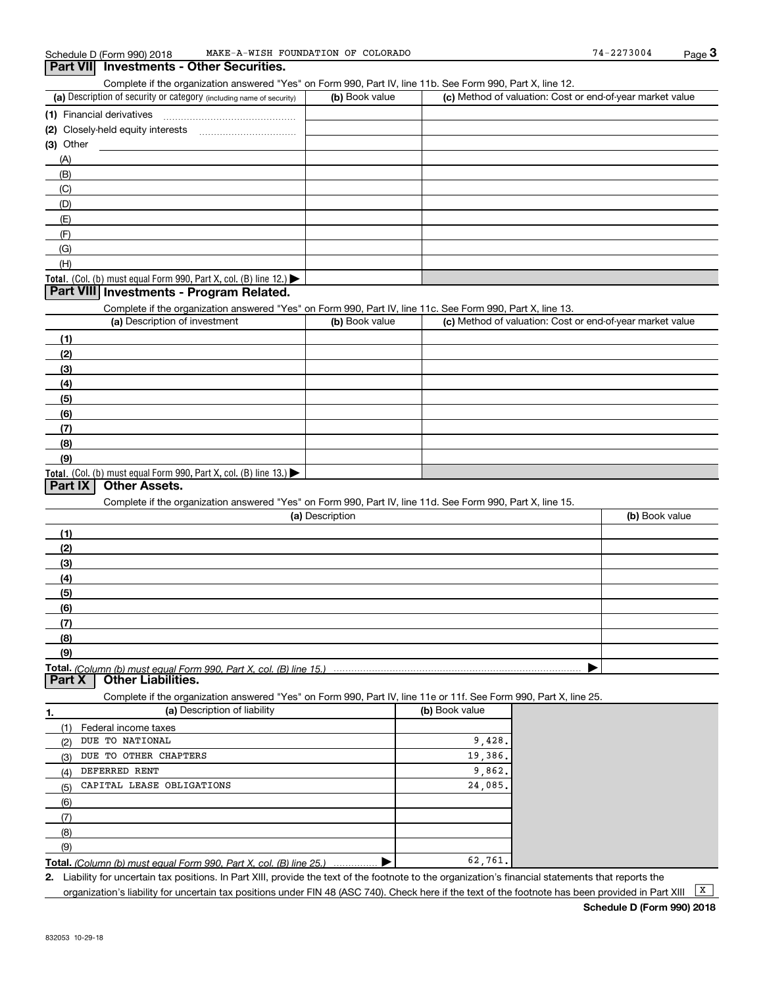Complete if the organization answered "Yes" on Form 990, Part IV, line 11b. See Form 990, Part X, line 12.

| (a) Description of security or category (including name of security)                          | (b) Book value | (c) Method of valuation: Cost or end-of-year market value |
|-----------------------------------------------------------------------------------------------|----------------|-----------------------------------------------------------|
| (1) Financial derivatives                                                                     |                |                                                           |
| (2) Closely-held equity interests                                                             |                |                                                           |
| $(3)$ Other                                                                                   |                |                                                           |
| (A)                                                                                           |                |                                                           |
| (B)                                                                                           |                |                                                           |
| (C)                                                                                           |                |                                                           |
| (D)                                                                                           |                |                                                           |
| (E)                                                                                           |                |                                                           |
| (F)                                                                                           |                |                                                           |
| (G)                                                                                           |                |                                                           |
| (H)                                                                                           |                |                                                           |
| <b>Total.</b> (Col. (b) must equal Form 990, Part X, col. (B) line 12.) $\blacktriangleright$ |                |                                                           |

### **Part VIII Investments - Program Related.**

Complete if the organization answered "Yes" on Form 990, Part IV, line 11c. See Form 990, Part X, line 13.

| (a) Description of investment                                    | (b) Book value | (c) Method of valuation: Cost or end-of-year market value |
|------------------------------------------------------------------|----------------|-----------------------------------------------------------|
| (1)                                                              |                |                                                           |
| (2)                                                              |                |                                                           |
| $\frac{1}{2}$                                                    |                |                                                           |
| (4)                                                              |                |                                                           |
| (5)                                                              |                |                                                           |
| (6)                                                              |                |                                                           |
| (7)                                                              |                |                                                           |
| (8)                                                              |                |                                                           |
| (9)                                                              |                |                                                           |
| Total. (Col. (b) must equal Form 990, Part X, col. (B) line 13.) |                |                                                           |

## **Part IX Other Assets.**

Complete if the organization answered "Yes" on Form 990, Part IV, line 11d. See Form 990, Part X, line 15.

| (a) Description | (b) Book value |
|-----------------|----------------|
| (1)             |                |
| (2)             |                |
| $\frac{1}{2}$   |                |
| (4)             |                |
| (5)             |                |
| (6)             |                |
| (7)             |                |
| (8)             |                |
| (9)             |                |
|                 |                |

(b) Book value

**Part X Other Liabilities.**

Complete if the organization answered "Yes" on Form 990, Part IV, line 11e or 11f. See Form 990, Part X, line 25.

| (a) Description of liability |                      |  |  |
|------------------------------|----------------------|--|--|
| (1)                          | Federal income taxes |  |  |

| DUE TO NATIONAL<br>(2)                                                      | 9.428.  |
|-----------------------------------------------------------------------------|---------|
| DUE TO OTHER CHAPTERS<br>(3)                                                | 19,386. |
| DEFERRED RENT<br>(4)                                                        | 9.862.  |
| CAPITAL LEASE OBLIGATIONS<br>(5)                                            | 24,085. |
| (6)                                                                         |         |
|                                                                             |         |
| (8)                                                                         |         |
| (9)                                                                         |         |
| <b>Total,</b> (Column (b) must equal Form 990, Part X, col. (B) line $25$ ) | 62,761. |

**Total.** (Column (b) must equal Form 990, Part X, col. (B) line 25.) ................ ▶

**2.** Liability for uncertain tax positions. In Part XIII, provide the text of the footnote to the organization's financial statements that reports the organization's liability for uncertain tax positions under FIN 48 (ASC 740). Check here if the text of the footnote has been provided in Part XIII  $\boxed{\text{X}}$ 

**1.**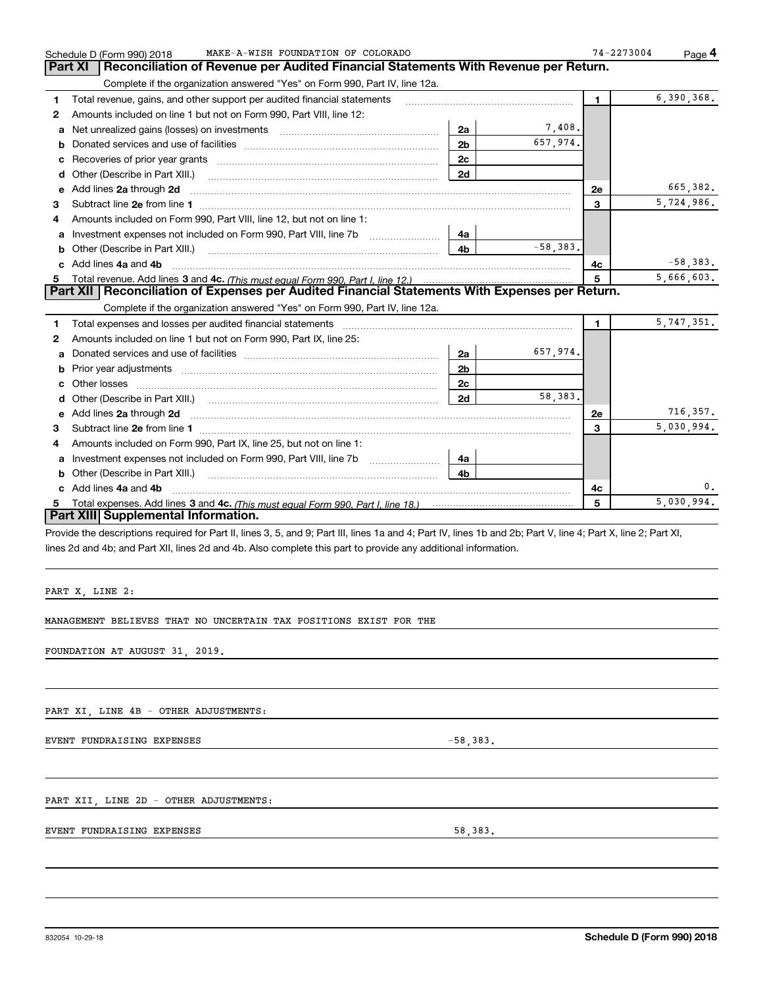|        | PART X, LINE 2:<br>MANAGEMENT BELIEVES THAT NO UNCERTAIN TAX POSITIONS EXIST FOR THE<br>FOUNDATION AT AUGUST 31, 2019.<br>PART XI LINE 4B - OTHER ADJUSTMENTS:<br>EVENT FUNDRAISING EXPENSES<br>PART XII, LINE 2D - OTHER ADJUSTMENTS:<br>EVENT FUNDRAISING EXPENSES<br>832054 10-29-18 | $-58,383.$<br>58,383. |            |    |                            |
|--------|-----------------------------------------------------------------------------------------------------------------------------------------------------------------------------------------------------------------------------------------------------------------------------------------|-----------------------|------------|----|----------------------------|
|        |                                                                                                                                                                                                                                                                                         |                       |            |    | Schedule D (Form 990) 2018 |
|        |                                                                                                                                                                                                                                                                                         |                       |            |    |                            |
|        |                                                                                                                                                                                                                                                                                         |                       |            |    |                            |
|        |                                                                                                                                                                                                                                                                                         |                       |            |    |                            |
|        |                                                                                                                                                                                                                                                                                         |                       |            |    |                            |
|        |                                                                                                                                                                                                                                                                                         |                       |            |    |                            |
|        |                                                                                                                                                                                                                                                                                         |                       |            |    |                            |
|        |                                                                                                                                                                                                                                                                                         |                       |            |    |                            |
|        |                                                                                                                                                                                                                                                                                         |                       |            |    |                            |
|        |                                                                                                                                                                                                                                                                                         |                       |            |    |                            |
|        |                                                                                                                                                                                                                                                                                         |                       |            |    |                            |
|        |                                                                                                                                                                                                                                                                                         |                       |            |    |                            |
|        |                                                                                                                                                                                                                                                                                         |                       |            |    |                            |
|        |                                                                                                                                                                                                                                                                                         |                       |            |    |                            |
|        |                                                                                                                                                                                                                                                                                         |                       |            |    |                            |
|        |                                                                                                                                                                                                                                                                                         |                       |            |    |                            |
|        |                                                                                                                                                                                                                                                                                         |                       |            |    |                            |
|        |                                                                                                                                                                                                                                                                                         |                       |            |    |                            |
|        |                                                                                                                                                                                                                                                                                         |                       |            |    |                            |
|        |                                                                                                                                                                                                                                                                                         |                       |            |    |                            |
|        |                                                                                                                                                                                                                                                                                         |                       |            |    |                            |
|        | lines 2d and 4b; and Part XII, lines 2d and 4b. Also complete this part to provide any additional information.                                                                                                                                                                          |                       |            |    |                            |
|        | Provide the descriptions required for Part II, lines 3, 5, and 9; Part III, lines 1a and 4; Part IV, lines 1b and 2b; Part V, line 4; Part X, line 2; Part XI,                                                                                                                          |                       |            |    |                            |
|        | Part XIII Supplemental Information.                                                                                                                                                                                                                                                     |                       |            |    |                            |
|        |                                                                                                                                                                                                                                                                                         |                       |            | 5  | 5,030,994.                 |
|        | c Add lines 4a and 4b                                                                                                                                                                                                                                                                   |                       |            | 4c | 0.                         |
|        |                                                                                                                                                                                                                                                                                         | 4b                    |            |    |                            |
|        | a Investment expenses not included on Form 990, Part VIII, line 7b [11, 111, 111, 111]                                                                                                                                                                                                  | 4a -                  |            |    |                            |
| 4      | Amounts included on Form 990, Part IX, line 25, but not on line 1:                                                                                                                                                                                                                      |                       |            |    |                            |
| З.     | Subtract line 2e from line 1 <b>manual contract and contract and contract and contract line 2e</b> from line 1                                                                                                                                                                          |                       |            | 3  | 5,030,994.                 |
|        |                                                                                                                                                                                                                                                                                         |                       |            | 2e | 716,357.                   |
|        | d Other (Describe in Part XIII.) (Contract and Description of Other (Describe in Part XIII.)                                                                                                                                                                                            | 2c<br>2d              | 58,383.    |    |                            |
| b      | Prior year adjustments [111] matter contracts and all the matter contracts and the matter contracts and the ma                                                                                                                                                                          | 2 <sub>b</sub>        |            |    |                            |
| a      |                                                                                                                                                                                                                                                                                         | 2a                    | 657,974.   |    |                            |
| 2      | Amounts included on line 1 but not on Form 990, Part IX, line 25:                                                                                                                                                                                                                       |                       |            |    |                            |
| 1      |                                                                                                                                                                                                                                                                                         |                       |            | 1  | 5,747,351.                 |
|        | Complete if the organization answered "Yes" on Form 990, Part IV, line 12a.                                                                                                                                                                                                             |                       |            |    |                            |
|        | Part XII   Reconciliation of Expenses per Audited Financial Statements With Expenses per Return.                                                                                                                                                                                        |                       |            |    |                            |
| 5      |                                                                                                                                                                                                                                                                                         |                       |            | 5  | 5,666,603.                 |
|        |                                                                                                                                                                                                                                                                                         |                       |            | 4c | $-58,383.$                 |
|        |                                                                                                                                                                                                                                                                                         | 4b                    | $-58,383.$ |    |                            |
| a      | Investment expenses not included on Form 990, Part VIII, line 7b [11, 111, 111, 111]                                                                                                                                                                                                    | 4a                    |            |    |                            |
| 3<br>4 | Amounts included on Form 990, Part VIII, line 12, but not on line 1:                                                                                                                                                                                                                    |                       |            | 3  |                            |
|        | e Add lines 2a through 2d                                                                                                                                                                                                                                                               |                       |            | 2e | 665,382.<br>5,724,986.     |
|        |                                                                                                                                                                                                                                                                                         | 2d                    |            |    |                            |
|        |                                                                                                                                                                                                                                                                                         | 2c                    |            |    |                            |
| с      |                                                                                                                                                                                                                                                                                         | 2 <sub>b</sub>        | 657,974.   |    |                            |
| b      |                                                                                                                                                                                                                                                                                         |                       |            |    |                            |

## Schedule D (Form 990) 2018 MAKE-A-WISH FOUNDATION OF COLORADO Page Schedule D (Form 990) 2018 MAKE-A-WISH FOUNDATION OF COLORADO<br>**Part XI** Reconciliation of Revenue per Audited Financial Statements With Revenue per Return.

Complete if the organization answered "Yes" on Form 990, Part IV, line 12a.

**2**Amounts included on line 1 but not on Form 990, Part VIII, line 12:

**1** Total revenue, gains, and other support per audited financial statements *\_\_\_\_\_\_\_\_\_\_\_\_\_\_\_\_\_\_\_\_\_\_\_\_\_\_\_\_\_\_\_\_*\_\_\_\_\_

| $74 - 2273004$ | Page <sup>4</sup> |
|----------------|-------------------|
|                |                   |

6,390,368.

**1**

7,408.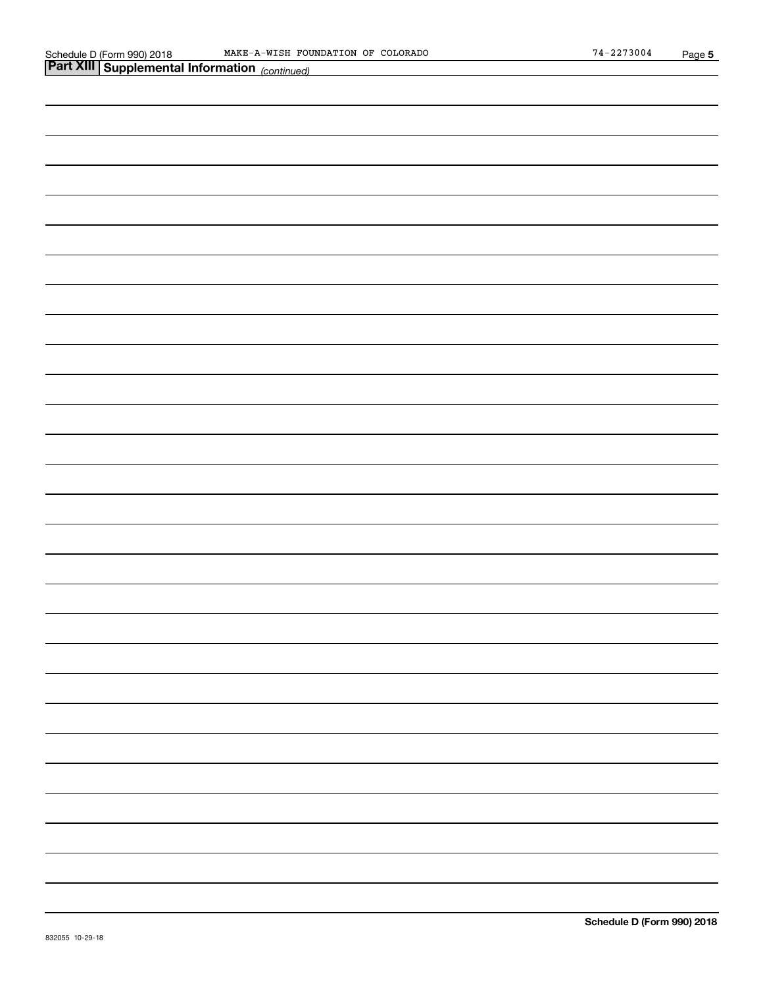| <b>Part XIII Supplemental Information</b> (continued) |
|-------------------------------------------------------|
|                                                       |
|                                                       |
|                                                       |
|                                                       |
|                                                       |
|                                                       |
|                                                       |
|                                                       |
|                                                       |
|                                                       |
|                                                       |
|                                                       |
|                                                       |
|                                                       |
|                                                       |
|                                                       |
|                                                       |
|                                                       |
|                                                       |
|                                                       |
|                                                       |
|                                                       |
|                                                       |
|                                                       |
|                                                       |
|                                                       |
|                                                       |
|                                                       |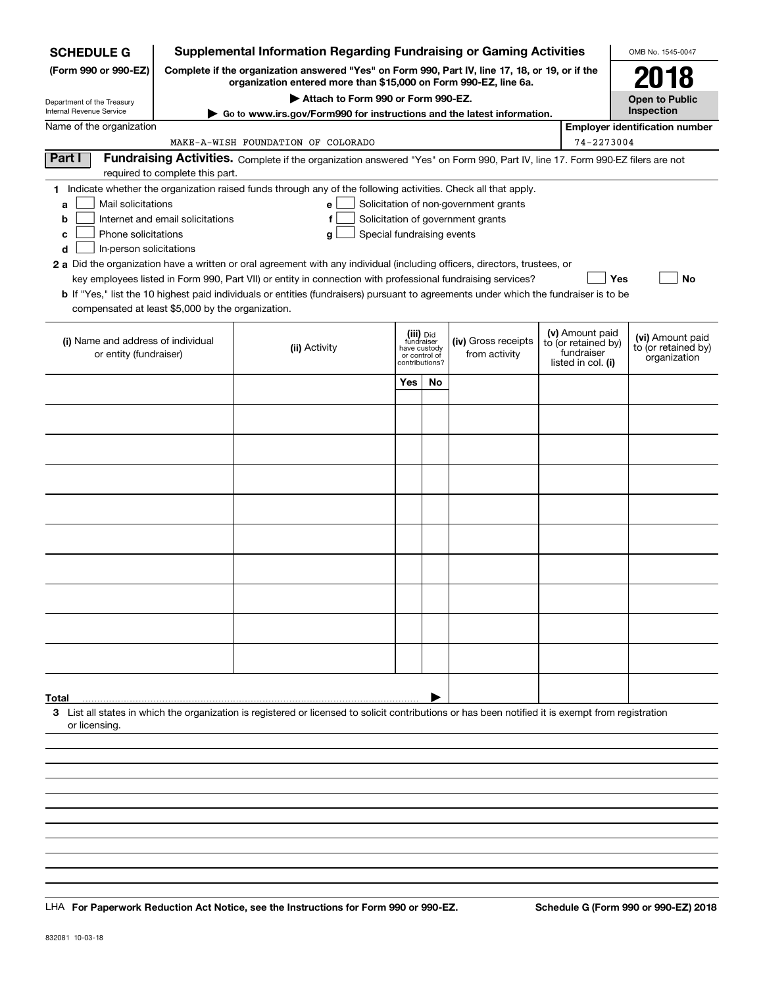| <b>SCHEDULE G</b>                                 |                                                                  | <b>Supplemental Information Regarding Fundraising or Gaming Activities</b>                                                                                          |     |                               |                                   |  |                                        | OMB No. 1545-0047                     |  |
|---------------------------------------------------|------------------------------------------------------------------|---------------------------------------------------------------------------------------------------------------------------------------------------------------------|-----|-------------------------------|-----------------------------------|--|----------------------------------------|---------------------------------------|--|
| (Form 990 or 990-EZ)                              |                                                                  | Complete if the organization answered "Yes" on Form 990, Part IV, line 17, 18, or 19, or if the<br>organization entered more than \$15,000 on Form 990-EZ, line 6a. |     |                               |                                   |  |                                        | 2018                                  |  |
| Department of the Treasury                        |                                                                  | Attach to Form 990 or Form 990-EZ.                                                                                                                                  |     |                               |                                   |  |                                        | <b>Open to Public</b>                 |  |
| Internal Revenue Service                          |                                                                  | Go to www.irs.gov/Form990 for instructions and the latest information.                                                                                              |     |                               |                                   |  |                                        | Inspection                            |  |
| Name of the organization                          |                                                                  |                                                                                                                                                                     |     |                               |                                   |  |                                        | <b>Employer identification number</b> |  |
|                                                   |                                                                  | MAKE-A-WISH FOUNDATION OF COLORADO                                                                                                                                  |     |                               |                                   |  | 74-2273004                             |                                       |  |
| Part I                                            | required to complete this part.                                  | Fundraising Activities. Complete if the organization answered "Yes" on Form 990, Part IV, line 17. Form 990-EZ filers are not                                       |     |                               |                                   |  |                                        |                                       |  |
|                                                   |                                                                  | 1 Indicate whether the organization raised funds through any of the following activities. Check all that apply.                                                     |     |                               |                                   |  |                                        |                                       |  |
| a                                                 | Mail solicitations<br>Solicitation of non-government grants<br>е |                                                                                                                                                                     |     |                               |                                   |  |                                        |                                       |  |
| b                                                 | Internet and email solicitations                                 | $\mathbf f$                                                                                                                                                         |     |                               | Solicitation of government grants |  |                                        |                                       |  |
| Phone solicitations<br>c                          |                                                                  | Special fundraising events<br>g                                                                                                                                     |     |                               |                                   |  |                                        |                                       |  |
| In-person solicitations<br>d                      |                                                                  |                                                                                                                                                                     |     |                               |                                   |  |                                        |                                       |  |
|                                                   |                                                                  | 2 a Did the organization have a written or oral agreement with any individual (including officers, directors, trustees, or                                          |     |                               |                                   |  |                                        |                                       |  |
|                                                   |                                                                  | key employees listed in Form 990, Part VII) or entity in connection with professional fundraising services?                                                         |     |                               |                                   |  |                                        | <b>No</b><br><b>Yes</b>               |  |
|                                                   |                                                                  | <b>b</b> If "Yes," list the 10 highest paid individuals or entities (fundraisers) pursuant to agreements under which the fundraiser is to be                        |     |                               |                                   |  |                                        |                                       |  |
| compensated at least \$5,000 by the organization. |                                                                  |                                                                                                                                                                     |     |                               |                                   |  |                                        |                                       |  |
|                                                   |                                                                  |                                                                                                                                                                     |     |                               |                                   |  |                                        |                                       |  |
| (i) Name and address of individual                |                                                                  |                                                                                                                                                                     |     | (iii) Did<br>fundraiser       | (iv) Gross receipts               |  | (v) Amount paid<br>to (or retained by) | (vi) Amount paid                      |  |
| or entity (fundraiser)                            |                                                                  | (ii) Activity                                                                                                                                                       |     | have custody<br>or control of | from activity                     |  | fundraiser                             | to (or retained by)<br>organization   |  |
|                                                   |                                                                  |                                                                                                                                                                     |     | contributions?                |                                   |  | listed in col. (i)                     |                                       |  |
|                                                   |                                                                  |                                                                                                                                                                     | Yes | No                            |                                   |  |                                        |                                       |  |
|                                                   |                                                                  |                                                                                                                                                                     |     |                               |                                   |  |                                        |                                       |  |
|                                                   |                                                                  |                                                                                                                                                                     |     |                               |                                   |  |                                        |                                       |  |
|                                                   |                                                                  |                                                                                                                                                                     |     |                               |                                   |  |                                        |                                       |  |
|                                                   |                                                                  |                                                                                                                                                                     |     |                               |                                   |  |                                        |                                       |  |
|                                                   |                                                                  |                                                                                                                                                                     |     |                               |                                   |  |                                        |                                       |  |
|                                                   |                                                                  |                                                                                                                                                                     |     |                               |                                   |  |                                        |                                       |  |
|                                                   |                                                                  |                                                                                                                                                                     |     |                               |                                   |  |                                        |                                       |  |
|                                                   |                                                                  |                                                                                                                                                                     |     |                               |                                   |  |                                        |                                       |  |
|                                                   |                                                                  |                                                                                                                                                                     |     |                               |                                   |  |                                        |                                       |  |
|                                                   |                                                                  |                                                                                                                                                                     |     |                               |                                   |  |                                        |                                       |  |
|                                                   |                                                                  |                                                                                                                                                                     |     |                               |                                   |  |                                        |                                       |  |
|                                                   |                                                                  |                                                                                                                                                                     |     |                               |                                   |  |                                        |                                       |  |
|                                                   |                                                                  |                                                                                                                                                                     |     |                               |                                   |  |                                        |                                       |  |
|                                                   |                                                                  |                                                                                                                                                                     |     |                               |                                   |  |                                        |                                       |  |
|                                                   |                                                                  |                                                                                                                                                                     |     |                               |                                   |  |                                        |                                       |  |
|                                                   |                                                                  |                                                                                                                                                                     |     |                               |                                   |  |                                        |                                       |  |
|                                                   |                                                                  |                                                                                                                                                                     |     |                               |                                   |  |                                        |                                       |  |
|                                                   |                                                                  |                                                                                                                                                                     |     |                               |                                   |  |                                        |                                       |  |
|                                                   |                                                                  |                                                                                                                                                                     |     |                               |                                   |  |                                        |                                       |  |
| Total                                             |                                                                  |                                                                                                                                                                     |     |                               |                                   |  |                                        |                                       |  |
| or licensing.                                     |                                                                  | 3 List all states in which the organization is registered or licensed to solicit contributions or has been notified it is exempt from registration                  |     |                               |                                   |  |                                        |                                       |  |
|                                                   |                                                                  |                                                                                                                                                                     |     |                               |                                   |  |                                        |                                       |  |
|                                                   |                                                                  |                                                                                                                                                                     |     |                               |                                   |  |                                        |                                       |  |
|                                                   |                                                                  |                                                                                                                                                                     |     |                               |                                   |  |                                        |                                       |  |
|                                                   |                                                                  |                                                                                                                                                                     |     |                               |                                   |  |                                        |                                       |  |
|                                                   |                                                                  |                                                                                                                                                                     |     |                               |                                   |  |                                        |                                       |  |

LHA For Paperwork Reduction Act Notice, see the Instructions for Form 990 or 990-EZ. Schedule G (Form 990 or 990-EZ) 2018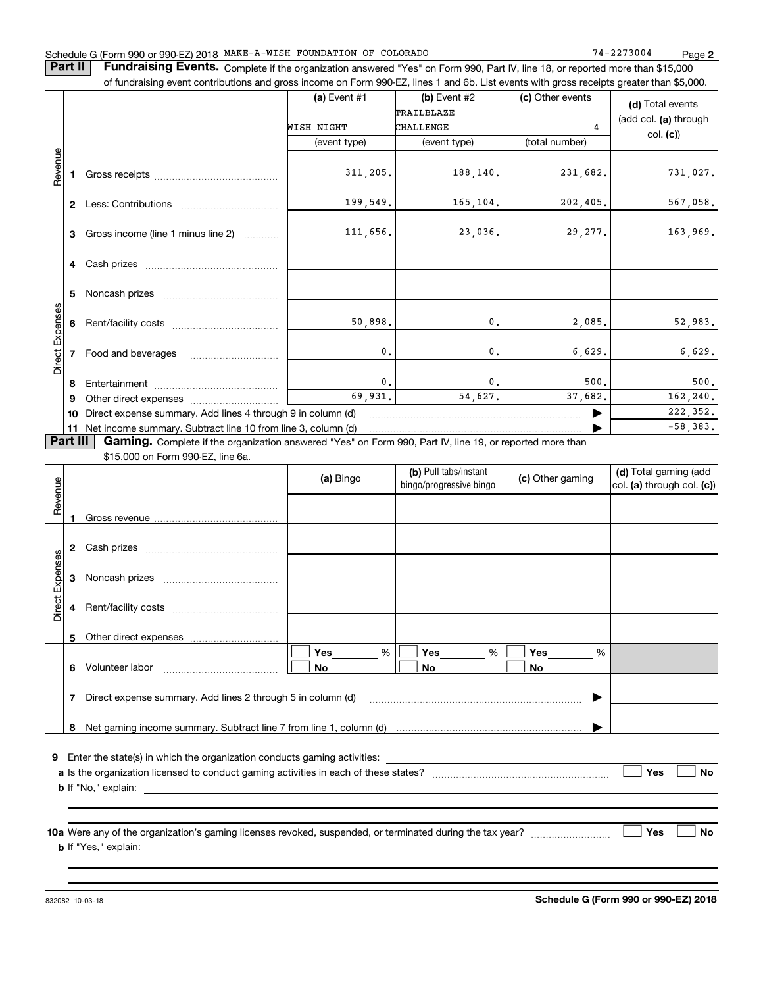## Schedule G (Form 990 or 990-EZ) 2018 Page MAKE-A-WISH FOUNDATION OF COLORADO 74-2273004

**2**

**Part II** | Fundraising Events. Complete if the organization answered "Yes" on Form 990, Part IV, line 18, or reported more than \$15,000 of fundraising event contributions and gross income on Form 990-EZ, lines 1 and 6b. List events with gross receipts greater than \$5,000.

|                        |              |                                                                                                                                                                                                                                | (a) Event $#1$<br>WISH NIGHT<br>(event type) | (b) Event $#2$<br>TRAILBLAZE<br><b>CHALLENGE</b><br>(event type) | (c) Other events<br>4<br>(total number) | (d) Total events<br>(add col. (a) through<br>col. (c) |  |  |
|------------------------|--------------|--------------------------------------------------------------------------------------------------------------------------------------------------------------------------------------------------------------------------------|----------------------------------------------|------------------------------------------------------------------|-----------------------------------------|-------------------------------------------------------|--|--|
| Revenue                |              | Gross receipts and the control of the control of the control of the control of the control of the control of the control of the control of the control of the control of the control of the control of the control of the cont | 311, 205.                                    | 188,140.                                                         | 231,682.                                | 731,027.                                              |  |  |
|                        | $\mathbf{2}$ | Less: Contributions                                                                                                                                                                                                            | 199,549.                                     | 165,104.                                                         | 202, 405.                               | 567,058.                                              |  |  |
|                        | 3            | Gross income (line 1 minus line 2)                                                                                                                                                                                             | 111,656.                                     | 23,036.                                                          | 29, 277.                                | 163,969.                                              |  |  |
|                        |              |                                                                                                                                                                                                                                |                                              |                                                                  |                                         |                                                       |  |  |
|                        | 5.           |                                                                                                                                                                                                                                |                                              |                                                                  |                                         |                                                       |  |  |
|                        | 6            |                                                                                                                                                                                                                                | 50,898.                                      | 0.                                                               | 2,085.                                  | 52,983.                                               |  |  |
| <b>Direct Expenses</b> |              | Food and beverages                                                                                                                                                                                                             | 0.                                           | $\mathbf{0}$ .                                                   | 6,629.                                  | 6,629.                                                |  |  |
|                        | 8            |                                                                                                                                                                                                                                | $\mathbf{0}$ .                               | $\mathbf 0$ .                                                    | 500.                                    | 500.                                                  |  |  |
|                        | 9            |                                                                                                                                                                                                                                | 69,931.                                      | 54,627.                                                          | 37,682.                                 | 162,240.                                              |  |  |
|                        |              | Direct expense summary. Add lines 4 through 9 in column (d)<br>10                                                                                                                                                              |                                              |                                                                  |                                         |                                                       |  |  |
|                        |              | 11 Net income summary. Subtract line 10 from line 3, column (d)                                                                                                                                                                |                                              |                                                                  |                                         | $-58,383.$                                            |  |  |
| <b>Part III</b>        |              | Gaming. Complete if the organization answered "Yes" on Form 990, Part IV, line 19, or reported more than                                                                                                                       |                                              |                                                                  |                                         |                                                       |  |  |
|                        |              | \$15,000 on Form 990-EZ, line 6a.                                                                                                                                                                                              |                                              |                                                                  |                                         |                                                       |  |  |

| Revenue         |              |                                                                                                                                                                                                                                | (a) Bingo             | (b) Pull tabs/instant<br>bingo/progressive bingo | (c) Other gaming               | (d) Total gaming (add<br>$ col. (a)$ through col. $(c)$ |
|-----------------|--------------|--------------------------------------------------------------------------------------------------------------------------------------------------------------------------------------------------------------------------------|-----------------------|--------------------------------------------------|--------------------------------|---------------------------------------------------------|
|                 |              |                                                                                                                                                                                                                                |                       |                                                  |                                |                                                         |
|                 | $\mathbf{2}$ |                                                                                                                                                                                                                                |                       |                                                  |                                |                                                         |
|                 | 3            |                                                                                                                                                                                                                                |                       |                                                  |                                |                                                         |
| Direct Expenses | 4            |                                                                                                                                                                                                                                |                       |                                                  |                                |                                                         |
|                 | 5            |                                                                                                                                                                                                                                |                       |                                                  |                                |                                                         |
|                 | 6            |                                                                                                                                                                                                                                | Yes $\_\_$<br>%<br>No | Yes<br>%<br>No                                   | Yes $\qquad \qquad$<br>%<br>No |                                                         |
|                 | 7            | Direct expense summary. Add lines 2 through 5 in column (d) [11] manus and the summan manuscription of the summan manuscription of the summan manuscription of the summan manuscription of the summan manuscription of the sum |                       |                                                  | ▶                              |                                                         |
|                 |              |                                                                                                                                                                                                                                |                       |                                                  |                                |                                                         |
| 9               |              |                                                                                                                                                                                                                                |                       |                                                  |                                | Yes<br><b>No</b>                                        |
|                 |              |                                                                                                                                                                                                                                |                       |                                                  |                                |                                                         |
|                 |              | 10a Were any of the organization's gaming licenses revoked, suspended, or terminated during the tax year?                                                                                                                      |                       |                                                  |                                | Yes<br><b>No</b>                                        |
|                 |              |                                                                                                                                                                                                                                |                       |                                                  |                                |                                                         |

832082 10-03-18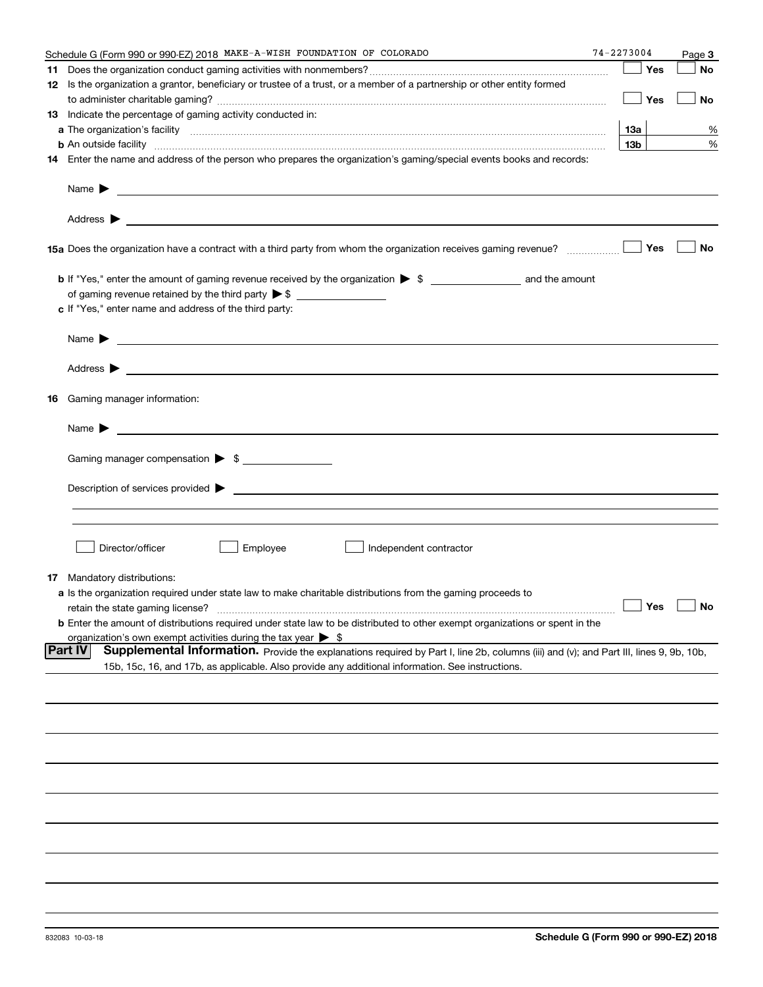| Schedule G (Form 990 or 990-EZ) 2018 MAKE-A-WISH FOUNDATION OF COLORADO                                                                                                                                                                   | 74-2273004      |     | Page 3               |
|-------------------------------------------------------------------------------------------------------------------------------------------------------------------------------------------------------------------------------------------|-----------------|-----|----------------------|
|                                                                                                                                                                                                                                           |                 | Yes | No                   |
| 12 Is the organization a grantor, beneficiary or trustee of a trust, or a member of a partnership or other entity formed                                                                                                                  |                 |     |                      |
|                                                                                                                                                                                                                                           |                 | Yes | No                   |
| 13 Indicate the percentage of gaming activity conducted in:                                                                                                                                                                               |                 |     |                      |
|                                                                                                                                                                                                                                           | 13а             |     | %                    |
| <b>b</b> An outside facility <i>www.communically.communically.communically.communically.communically.communically.communically.communically.communically.communically.communically.communically.communically.communically.communicall</i> | 13 <sub>b</sub> |     | %                    |
| 14 Enter the name and address of the person who prepares the organization's gaming/special events books and records:                                                                                                                      |                 |     |                      |
| Name $\blacktriangleright$ $\ldots$                                                                                                                                                                                                       |                 |     |                      |
|                                                                                                                                                                                                                                           |                 |     |                      |
|                                                                                                                                                                                                                                           |                 |     | No                   |
|                                                                                                                                                                                                                                           |                 |     |                      |
|                                                                                                                                                                                                                                           |                 |     |                      |
|                                                                                                                                                                                                                                           |                 |     |                      |
| c If "Yes," enter name and address of the third party:                                                                                                                                                                                    |                 |     |                      |
|                                                                                                                                                                                                                                           |                 |     |                      |
|                                                                                                                                                                                                                                           |                 |     |                      |
| <b>16</b> Gaming manager information:                                                                                                                                                                                                     |                 |     |                      |
|                                                                                                                                                                                                                                           |                 |     |                      |
|                                                                                                                                                                                                                                           |                 |     |                      |
| Gaming manager compensation > \$                                                                                                                                                                                                          |                 |     |                      |
|                                                                                                                                                                                                                                           |                 |     |                      |
|                                                                                                                                                                                                                                           |                 |     |                      |
|                                                                                                                                                                                                                                           |                 |     |                      |
|                                                                                                                                                                                                                                           |                 |     |                      |
| Director/officer<br>Employee<br>Independent contractor                                                                                                                                                                                    |                 |     |                      |
| <b>17</b> Mandatory distributions:                                                                                                                                                                                                        |                 |     |                      |
| a Is the organization required under state law to make charitable distributions from the gaming proceeds to                                                                                                                               |                 |     |                      |
|                                                                                                                                                                                                                                           |                 |     | $\Box$ Yes $\Box$ No |
| <b>b</b> Enter the amount of distributions required under state law to be distributed to other exempt organizations or spent in the                                                                                                       |                 |     |                      |
| organization's own exempt activities during the tax year $\triangleright$ \$                                                                                                                                                              |                 |     |                      |
| <b>Part IV</b><br>Supplemental Information. Provide the explanations required by Part I, line 2b, columns (iii) and (v); and Part III, lines 9, 9b, 10b,                                                                                  |                 |     |                      |
| 15b, 15c, 16, and 17b, as applicable. Also provide any additional information. See instructions.                                                                                                                                          |                 |     |                      |
|                                                                                                                                                                                                                                           |                 |     |                      |
|                                                                                                                                                                                                                                           |                 |     |                      |
|                                                                                                                                                                                                                                           |                 |     |                      |
|                                                                                                                                                                                                                                           |                 |     |                      |
|                                                                                                                                                                                                                                           |                 |     |                      |
|                                                                                                                                                                                                                                           |                 |     |                      |
|                                                                                                                                                                                                                                           |                 |     |                      |
|                                                                                                                                                                                                                                           |                 |     |                      |
|                                                                                                                                                                                                                                           |                 |     |                      |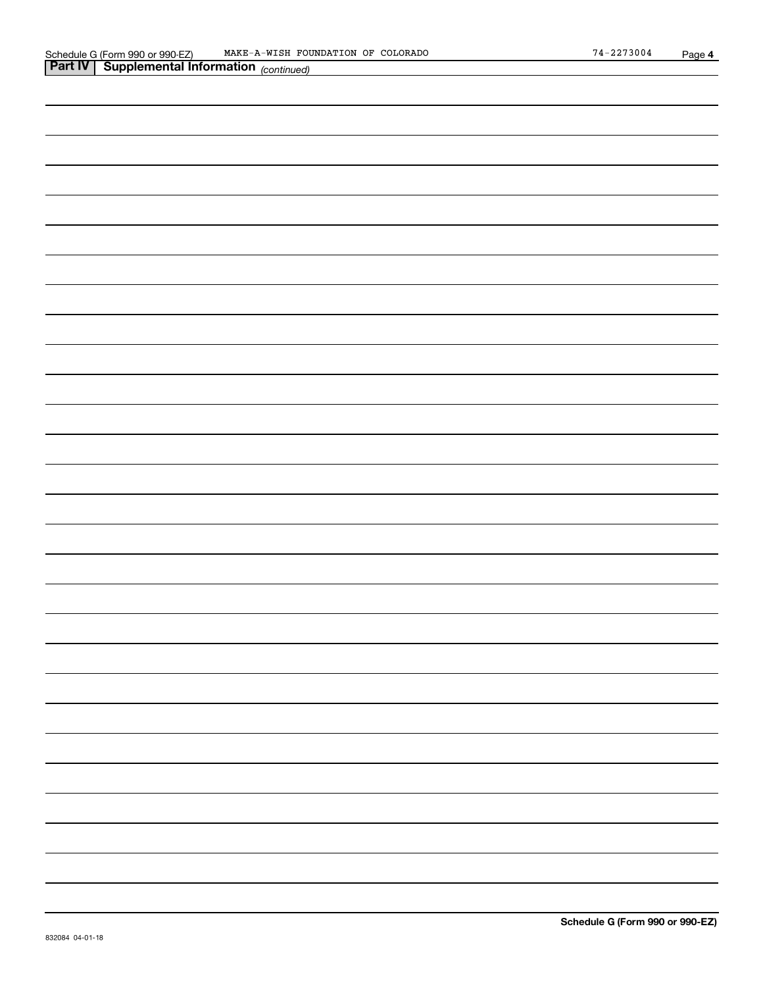| <b>Part IV</b> Supplemental Information (continued) |   |
|-----------------------------------------------------|---|
|                                                     |   |
|                                                     |   |
|                                                     |   |
|                                                     |   |
|                                                     |   |
|                                                     |   |
|                                                     |   |
|                                                     |   |
|                                                     |   |
|                                                     |   |
|                                                     |   |
|                                                     |   |
|                                                     |   |
|                                                     |   |
|                                                     |   |
|                                                     |   |
|                                                     |   |
|                                                     |   |
|                                                     |   |
|                                                     |   |
|                                                     |   |
|                                                     | — |
|                                                     |   |
|                                                     | — |
|                                                     |   |
|                                                     |   |
|                                                     |   |
|                                                     |   |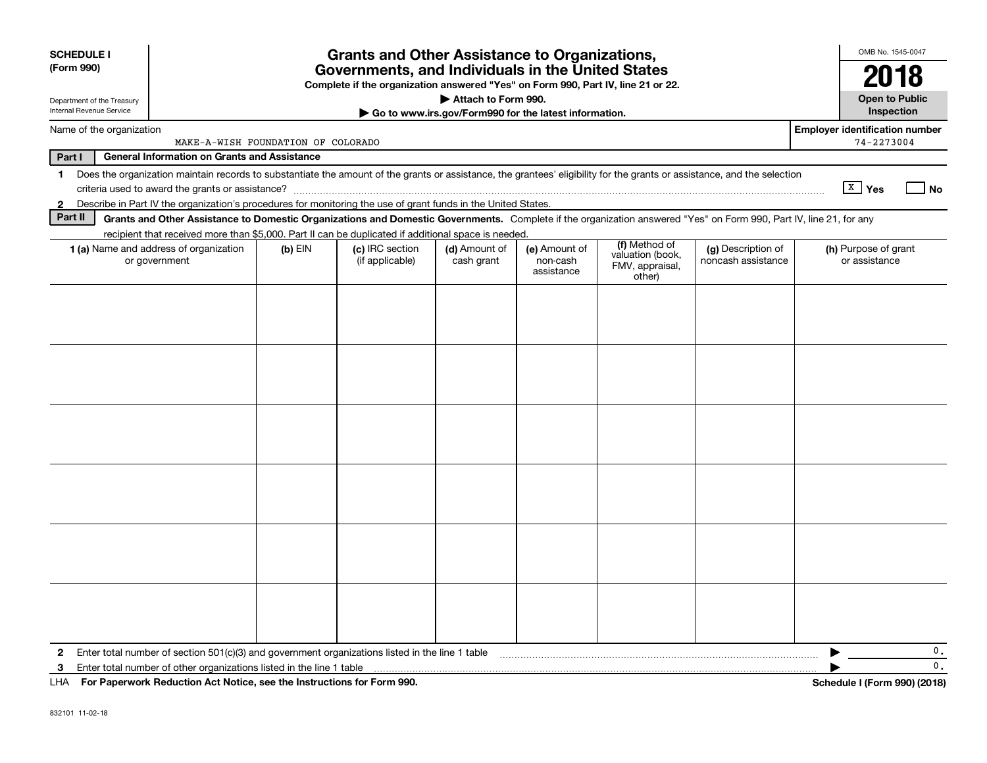| <b>SCHEDULE I</b><br>(Form 990)                               | <b>Grants and Other Assistance to Organizations,</b><br>Governments, and Individuals in the United States<br>Complete if the organization answered "Yes" on Form 990, Part IV, line 21 or 22. |           |                 |                     |                                                       |                                               |                    |                                                     |  |
|---------------------------------------------------------------|-----------------------------------------------------------------------------------------------------------------------------------------------------------------------------------------------|-----------|-----------------|---------------------|-------------------------------------------------------|-----------------------------------------------|--------------------|-----------------------------------------------------|--|
| Department of the Treasury<br>Internal Revenue Service        |                                                                                                                                                                                               |           |                 | Attach to Form 990. | Go to www.irs.gov/Form990 for the latest information. |                                               |                    | <b>Open to Public</b><br>Inspection                 |  |
| Name of the organization                                      | MAKE-A-WISH FOUNDATION OF COLORADO                                                                                                                                                            |           |                 |                     |                                                       |                                               |                    | <b>Employer identification number</b><br>74-2273004 |  |
| Part I<br><b>General Information on Grants and Assistance</b> |                                                                                                                                                                                               |           |                 |                     |                                                       |                                               |                    |                                                     |  |
| $\mathbf{1}$                                                  | Does the organization maintain records to substantiate the amount of the grants or assistance, the grantees' eligibility for the grants or assistance, and the selection                      |           |                 |                     |                                                       |                                               |                    | $X$ Yes<br>l No                                     |  |
| 2                                                             | Describe in Part IV the organization's procedures for monitoring the use of grant funds in the United States.                                                                                 |           |                 |                     |                                                       |                                               |                    |                                                     |  |
| Part II                                                       | Grants and Other Assistance to Domestic Organizations and Domestic Governments. Complete if the organization answered "Yes" on Form 990, Part IV, line 21, for any                            |           |                 |                     |                                                       |                                               |                    |                                                     |  |
|                                                               | recipient that received more than \$5,000. Part II can be duplicated if additional space is needed.<br>1 (a) Name and address of organization                                                 | $(b)$ EIN | (c) IRC section | (d) Amount of       | (e) Amount of                                         | (f) Method of                                 | (g) Description of | (h) Purpose of grant                                |  |
|                                                               | or government                                                                                                                                                                                 |           | (if applicable) | cash grant          | non-cash<br>assistance                                | valuation (book,<br>FMV, appraisal,<br>other) | noncash assistance | or assistance                                       |  |
|                                                               |                                                                                                                                                                                               |           |                 |                     |                                                       |                                               |                    |                                                     |  |
|                                                               |                                                                                                                                                                                               |           |                 |                     |                                                       |                                               |                    |                                                     |  |
|                                                               |                                                                                                                                                                                               |           |                 |                     |                                                       |                                               |                    |                                                     |  |
|                                                               |                                                                                                                                                                                               |           |                 |                     |                                                       |                                               |                    |                                                     |  |
|                                                               |                                                                                                                                                                                               |           |                 |                     |                                                       |                                               |                    |                                                     |  |
|                                                               |                                                                                                                                                                                               |           |                 |                     |                                                       |                                               |                    |                                                     |  |
|                                                               |                                                                                                                                                                                               |           |                 |                     |                                                       |                                               |                    |                                                     |  |
|                                                               |                                                                                                                                                                                               |           |                 |                     |                                                       |                                               |                    |                                                     |  |
|                                                               |                                                                                                                                                                                               |           |                 |                     |                                                       |                                               |                    |                                                     |  |
|                                                               |                                                                                                                                                                                               |           |                 |                     |                                                       |                                               |                    |                                                     |  |
|                                                               |                                                                                                                                                                                               |           |                 |                     |                                                       |                                               |                    |                                                     |  |
|                                                               |                                                                                                                                                                                               |           |                 |                     |                                                       |                                               |                    |                                                     |  |
| 2                                                             | Enter total number of section 501(c)(3) and government organizations listed in the line 1 table                                                                                               |           |                 |                     |                                                       |                                               |                    | 0.                                                  |  |
| 3                                                             | Enter total number of other organizations listed in the line 1 table                                                                                                                          |           |                 |                     |                                                       |                                               |                    | 0.                                                  |  |
| LHA                                                           | For Paperwork Reduction Act Notice, see the Instructions for Form 990.                                                                                                                        |           |                 |                     |                                                       |                                               |                    | Schedule I (Form 990) (2018)                        |  |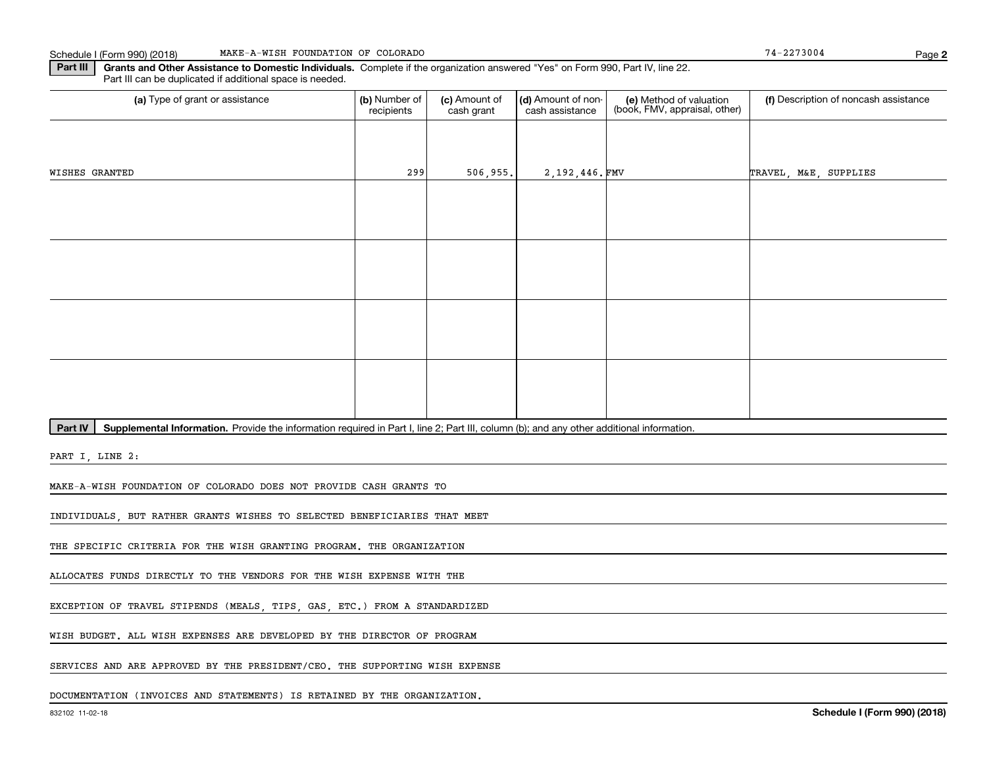**2**

**Part III | Grants and Other Assistance to Domestic Individuals. Complete if the organization answered "Yes" on Form 990, Part IV, line 22.** Part III can be duplicated if additional space is needed.

| (a) Type of grant or assistance                                                                                                                      | (b) Number of<br>recipients | (c) Amount of<br>cash grant | (d) Amount of non-<br>cash assistance | (e) Method of valuation<br>(book, FMV, appraisal, other) | (f) Description of noncash assistance |
|------------------------------------------------------------------------------------------------------------------------------------------------------|-----------------------------|-----------------------------|---------------------------------------|----------------------------------------------------------|---------------------------------------|
|                                                                                                                                                      |                             |                             |                                       |                                                          |                                       |
| WISHES GRANTED                                                                                                                                       | 299                         | 506,955.                    | 2,192,446.FMV                         |                                                          | TRAVEL, M&E, SUPPLIES                 |
|                                                                                                                                                      |                             |                             |                                       |                                                          |                                       |
|                                                                                                                                                      |                             |                             |                                       |                                                          |                                       |
|                                                                                                                                                      |                             |                             |                                       |                                                          |                                       |
|                                                                                                                                                      |                             |                             |                                       |                                                          |                                       |
|                                                                                                                                                      |                             |                             |                                       |                                                          |                                       |
|                                                                                                                                                      |                             |                             |                                       |                                                          |                                       |
|                                                                                                                                                      |                             |                             |                                       |                                                          |                                       |
|                                                                                                                                                      |                             |                             |                                       |                                                          |                                       |
| Part IV<br>Supplemental Information. Provide the information required in Part I, line 2; Part III, column (b); and any other additional information. |                             |                             |                                       |                                                          |                                       |

PART I, LINE 2:

MAKE-A-WISH FOUNDATION OF COLORADO DOES NOT PROVIDE CASH GRANTS TO

INDIVIDUALS, BUT RATHER GRANTS WISHES TO SELECTED BENEFICIARIES THAT MEET

THE SPECIFIC CRITERIA FOR THE WISH GRANTING PROGRAM. THE ORGANIZATION

ALLOCATES FUNDS DIRECTLY TO THE VENDORS FOR THE WISH EXPENSE WITH THE

EXCEPTION OF TRAVEL STIPENDS (MEALS, TIPS, GAS, ETC.) FROM A STANDARDIZED

WISH BUDGET. ALL WISH EXPENSES ARE DEVELOPED BY THE DIRECTOR OF PROGRAM

SERVICES AND ARE APPROVED BY THE PRESIDENT/CEO. THE SUPPORTING WISH EXPENSE

DOCUMENTATION (INVOICES AND STATEMENTS) IS RETAINED BY THE ORGANIZATION.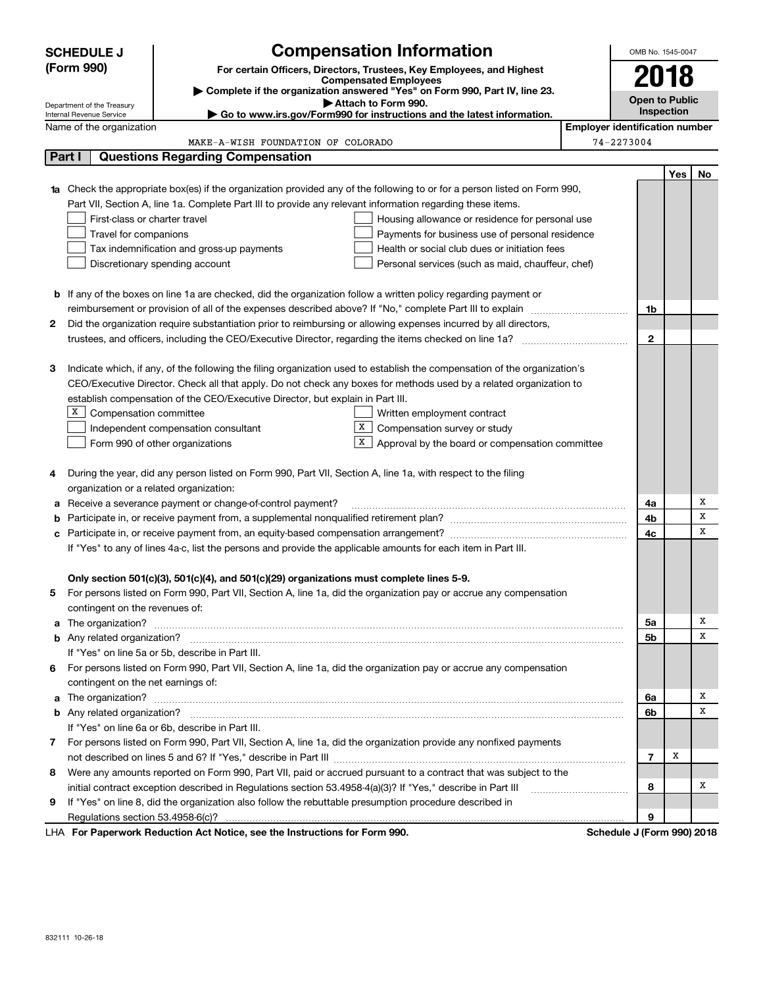|    | <b>SCHEDULE J</b>                                                                                               |                                                                                                                           | <b>Compensation Information</b>                                                                   |  | OMB No. 1545-0047          |     |    |  |
|----|-----------------------------------------------------------------------------------------------------------------|---------------------------------------------------------------------------------------------------------------------------|---------------------------------------------------------------------------------------------------|--|----------------------------|-----|----|--|
|    | (Form 990)                                                                                                      |                                                                                                                           | For certain Officers, Directors, Trustees, Key Employees, and Highest                             |  |                            |     |    |  |
|    |                                                                                                                 |                                                                                                                           | <b>Compensated Employees</b>                                                                      |  | 2018                       |     |    |  |
|    |                                                                                                                 |                                                                                                                           | Complete if the organization answered "Yes" on Form 990, Part IV, line 23.<br>Attach to Form 990. |  | <b>Open to Public</b>      |     |    |  |
|    | Department of the Treasury<br>Internal Revenue Service                                                          |                                                                                                                           | Inspection                                                                                        |  |                            |     |    |  |
|    | <b>Employer identification number</b><br>Name of the organization                                               |                                                                                                                           |                                                                                                   |  |                            |     |    |  |
|    |                                                                                                                 | MAKE-A-WISH FOUNDATION OF COLORADO                                                                                        |                                                                                                   |  | 74-2273004                 |     |    |  |
|    | Part I                                                                                                          | <b>Questions Regarding Compensation</b>                                                                                   |                                                                                                   |  |                            |     |    |  |
|    |                                                                                                                 |                                                                                                                           |                                                                                                   |  |                            | Yes | No |  |
|    |                                                                                                                 | Check the appropriate box(es) if the organization provided any of the following to or for a person listed on Form 990,    |                                                                                                   |  |                            |     |    |  |
|    |                                                                                                                 | Part VII, Section A, line 1a. Complete Part III to provide any relevant information regarding these items.                |                                                                                                   |  |                            |     |    |  |
|    | First-class or charter travel                                                                                   |                                                                                                                           | Housing allowance or residence for personal use                                                   |  |                            |     |    |  |
|    | Travel for companions                                                                                           |                                                                                                                           | Payments for business use of personal residence                                                   |  |                            |     |    |  |
|    |                                                                                                                 | Tax indemnification and gross-up payments                                                                                 | Health or social club dues or initiation fees                                                     |  |                            |     |    |  |
|    |                                                                                                                 | Discretionary spending account                                                                                            | Personal services (such as maid, chauffeur, chef)                                                 |  |                            |     |    |  |
|    |                                                                                                                 |                                                                                                                           |                                                                                                   |  |                            |     |    |  |
|    |                                                                                                                 | <b>b</b> If any of the boxes on line 1a are checked, did the organization follow a written policy regarding payment or    |                                                                                                   |  |                            |     |    |  |
|    |                                                                                                                 |                                                                                                                           |                                                                                                   |  | 1b                         |     |    |  |
| 2  |                                                                                                                 | Did the organization require substantiation prior to reimbursing or allowing expenses incurred by all directors,          |                                                                                                   |  |                            |     |    |  |
|    |                                                                                                                 |                                                                                                                           |                                                                                                   |  | $\mathbf{2}$               |     |    |  |
|    |                                                                                                                 |                                                                                                                           |                                                                                                   |  |                            |     |    |  |
| З  |                                                                                                                 | Indicate which, if any, of the following the filing organization used to establish the compensation of the organization's |                                                                                                   |  |                            |     |    |  |
|    |                                                                                                                 | CEO/Executive Director. Check all that apply. Do not check any boxes for methods used by a related organization to        |                                                                                                   |  |                            |     |    |  |
|    |                                                                                                                 | establish compensation of the CEO/Executive Director, but explain in Part III.                                            |                                                                                                   |  |                            |     |    |  |
|    | $X$ Compensation committee                                                                                      |                                                                                                                           | Written employment contract                                                                       |  |                            |     |    |  |
|    |                                                                                                                 | Independent compensation consultant                                                                                       | X  <br>Compensation survey or study                                                               |  |                            |     |    |  |
|    |                                                                                                                 | Form 990 of other organizations                                                                                           | X  <br>Approval by the board or compensation committee                                            |  |                            |     |    |  |
|    |                                                                                                                 |                                                                                                                           |                                                                                                   |  |                            |     |    |  |
| 4  |                                                                                                                 | During the year, did any person listed on Form 990, Part VII, Section A, line 1a, with respect to the filing              |                                                                                                   |  |                            |     |    |  |
|    | organization or a related organization:                                                                         |                                                                                                                           |                                                                                                   |  |                            |     |    |  |
|    |                                                                                                                 | Receive a severance payment or change-of-control payment?                                                                 |                                                                                                   |  | 4a                         |     | х  |  |
|    |                                                                                                                 |                                                                                                                           |                                                                                                   |  | 4b                         |     | x  |  |
| с  |                                                                                                                 |                                                                                                                           |                                                                                                   |  | 4c                         |     | х  |  |
|    |                                                                                                                 | If "Yes" to any of lines 4a-c, list the persons and provide the applicable amounts for each item in Part III.             |                                                                                                   |  |                            |     |    |  |
|    |                                                                                                                 |                                                                                                                           |                                                                                                   |  |                            |     |    |  |
|    |                                                                                                                 | Only section 501(c)(3), 501(c)(4), and 501(c)(29) organizations must complete lines 5-9.                                  |                                                                                                   |  |                            |     |    |  |
|    |                                                                                                                 | For persons listed on Form 990, Part VII, Section A, line 1a, did the organization pay or accrue any compensation         |                                                                                                   |  |                            |     |    |  |
|    | contingent on the revenues of:                                                                                  |                                                                                                                           |                                                                                                   |  |                            |     |    |  |
|    |                                                                                                                 | a The organization? <b>Entitation</b> and the organization?                                                               |                                                                                                   |  | 5a                         |     | x  |  |
|    |                                                                                                                 |                                                                                                                           |                                                                                                   |  | 5b                         |     | х  |  |
|    |                                                                                                                 | If "Yes" on line 5a or 5b, describe in Part III.                                                                          |                                                                                                   |  |                            |     |    |  |
| 6. |                                                                                                                 | For persons listed on Form 990, Part VII, Section A, line 1a, did the organization pay or accrue any compensation         |                                                                                                   |  |                            |     |    |  |
|    | contingent on the net earnings of:                                                                              |                                                                                                                           |                                                                                                   |  |                            |     |    |  |
|    |                                                                                                                 |                                                                                                                           |                                                                                                   |  | 6a                         |     | х  |  |
|    |                                                                                                                 |                                                                                                                           |                                                                                                   |  | 6b                         |     | х  |  |
|    |                                                                                                                 | If "Yes" on line 6a or 6b, describe in Part III.                                                                          |                                                                                                   |  |                            |     |    |  |
|    |                                                                                                                 | 7 For persons listed on Form 990, Part VII, Section A, line 1a, did the organization provide any nonfixed payments        |                                                                                                   |  |                            |     |    |  |
|    |                                                                                                                 |                                                                                                                           |                                                                                                   |  | $\overline{7}$             | х   |    |  |
| 8  | Were any amounts reported on Form 990, Part VII, paid or accrued pursuant to a contract that was subject to the |                                                                                                                           |                                                                                                   |  |                            |     |    |  |
|    | initial contract exception described in Regulations section 53.4958-4(a)(3)? If "Yes," describe in Part III     |                                                                                                                           |                                                                                                   |  |                            |     | x  |  |
| 9  | If "Yes" on line 8, did the organization also follow the rebuttable presumption procedure described in          |                                                                                                                           |                                                                                                   |  |                            |     |    |  |
|    |                                                                                                                 |                                                                                                                           |                                                                                                   |  | 9                          |     |    |  |
|    |                                                                                                                 | LHA For Paperwork Reduction Act Notice, see the Instructions for Form 990.                                                |                                                                                                   |  | Schedule J (Form 990) 2018 |     |    |  |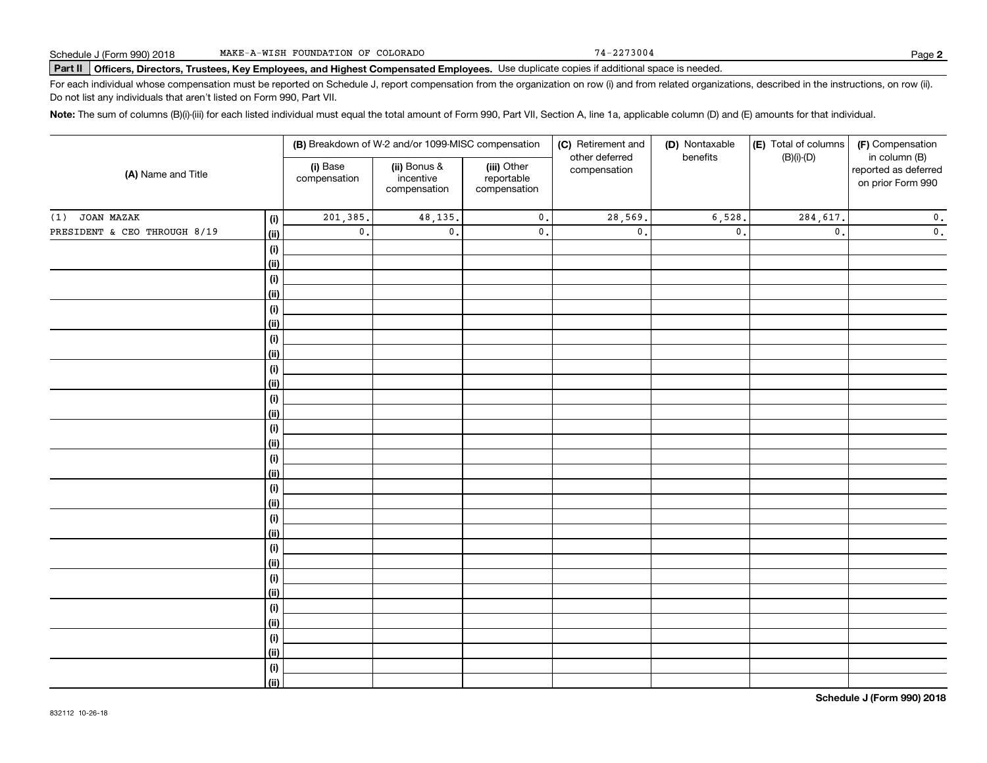74-2273004

# **Part II Officers, Directors, Trustees, Key Employees, and Highest Compensated Employees.**  Schedule J (Form 990) 2018 Page Use duplicate copies if additional space is needed.

For each individual whose compensation must be reported on Schedule J, report compensation from the organization on row (i) and from related organizations, described in the instructions, on row (ii). Do not list any individuals that aren't listed on Form 990, Part VII.

**Note:**  The sum of columns (B)(i)-(iii) for each listed individual must equal the total amount of Form 990, Part VII, Section A, line 1a, applicable column (D) and (E) amounts for that individual.

| in column (B)<br>(i) Base<br>(ii) Bonus &<br>(iii) Other<br>reported as deferred<br>compensation<br>(A) Name and Title<br>incentive<br>reportable<br>compensation<br>on prior Form 990<br>compensation<br>compensation<br>JOAN MAZAK<br>201,385.<br>28,569.<br>6,528.<br>48,135.<br>$\mathbf 0$ .<br>284,617.<br>$\mathbf 0$ .<br>(i)<br>$\mathbf 0$ .<br>$\mathsf{0}$ .<br>$\mathfrak o$ .<br>$\mathfrak o$ .<br>$\mathfrak o$ .<br>$\mathbf 0$ .<br>$\mathsf{0}$ .<br><u>(ii)</u><br>(i)<br><u>(ii)</u><br>(i)<br><u>(ii)</u><br>(i)<br><u>(ii)</u><br>(i)<br><u>(ii)</u><br>(i)<br><u>(ii)</u><br>(i)<br><u>(ii)</u><br>(i)<br><u>(ii)</u><br>(i)<br><u>(ii)</u><br>(i)<br><u>(ii)</u><br>(i)<br><u>(ii)</u><br>(i)<br><u>(ii)</u><br>(i)<br><u>(ii)</u><br>(i)<br><u>(ii)</u><br>(i)<br><u>(ii)</u><br>(i)<br>$\overline{}}$ |                              |  | (B) Breakdown of W-2 and/or 1099-MISC compensation | (C) Retirement and | (D) Nontaxable | (E) Total of columns | (F) Compensation |
|----------------------------------------------------------------------------------------------------------------------------------------------------------------------------------------------------------------------------------------------------------------------------------------------------------------------------------------------------------------------------------------------------------------------------------------------------------------------------------------------------------------------------------------------------------------------------------------------------------------------------------------------------------------------------------------------------------------------------------------------------------------------------------------------------------------------------------|------------------------------|--|----------------------------------------------------|--------------------|----------------|----------------------|------------------|
|                                                                                                                                                                                                                                                                                                                                                                                                                                                                                                                                                                                                                                                                                                                                                                                                                                  |                              |  |                                                    | other deferred     | benefits       | $(B)(i)-(D)$         |                  |
|                                                                                                                                                                                                                                                                                                                                                                                                                                                                                                                                                                                                                                                                                                                                                                                                                                  | (1)                          |  |                                                    |                    |                |                      |                  |
|                                                                                                                                                                                                                                                                                                                                                                                                                                                                                                                                                                                                                                                                                                                                                                                                                                  | PRESIDENT & CEO THROUGH 8/19 |  |                                                    |                    |                |                      |                  |
|                                                                                                                                                                                                                                                                                                                                                                                                                                                                                                                                                                                                                                                                                                                                                                                                                                  |                              |  |                                                    |                    |                |                      |                  |
|                                                                                                                                                                                                                                                                                                                                                                                                                                                                                                                                                                                                                                                                                                                                                                                                                                  |                              |  |                                                    |                    |                |                      |                  |
|                                                                                                                                                                                                                                                                                                                                                                                                                                                                                                                                                                                                                                                                                                                                                                                                                                  |                              |  |                                                    |                    |                |                      |                  |
|                                                                                                                                                                                                                                                                                                                                                                                                                                                                                                                                                                                                                                                                                                                                                                                                                                  |                              |  |                                                    |                    |                |                      |                  |
|                                                                                                                                                                                                                                                                                                                                                                                                                                                                                                                                                                                                                                                                                                                                                                                                                                  |                              |  |                                                    |                    |                |                      |                  |
|                                                                                                                                                                                                                                                                                                                                                                                                                                                                                                                                                                                                                                                                                                                                                                                                                                  |                              |  |                                                    |                    |                |                      |                  |
|                                                                                                                                                                                                                                                                                                                                                                                                                                                                                                                                                                                                                                                                                                                                                                                                                                  |                              |  |                                                    |                    |                |                      |                  |
|                                                                                                                                                                                                                                                                                                                                                                                                                                                                                                                                                                                                                                                                                                                                                                                                                                  |                              |  |                                                    |                    |                |                      |                  |
|                                                                                                                                                                                                                                                                                                                                                                                                                                                                                                                                                                                                                                                                                                                                                                                                                                  |                              |  |                                                    |                    |                |                      |                  |
|                                                                                                                                                                                                                                                                                                                                                                                                                                                                                                                                                                                                                                                                                                                                                                                                                                  |                              |  |                                                    |                    |                |                      |                  |
|                                                                                                                                                                                                                                                                                                                                                                                                                                                                                                                                                                                                                                                                                                                                                                                                                                  |                              |  |                                                    |                    |                |                      |                  |
|                                                                                                                                                                                                                                                                                                                                                                                                                                                                                                                                                                                                                                                                                                                                                                                                                                  |                              |  |                                                    |                    |                |                      |                  |
|                                                                                                                                                                                                                                                                                                                                                                                                                                                                                                                                                                                                                                                                                                                                                                                                                                  |                              |  |                                                    |                    |                |                      |                  |
|                                                                                                                                                                                                                                                                                                                                                                                                                                                                                                                                                                                                                                                                                                                                                                                                                                  |                              |  |                                                    |                    |                |                      |                  |
|                                                                                                                                                                                                                                                                                                                                                                                                                                                                                                                                                                                                                                                                                                                                                                                                                                  |                              |  |                                                    |                    |                |                      |                  |
|                                                                                                                                                                                                                                                                                                                                                                                                                                                                                                                                                                                                                                                                                                                                                                                                                                  |                              |  |                                                    |                    |                |                      |                  |
|                                                                                                                                                                                                                                                                                                                                                                                                                                                                                                                                                                                                                                                                                                                                                                                                                                  |                              |  |                                                    |                    |                |                      |                  |
|                                                                                                                                                                                                                                                                                                                                                                                                                                                                                                                                                                                                                                                                                                                                                                                                                                  |                              |  |                                                    |                    |                |                      |                  |
|                                                                                                                                                                                                                                                                                                                                                                                                                                                                                                                                                                                                                                                                                                                                                                                                                                  |                              |  |                                                    |                    |                |                      |                  |
|                                                                                                                                                                                                                                                                                                                                                                                                                                                                                                                                                                                                                                                                                                                                                                                                                                  |                              |  |                                                    |                    |                |                      |                  |
|                                                                                                                                                                                                                                                                                                                                                                                                                                                                                                                                                                                                                                                                                                                                                                                                                                  |                              |  |                                                    |                    |                |                      |                  |
|                                                                                                                                                                                                                                                                                                                                                                                                                                                                                                                                                                                                                                                                                                                                                                                                                                  |                              |  |                                                    |                    |                |                      |                  |
|                                                                                                                                                                                                                                                                                                                                                                                                                                                                                                                                                                                                                                                                                                                                                                                                                                  |                              |  |                                                    |                    |                |                      |                  |
|                                                                                                                                                                                                                                                                                                                                                                                                                                                                                                                                                                                                                                                                                                                                                                                                                                  |                              |  |                                                    |                    |                |                      |                  |
|                                                                                                                                                                                                                                                                                                                                                                                                                                                                                                                                                                                                                                                                                                                                                                                                                                  |                              |  |                                                    |                    |                |                      |                  |
|                                                                                                                                                                                                                                                                                                                                                                                                                                                                                                                                                                                                                                                                                                                                                                                                                                  |                              |  |                                                    |                    |                |                      |                  |
|                                                                                                                                                                                                                                                                                                                                                                                                                                                                                                                                                                                                                                                                                                                                                                                                                                  |                              |  |                                                    |                    |                |                      |                  |
|                                                                                                                                                                                                                                                                                                                                                                                                                                                                                                                                                                                                                                                                                                                                                                                                                                  |                              |  |                                                    |                    |                |                      |                  |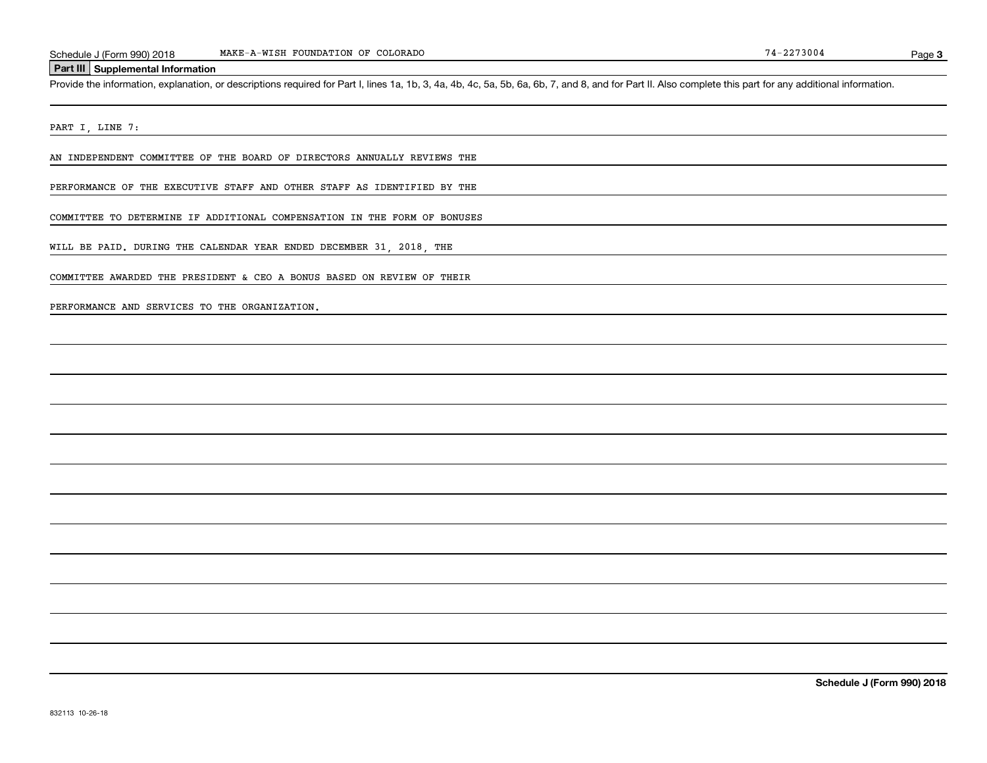### **Part III Supplemental Information**

Schedule J (Form 990) 2018 MAKE-A-WISH FOUNDATION OF COLORADO<br>Part III Supplemental Information<br>Provide the information, explanation, or descriptions required for Part I, lines 1a, 1b, 3, 4a, 4b, 4c, 5a, 5b, 6a, 6b, 7, and

PART I, LINE 7:

AN INDEPENDENT COMMITTEE OF THE BOARD OF DIRECTORS ANNUALLY REVIEWS THE

PERFORMANCE OF THE EXECUTIVE STAFF AND OTHER STAFF AS IDENTIFIED BY THE

COMMITTEE TO DETERMINE IF ADDITIONAL COMPENSATION IN THE FORM OF BONUSES

WILL BE PAID. DURING THE CALENDAR YEAR ENDED DECEMBER 31, 2018, THE

COMMITTEE AWARDED THE PRESIDENT & CEO A BONUS BASED ON REVIEW OF THEIR

PERFORMANCE AND SERVICES TO THE ORGANIZATION.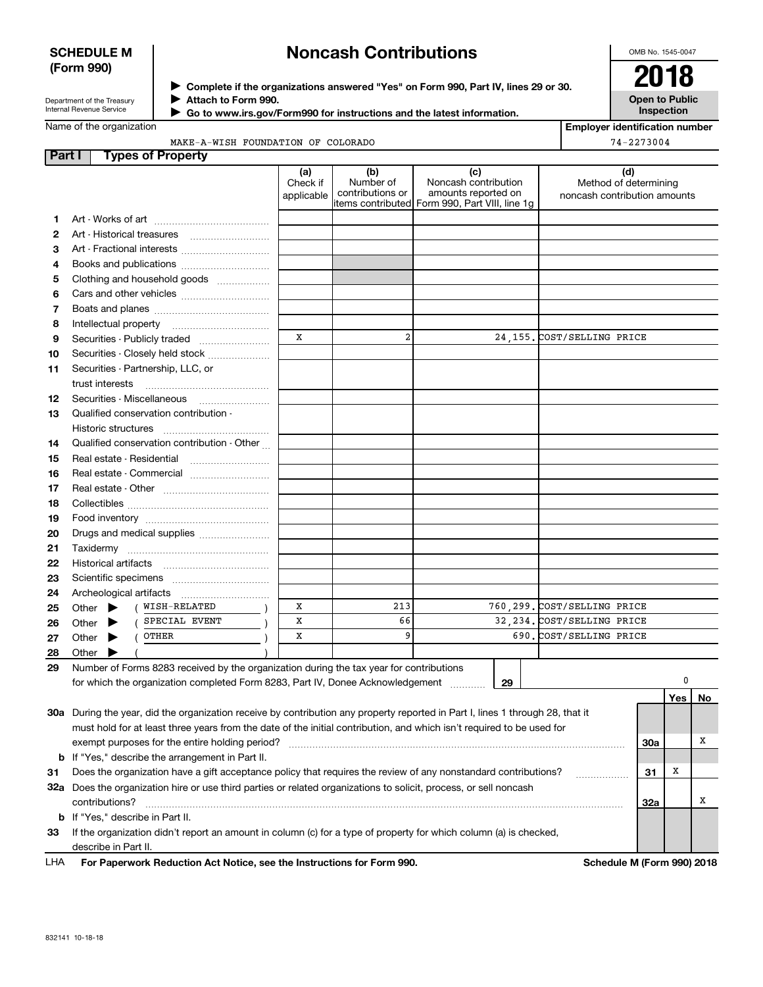## **SCHEDULE M (Form 990)**

# **Noncash Contributions**

OMB No. 1545-0047

| Department of the Treasury      |  |
|---------------------------------|--|
| <b>Internal Revenue Service</b> |  |

**Complete if the organizations answered "Yes" on Form 990, Part IV, lines 29 or 30.** <sup>J</sup>**2018 Attach to Form 990.** J

 **Go to www.irs.gov/Form990 for instructions and the latest information.** J

**Open to Public Inspection**

**Employer identification number**

74-2273004

Name of the organizat

| tion |                                    |  |  |
|------|------------------------------------|--|--|
|      | MAKE-A-WISH FOUNDATION OF COLORADO |  |  |

| Part I   | <b>Types of Property</b>                                                                                                       |                               |                                      |                                                                                                        |                                                              |         |    |
|----------|--------------------------------------------------------------------------------------------------------------------------------|-------------------------------|--------------------------------------|--------------------------------------------------------------------------------------------------------|--------------------------------------------------------------|---------|----|
|          |                                                                                                                                | (a)<br>Check if<br>applicable | (b)<br>Number of<br>contributions or | (c)<br>Noncash contribution<br>amounts reported on<br> items contributed  Form 990, Part VIII, line 1g | (d)<br>Method of determining<br>noncash contribution amounts |         |    |
| 1.       |                                                                                                                                |                               |                                      |                                                                                                        |                                                              |         |    |
| 2        | Art - Historical treasures                                                                                                     |                               |                                      |                                                                                                        |                                                              |         |    |
| з        | Art - Fractional interests                                                                                                     |                               |                                      |                                                                                                        |                                                              |         |    |
| 4        | Books and publications                                                                                                         |                               |                                      |                                                                                                        |                                                              |         |    |
| 5        | Clothing and household goods                                                                                                   |                               |                                      |                                                                                                        |                                                              |         |    |
| 6        |                                                                                                                                |                               |                                      |                                                                                                        |                                                              |         |    |
| 7        |                                                                                                                                |                               |                                      |                                                                                                        |                                                              |         |    |
| 8        | Intellectual property                                                                                                          |                               |                                      |                                                                                                        |                                                              |         |    |
| 9        | Securities - Publicly traded                                                                                                   | x                             | $\overline{a}$                       |                                                                                                        | 24,155. COST/SELLING PRICE                                   |         |    |
| 10       | Securities - Closely held stock                                                                                                |                               |                                      |                                                                                                        |                                                              |         |    |
| 11       | Securities - Partnership, LLC, or                                                                                              |                               |                                      |                                                                                                        |                                                              |         |    |
|          | trust interests<br>Securities - Miscellaneous                                                                                  |                               |                                      |                                                                                                        |                                                              |         |    |
| 12<br>13 | Qualified conservation contribution -                                                                                          |                               |                                      |                                                                                                        |                                                              |         |    |
|          | Historic structures                                                                                                            |                               |                                      |                                                                                                        |                                                              |         |    |
| 14       | Qualified conservation contribution - Other                                                                                    |                               |                                      |                                                                                                        |                                                              |         |    |
| 15       | Real estate - Residential                                                                                                      |                               |                                      |                                                                                                        |                                                              |         |    |
| 16       |                                                                                                                                |                               |                                      |                                                                                                        |                                                              |         |    |
| 17       |                                                                                                                                |                               |                                      |                                                                                                        |                                                              |         |    |
| 18       |                                                                                                                                |                               |                                      |                                                                                                        |                                                              |         |    |
| 19       |                                                                                                                                |                               |                                      |                                                                                                        |                                                              |         |    |
| 20       | Drugs and medical supplies                                                                                                     |                               |                                      |                                                                                                        |                                                              |         |    |
| 21       |                                                                                                                                |                               |                                      |                                                                                                        |                                                              |         |    |
| 22       |                                                                                                                                |                               |                                      |                                                                                                        |                                                              |         |    |
| 23       |                                                                                                                                |                               |                                      |                                                                                                        |                                                              |         |    |
| 24       | Archeological artifacts                                                                                                        |                               |                                      |                                                                                                        |                                                              |         |    |
| 25       | WISH-RELATED<br>Other $\blacktriangleright$                                                                                    | X                             | 213                                  |                                                                                                        | 760,299. COST/SELLING PRICE                                  |         |    |
| 26       | SPECIAL EVENT<br>Other $\blacktriangleright$                                                                                   | X                             | 66                                   |                                                                                                        | 32, 234. COST/SELLING PRICE                                  |         |    |
| 27       | OTHER<br>Other $\blacktriangleright$                                                                                           | x                             | 9                                    |                                                                                                        | 690. COST/SELLING PRICE                                      |         |    |
| 28       | Other<br>▶                                                                                                                     |                               |                                      |                                                                                                        |                                                              |         |    |
| 29       | Number of Forms 8283 received by the organization during the tax year for contributions                                        |                               |                                      |                                                                                                        |                                                              |         |    |
|          | for which the organization completed Form 8283, Part IV, Donee Acknowledgement                                                 |                               |                                      | 29                                                                                                     |                                                              |         |    |
|          |                                                                                                                                |                               |                                      |                                                                                                        |                                                              | Yes     | No |
|          | 30a During the year, did the organization receive by contribution any property reported in Part I, lines 1 through 28, that it |                               |                                      |                                                                                                        |                                                              |         |    |
|          | must hold for at least three years from the date of the initial contribution, and which isn't required to be used for          |                               |                                      |                                                                                                        |                                                              |         | х  |
|          | exempt purposes for the entire holding period?<br><b>b</b> If "Yes," describe the arrangement in Part II.                      |                               |                                      |                                                                                                        |                                                              | 30a     |    |
| 31       | Does the organization have a gift acceptance policy that requires the review of any nonstandard contributions?                 |                               |                                      |                                                                                                        |                                                              | х<br>31 |    |
|          | 32a Does the organization hire or use third parties or related organizations to solicit, process, or sell noncash              |                               |                                      |                                                                                                        | .                                                            |         |    |
|          | contributions?                                                                                                                 |                               |                                      |                                                                                                        |                                                              | 32a     | х  |
|          | <b>b</b> If "Yes," describe in Part II.                                                                                        |                               |                                      |                                                                                                        |                                                              |         |    |
| 33       | If the organization didn't report an amount in column (c) for a type of property for which column (a) is checked,              |                               |                                      |                                                                                                        |                                                              |         |    |
|          | describe in Part II.                                                                                                           |                               |                                      |                                                                                                        |                                                              |         |    |

**For Paperwork Reduction Act Notice, see the Instructions for Form 990. Schedule M (Form 990) 2018** LHA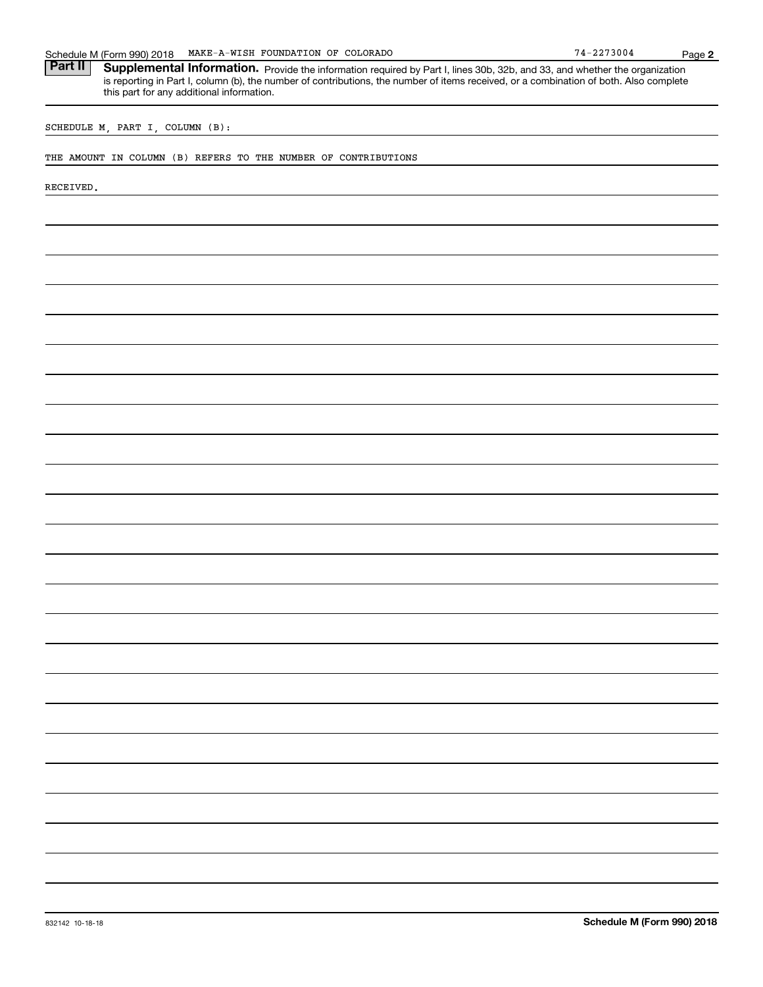| MAKE-A-WISH FOUNDATION OF COLORADO<br>Schedule M (Form 990) 2018                                                                                                                                                                                                                                                             | $74 - 2273004$             | Page 2 |
|------------------------------------------------------------------------------------------------------------------------------------------------------------------------------------------------------------------------------------------------------------------------------------------------------------------------------|----------------------------|--------|
| Part II<br>Supplemental Information. Provide the information required by Part I, lines 30b, 32b, and 33, and whether the organization<br>is reporting in Part I, column (b), the number of contributions, the number of items received, or a combination of both. Also complete<br>this part for any additional information. |                            |        |
| SCHEDULE M, PART I, COLUMN (B):                                                                                                                                                                                                                                                                                              |                            |        |
| THE AMOUNT IN COLUMN (B) REFERS TO THE NUMBER OF CONTRIBUTIONS                                                                                                                                                                                                                                                               |                            |        |
| RECEIVED.                                                                                                                                                                                                                                                                                                                    |                            |        |
|                                                                                                                                                                                                                                                                                                                              |                            |        |
|                                                                                                                                                                                                                                                                                                                              |                            |        |
|                                                                                                                                                                                                                                                                                                                              |                            |        |
|                                                                                                                                                                                                                                                                                                                              |                            |        |
|                                                                                                                                                                                                                                                                                                                              |                            |        |
|                                                                                                                                                                                                                                                                                                                              |                            |        |
|                                                                                                                                                                                                                                                                                                                              |                            |        |
|                                                                                                                                                                                                                                                                                                                              |                            |        |
|                                                                                                                                                                                                                                                                                                                              |                            |        |
|                                                                                                                                                                                                                                                                                                                              |                            |        |
|                                                                                                                                                                                                                                                                                                                              |                            |        |
|                                                                                                                                                                                                                                                                                                                              |                            |        |
|                                                                                                                                                                                                                                                                                                                              |                            |        |
|                                                                                                                                                                                                                                                                                                                              |                            |        |
|                                                                                                                                                                                                                                                                                                                              |                            |        |
|                                                                                                                                                                                                                                                                                                                              |                            |        |
|                                                                                                                                                                                                                                                                                                                              |                            |        |
|                                                                                                                                                                                                                                                                                                                              |                            |        |
|                                                                                                                                                                                                                                                                                                                              |                            |        |
|                                                                                                                                                                                                                                                                                                                              |                            |        |
|                                                                                                                                                                                                                                                                                                                              |                            |        |
|                                                                                                                                                                                                                                                                                                                              |                            |        |
|                                                                                                                                                                                                                                                                                                                              |                            |        |
|                                                                                                                                                                                                                                                                                                                              |                            |        |
|                                                                                                                                                                                                                                                                                                                              |                            |        |
| 832142 10-18-18                                                                                                                                                                                                                                                                                                              | Schedule M (Form 990) 2018 |        |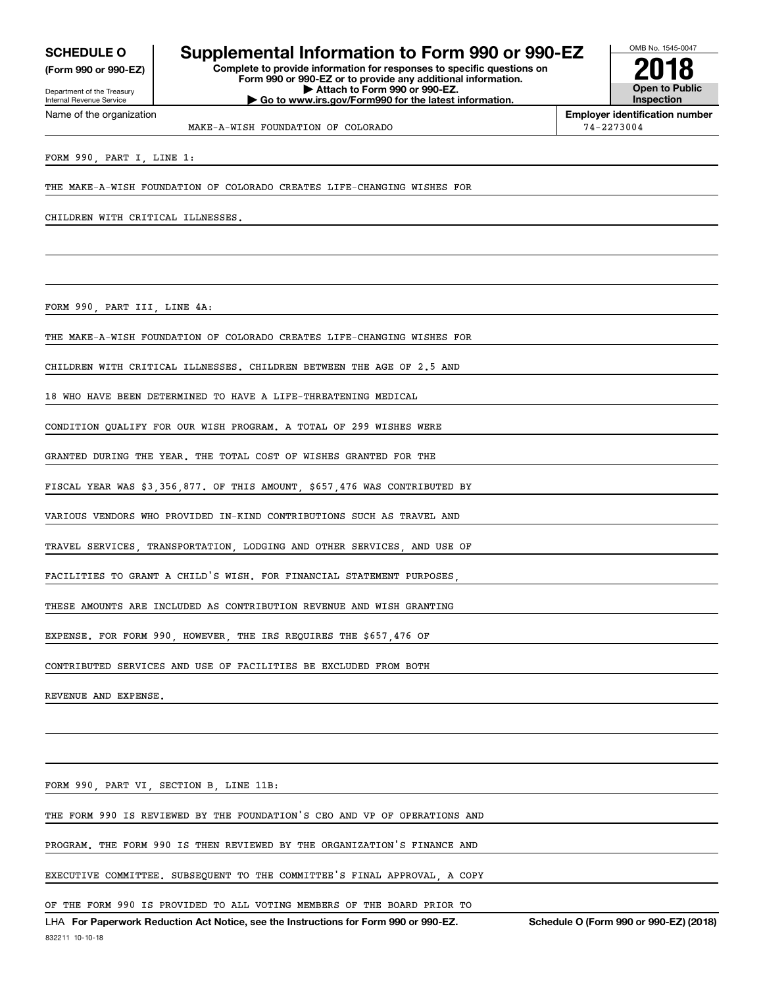Internal Revenue Service

Department of the Treasury **(Form 990 or 990-EZ)**

Name of the organization

# **SCHEDULE O Supplemental Information to Form 990 or 990-EZ**

**Complete to provide information for responses to specific questions on Form 990 or 990-EZ or to provide any additional information. | Attach to Form 990 or 990-EZ. | Go to www.irs.gov/Form990 for the latest information.**



MAKE-A-WISH FOUNDATION OF COLORADO 74-2273004

**Employer identification number**

FORM 990, PART I, LINE 1:

THE MAKE-A-WISH FOUNDATION OF COLORADO CREATES LIFE-CHANGING WISHES FOR

CHILDREN WITH CRITICAL ILLNESSES.

FORM 990, PART III, LINE 4A:

THE MAKE-A-WISH FOUNDATION OF COLORADO CREATES LIFE-CHANGING WISHES FOR

CHILDREN WITH CRITICAL ILLNESSES. CHILDREN BETWEEN THE AGE OF 2.5 AND

18 WHO HAVE BEEN DETERMINED TO HAVE A LIFE-THREATENING MEDICAL

CONDITION QUALIFY FOR OUR WISH PROGRAM. A TOTAL OF 299 WISHES WERE

GRANTED DURING THE YEAR. THE TOTAL COST OF WISHES GRANTED FOR THE

FISCAL YEAR WAS \$3,356,877. OF THIS AMOUNT, \$657,476 WAS CONTRIBUTED BY

VARIOUS VENDORS WHO PROVIDED IN-KIND CONTRIBUTIONS SUCH AS TRAVEL AND

TRAVEL SERVICES, TRANSPORTATION, LODGING AND OTHER SERVICES, AND USE OF

FACILITIES TO GRANT A CHILD'S WISH. FOR FINANCIAL STATEMENT PURPOSES

THESE AMOUNTS ARE INCLUDED AS CONTRIBUTION REVENUE AND WISH GRANTING

EXPENSE. FOR FORM 990, HOWEVER, THE IRS REQUIRES THE \$657,476 OF

CONTRIBUTED SERVICES AND USE OF FACILITIES BE EXCLUDED FROM BOTH

REVENUE AND EXPENSE.

FORM 990, PART VI, SECTION B, LINE 11B:

THE FORM 990 IS REVIEWED BY THE FOUNDATION'S CEO AND VP OF OPERATIONS AND

PROGRAM. THE FORM 990 IS THEN REVIEWED BY THE ORGANIZATION'S FINANCE AND

EXECUTIVE COMMITTEE. SUBSEQUENT TO THE COMMITTEE'S FINAL APPROVAL, A COPY

OF THE FORM 990 IS PROVIDED TO ALL VOTING MEMBERS OF THE BOARD PRIOR TO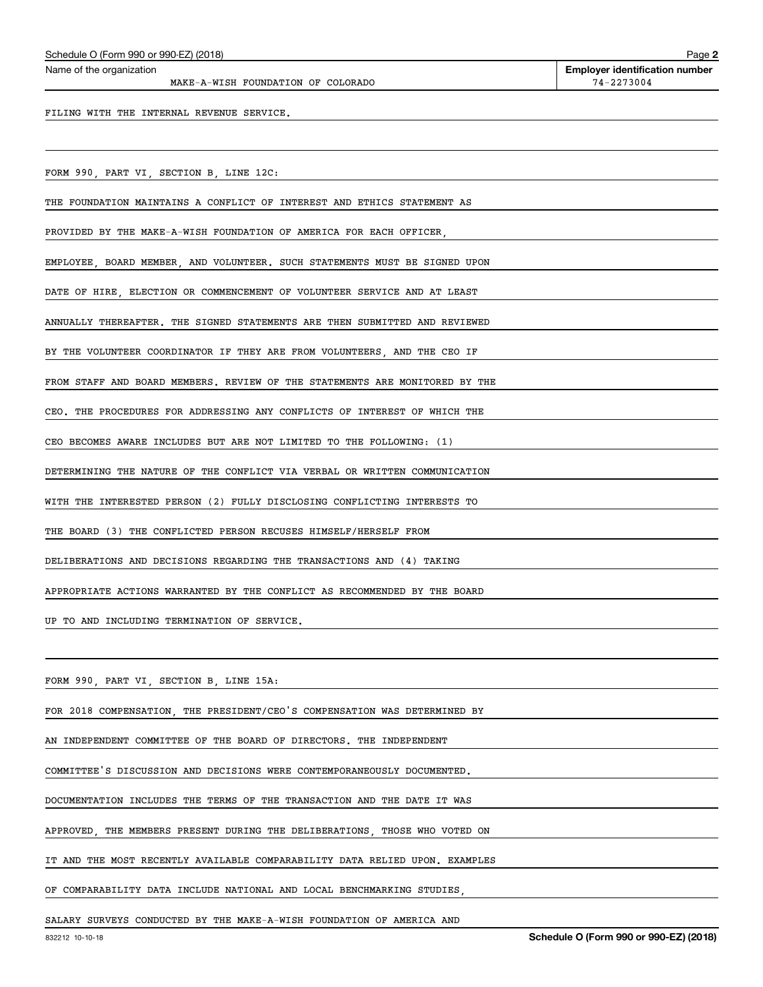MAKE-A-WISH FOUNDATION OF COLORADO 74-2273004

**2**

FILING WITH THE INTERNAL REVENUE SERVICE.

FORM 990, PART VI, SECTION B, LINE 12C:

THE FOUNDATION MAINTAINS A CONFLICT OF INTEREST AND ETHICS STATEMENT AS

PROVIDED BY THE MAKE-A-WISH FOUNDATION OF AMERICA FOR EACH OFFICER,

EMPLOYEE, BOARD MEMBER, AND VOLUNTEER. SUCH STATEMENTS MUST BE SIGNED UPON

DATE OF HIRE, ELECTION OR COMMENCEMENT OF VOLUNTEER SERVICE AND AT LEAST

ANNUALLY THEREAFTER. THE SIGNED STATEMENTS ARE THEN SUBMITTED AND REVIEWED

BY THE VOLUNTEER COORDINATOR IF THEY ARE FROM VOLUNTEERS, AND THE CEO IF

FROM STAFF AND BOARD MEMBERS. REVIEW OF THE STATEMENTS ARE MONITORED BY THE

CEO. THE PROCEDURES FOR ADDRESSING ANY CONFLICTS OF INTEREST OF WHICH THE

CEO BECOMES AWARE INCLUDES BUT ARE NOT LIMITED TO THE FOLLOWING: (1)

DETERMINING THE NATURE OF THE CONFLICT VIA VERBAL OR WRITTEN COMMUNICATION

WITH THE INTERESTED PERSON (2) FULLY DISCLOSING CONFLICTING INTERESTS TO

THE BOARD (3) THE CONFLICTED PERSON RECUSES HIMSELF/HERSELF FROM

DELIBERATIONS AND DECISIONS REGARDING THE TRANSACTIONS AND (4) TAKING

APPROPRIATE ACTIONS WARRANTED BY THE CONFLICT AS RECOMMENDED BY THE BOARD

UP TO AND INCLUDING TERMINATION OF SERVICE.

FORM 990, PART VI, SECTION B, LINE 15A:

FOR 2018 COMPENSATION, THE PRESIDENT/CEO'S COMPENSATION WAS DETERMINED BY

AN INDEPENDENT COMMITTEE OF THE BOARD OF DIRECTORS. THE INDEPENDENT

COMMITTEE'S DISCUSSION AND DECISIONS WERE CONTEMPORANEOUSLY DOCUMENTED.

DOCUMENTATION INCLUDES THE TERMS OF THE TRANSACTION AND THE DATE IT WAS

APPROVED, THE MEMBERS PRESENT DURING THE DELIBERATIONS, THOSE WHO VOTED ON

IT AND THE MOST RECENTLY AVAILABLE COMPARABILITY DATA RELIED UPON. EXAMPLES

OF COMPARABILITY DATA INCLUDE NATIONAL AND LOCAL BENCHMARKING STUDIES,

SALARY SURVEYS CONDUCTED BY THE MAKE-A-WISH FOUNDATION OF AMERICA AND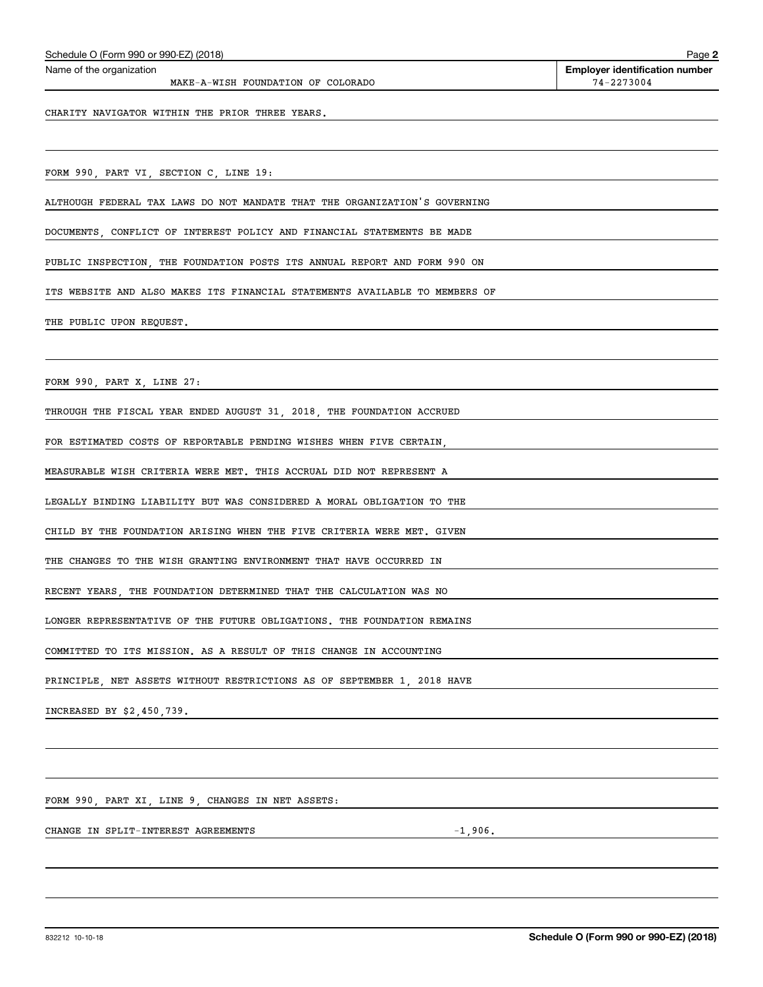MAKE-A-WISH FOUNDATION OF COLORADO  $74-2273004$ 

**2** Echedule O (Form 990 or 990-EZ) (2018)<br>Name of the organization **number** Name of the organization **page Name of the organization number** 

CHARITY NAVIGATOR WITHIN THE PRIOR THREE YEARS.

FORM 990, PART VI, SECTION C, LINE 19:

ALTHOUGH FEDERAL TAX LAWS DO NOT MANDATE THAT THE ORGANIZATION'S GOVERNING

DOCUMENTS, CONFLICT OF INTEREST POLICY AND FINANCIAL STATEMENTS BE MADE

PUBLIC INSPECTION, THE FOUNDATION POSTS ITS ANNUAL REPORT AND FORM 990 ON

ITS WEBSITE AND ALSO MAKES ITS FINANCIAL STATEMENTS AVAILABLE TO MEMBERS OF

THE PUBLIC UPON REQUEST.

FORM 990, PART X, LINE 27:

THROUGH THE FISCAL YEAR ENDED AUGUST 31, 2018, THE FOUNDATION ACCRUED

FOR ESTIMATED COSTS OF REPORTABLE PENDING WISHES WHEN FIVE CERTAIN,

MEASURABLE WISH CRITERIA WERE MET. THIS ACCRUAL DID NOT REPRESENT A

LEGALLY BINDING LIABILITY BUT WAS CONSIDERED A MORAL OBLIGATION TO THE

CHILD BY THE FOUNDATION ARISING WHEN THE FIVE CRITERIA WERE MET. GIVEN

THE CHANGES TO THE WISH GRANTING ENVIRONMENT THAT HAVE OCCURRED IN

RECENT YEARS, THE FOUNDATION DETERMINED THAT THE CALCULATION WAS NO

LONGER REPRESENTATIVE OF THE FUTURE OBLIGATIONS. THE FOUNDATION REMAINS

COMMITTED TO ITS MISSION. AS A RESULT OF THIS CHANGE IN ACCOUNTING

PRINCIPLE, NET ASSETS WITHOUT RESTRICTIONS AS OF SEPTEMBER 1, 2018 HAVE

INCREASED BY \$2,450,739.

FORM 990, PART XI, LINE 9, CHANGES IN NET ASSETS:

CHANGE IN SPLIT-INTEREST AGREEMENTS -1,906.